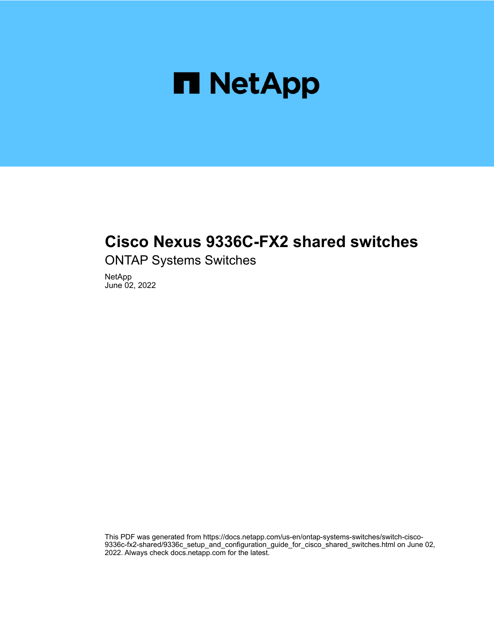

## **Cisco Nexus 9336C-FX2 shared switches**

ONTAP Systems Switches

NetApp June 02, 2022

This PDF was generated from https://docs.netapp.com/us-en/ontap-systems-switches/switch-cisco-9336c-fx2-shared/9336c\_setup\_and\_configuration\_guide\_for\_cisco\_shared\_switches.html on June 02, 2022. Always check docs.netapp.com for the latest.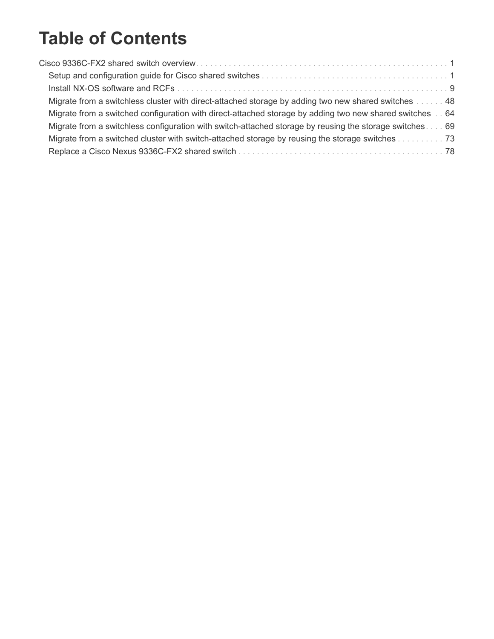# **Table of Contents**

| Migrate from a switchless cluster with direct-attached storage by adding two new shared switches 48     |  |
|---------------------------------------------------------------------------------------------------------|--|
| Migrate from a switched configuration with direct-attached storage by adding two new shared switches 64 |  |
| Migrate from a switchless configuration with switch-attached storage by reusing the storage switches 69 |  |
| Migrate from a switched cluster with switch-attached storage by reusing the storage switches 73         |  |
|                                                                                                         |  |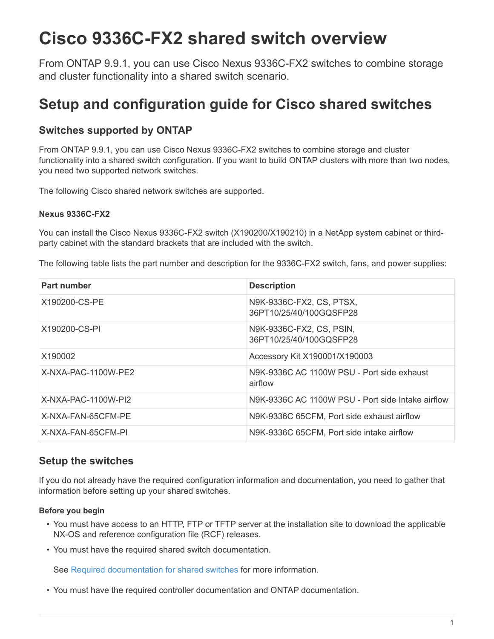# <span id="page-2-0"></span>**Cisco 9336C-FX2 shared switch overview**

From ONTAP 9.9.1, you can use Cisco Nexus 9336C-FX2 switches to combine storage and cluster functionality into a shared switch scenario.

## <span id="page-2-1"></span>**Setup and configuration guide for Cisco shared switches**

## **Switches supported by ONTAP**

From ONTAP 9.9.1, you can use Cisco Nexus 9336C-FX2 switches to combine storage and cluster functionality into a shared switch configuration. If you want to build ONTAP clusters with more than two nodes, you need two supported network switches.

The following Cisco shared network switches are supported.

#### **Nexus 9336C-FX2**

You can install the Cisco Nexus 9336C-FX2 switch (X190200/X190210) in a NetApp system cabinet or thirdparty cabinet with the standard brackets that are included with the switch.

The following table lists the part number and description for the 9336C-FX2 switch, fans, and power supplies:

| Part number           | <b>Description</b>                                    |
|-----------------------|-------------------------------------------------------|
| X190200-CS-PE         | N9K-9336C-FX2, CS, PTSX,<br>36PT10/25/40/100GQSFP28   |
| X190200-CS-PI         | N9K-9336C-FX2, CS, PSIN,<br>36PT10/25/40/100GQSFP28   |
| X190002               | Accessory Kit X190001/X190003                         |
| X-NXA-PAC-1100W-PE2   | N9K-9336C AC 1100W PSU - Port side exhaust<br>airflow |
| $X-NXA-PAC-1100W-P12$ | N9K-9336C AC 1100W PSU - Port side Intake airflow     |
| X-NXA-FAN-65CFM-PE    | N9K-9336C 65CFM, Port side exhaust airflow            |
| X-NXA-FAN-65CFM-PI    | N9K-9336C 65CFM, Port side intake airflow             |

### **Setup the switches**

If you do not already have the required configuration information and documentation, you need to gather that information before setting up your shared switches.

#### **Before you begin**

- You must have access to an HTTP, FTP or TFTP server at the installation site to download the applicable NX-OS and reference configuration file (RCF) releases.
- You must have the required shared switch documentation.

See [Required documentation for shared switches](#page-5-0) for more information.

• You must have the required controller documentation and ONTAP documentation.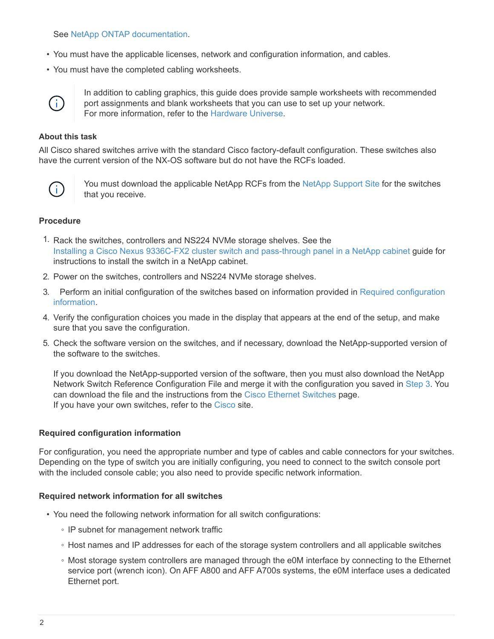See [NetApp ONTAP documentation.](https://docs.netapp.com/us-en/ontap/index.html)

- You must have the applicable licenses, network and configuration information, and cables.
- You must have the completed cabling worksheets.



In addition to cabling graphics, this guide does provide sample worksheets with recommended port assignments and blank worksheets that you can use to set up your network. For more information, refer to the [Hardware Universe.](https://hwu.netapp.com)

#### **About this task**

All Cisco shared switches arrive with the standard Cisco factory-default configuration. These switches also have the current version of the NX-OS software but do not have the RCFs loaded.



You must download the applicable NetApp RCFs from the [NetApp Support Site](https://mysupport.netapp.com) for the switches that you receive.

#### **Procedure**

- 1. Rack the switches, controllers and NS224 NVMe storage shelves. See the [Installing a Cisco Nexus 9336C-FX2 cluster switch and pass-through panel in a NetApp cabinet](https://docs.netapp.com/platstor/topic/com.netapp.doc.hw-sw-9336c-install-cabinet/GUID-92287262-E7A6-4A62-B159-7F148097B33B.html) guide for instructions to install the switch in a NetApp cabinet.
- 2. Power on the switches, controllers and NS224 NVMe storage shelves.
- <span id="page-3-1"></span>3. Perform an initial configuration of the switches based on information provided in [Required configuration](#page-3-0) [information](#page-3-0).
- 4. Verify the configuration choices you made in the display that appears at the end of the setup, and make sure that you save the configuration.
- 5. Check the software version on the switches, and if necessary, download the NetApp-supported version of the software to the switches.

If you download the NetApp-supported version of the software, then you must also download the NetApp Network Switch Reference Configuration File and merge it with the configuration you saved in [Step 3](#page-3-1). You can download the file and the instructions from the [Cisco Ethernet Switches](https://mysupport.netapp.com/site/info/cisco-ethernet-switch) page. If you have your own switches, refer to the [Cisco](http://www.cisco.com) site.

#### <span id="page-3-0"></span>**Required configuration information**

For configuration, you need the appropriate number and type of cables and cable connectors for your switches. Depending on the type of switch you are initially configuring, you need to connect to the switch console port with the included console cable; you also need to provide specific network information.

#### **Required network information for all switches**

- You need the following network information for all switch configurations:
	- IP subnet for management network traffic
	- Host names and IP addresses for each of the storage system controllers and all applicable switches
	- Most storage system controllers are managed through the e0M interface by connecting to the Ethernet service port (wrench icon). On AFF A800 and AFF A700s systems, the e0M interface uses a dedicated Ethernet port.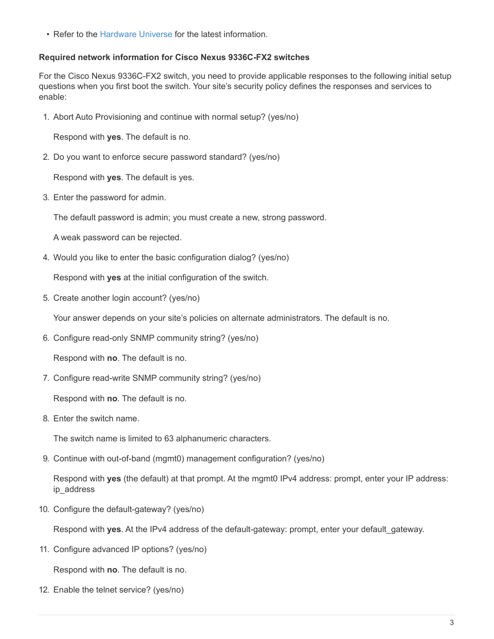• Refer to the [Hardware Universe](https://hwu.netapp.com) for the latest information.

#### **Required network information for Cisco Nexus 9336C-FX2 switches**

For the Cisco Nexus 9336C-FX2 switch, you need to provide applicable responses to the following initial setup questions when you first boot the switch. Your site's security policy defines the responses and services to enable:

1. Abort Auto Provisioning and continue with normal setup? (yes/no)

Respond with **yes**. The default is no.

2. Do you want to enforce secure password standard? (yes/no)

Respond with **yes**. The default is yes.

3. Enter the password for admin.

The default password is admin; you must create a new, strong password.

A weak password can be rejected.

4. Would you like to enter the basic configuration dialog? (yes/no)

Respond with **yes** at the initial configuration of the switch.

5. Create another login account? (yes/no)

Your answer depends on your site's policies on alternate administrators. The default is no.

6. Configure read-only SNMP community string? (yes/no)

Respond with **no**. The default is no.

7. Configure read-write SNMP community string? (yes/no)

Respond with **no**. The default is no.

8. Enter the switch name.

The switch name is limited to 63 alphanumeric characters.

9. Continue with out-of-band (mgmt0) management configuration? (yes/no)

Respond with **yes** (the default) at that prompt. At the mgmt0 IPv4 address: prompt, enter your IP address: ip\_address

10. Configure the default-gateway? (yes/no)

Respond with **yes**. At the IPv4 address of the default-gateway: prompt, enter your default\_gateway.

11. Configure advanced IP options? (yes/no)

Respond with **no**. The default is no.

12. Enable the telnet service? (yes/no)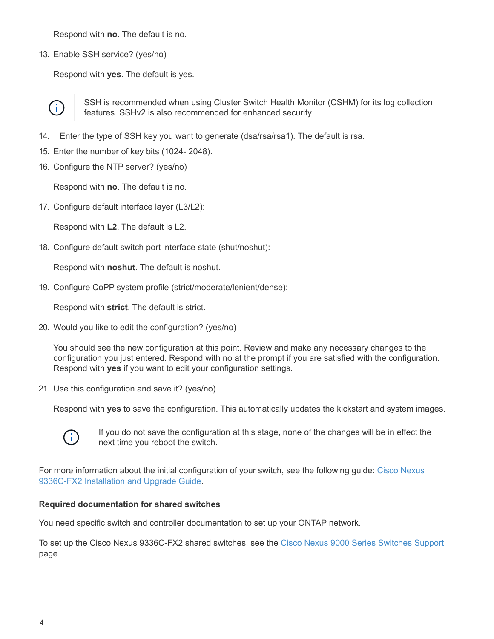Respond with **no**. The default is no.

13. Enable SSH service? (yes/no)

Respond with **yes**. The default is yes.



SSH is recommended when using Cluster Switch Health Monitor (CSHM) for its log collection features. SSHv2 is also recommended for enhanced security.

- 14. Enter the type of SSH key you want to generate (dsa/rsa/rsa1). The default is rsa.
- 15. Enter the number of key bits (1024- 2048).
- 16. Configure the NTP server? (yes/no)

Respond with **no**. The default is no.

17. Configure default interface layer (L3/L2):

Respond with **L2**. The default is L2.

18. Configure default switch port interface state (shut/noshut):

Respond with **noshut**. The default is noshut.

19. Configure CoPP system profile (strict/moderate/lenient/dense):

Respond with **strict**. The default is strict.

20. Would you like to edit the configuration? (yes/no)

You should see the new configuration at this point. Review and make any necessary changes to the configuration you just entered. Respond with no at the prompt if you are satisfied with the configuration. Respond with **yes** if you want to edit your configuration settings.

21. Use this configuration and save it? (yes/no)

Respond with **yes** to save the configuration. This automatically updates the kickstart and system images.



If you do not save the configuration at this stage, none of the changes will be in effect the next time you reboot the switch.

For more information about the initial configuration of your switch, see the following guide: [Cisco Nexus](https://www.cisco.com/c/en/us/td/docs/dcn/hw/nx-os/nexus9000/9336c-fx2-e/cisco-nexus-9336c-fx2-e-nx-os-mode-switch-hardware-installation-guide.html) [9336C-FX2 Installation and Upgrade Guide](https://www.cisco.com/c/en/us/td/docs/dcn/hw/nx-os/nexus9000/9336c-fx2-e/cisco-nexus-9336c-fx2-e-nx-os-mode-switch-hardware-installation-guide.html).

#### <span id="page-5-0"></span>**Required documentation for shared switches**

You need specific switch and controller documentation to set up your ONTAP network.

To set up the Cisco Nexus 9336C-FX2 shared switches, see the [Cisco Nexus 9000 Series Switches Support](https://www.cisco.com/c/en/us/support/switches/nexus-9000-series-switches/series.html) page.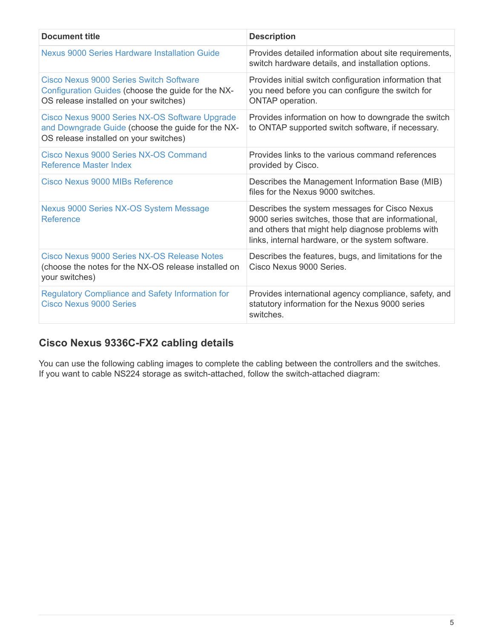| <b>Document title</b>                                                                                                                          | <b>Description</b>                                                                                                                                                                                             |
|------------------------------------------------------------------------------------------------------------------------------------------------|----------------------------------------------------------------------------------------------------------------------------------------------------------------------------------------------------------------|
| Nexus 9000 Series Hardware Installation Guide                                                                                                  | Provides detailed information about site requirements,<br>switch hardware details, and installation options.                                                                                                   |
| <b>Cisco Nexus 9000 Series Switch Software</b><br>Configuration Guides (choose the guide for the NX-<br>OS release installed on your switches) | Provides initial switch configuration information that<br>you need before you can configure the switch for<br>ONTAP operation.                                                                                 |
| Cisco Nexus 9000 Series NX-OS Software Upgrade<br>and Downgrade Guide (choose the guide for the NX-<br>OS release installed on your switches)  | Provides information on how to downgrade the switch<br>to ONTAP supported switch software, if necessary.                                                                                                       |
| Cisco Nexus 9000 Series NX-OS Command<br>Reference Master Index                                                                                | Provides links to the various command references<br>provided by Cisco.                                                                                                                                         |
| Cisco Nexus 9000 MIBs Reference                                                                                                                | Describes the Management Information Base (MIB)<br>files for the Nexus 9000 switches.                                                                                                                          |
| Nexus 9000 Series NX-OS System Message<br>Reference                                                                                            | Describes the system messages for Cisco Nexus<br>9000 series switches, those that are informational,<br>and others that might help diagnose problems with<br>links, internal hardware, or the system software. |
| Cisco Nexus 9000 Series NX-OS Release Notes<br>(choose the notes for the NX-OS release installed on<br>your switches)                          | Describes the features, bugs, and limitations for the<br>Cisco Nexus 9000 Series.                                                                                                                              |
| <b>Regulatory Compliance and Safety Information for</b><br><b>Cisco Nexus 9000 Series</b>                                                      | Provides international agency compliance, safety, and<br>statutory information for the Nexus 9000 series<br>switches.                                                                                          |

## **Cisco Nexus 9336C-FX2 cabling details**

You can use the following cabling images to complete the cabling between the controllers and the switches. If you want to cable NS224 storage as switch-attached, follow the switch-attached diagram: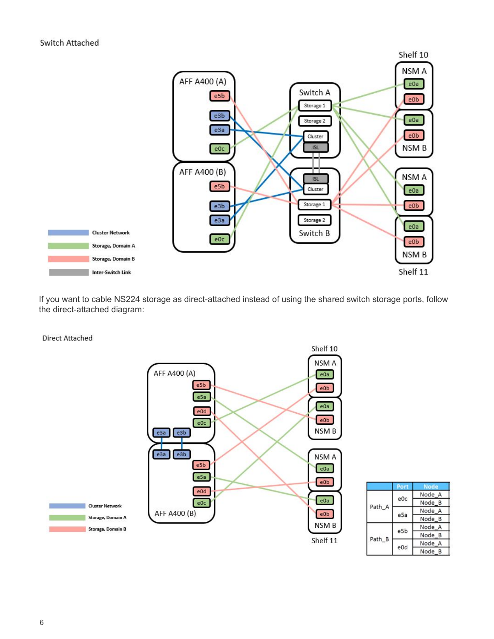

If you want to cable NS224 storage as direct-attached instead of using the shared switch storage ports, follow the direct-attached diagram:

**Direct Attached** 



|        | Port            | <b>Node</b> |
|--------|-----------------|-------------|
| Path A |                 | Node A      |
|        | e0c             | Node B      |
|        |                 | Node A      |
|        | e <sub>5a</sub> | Node B      |
| Path_B |                 | Node A      |
|        | e5b             | Node B      |
|        |                 | Node A      |
|        | e0d             | Node B      |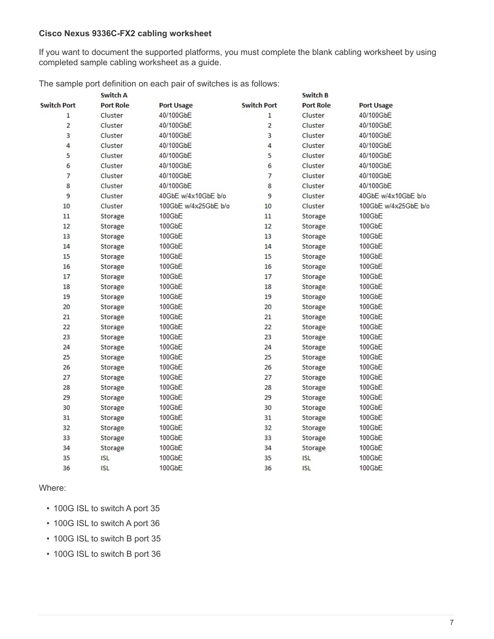#### **Cisco Nexus 9336C-FX2 cabling worksheet**

If you want to document the supported platforms, you must complete the blank cabling worksheet by using completed sample cabling worksheet as a guide.

The sample port definition on each pair of switches is as follows:

|                    | <b>Switch A</b>  |                      |                    | Switch B         |                      |
|--------------------|------------------|----------------------|--------------------|------------------|----------------------|
| <b>Switch Port</b> | <b>Port Role</b> | <b>Port Usage</b>    | <b>Switch Port</b> | <b>Port Role</b> | <b>Port Usage</b>    |
| $\mathbf{1}$       | Cluster          | 40/100GbE            | $\mathbf{1}$       | Cluster          | 40/100GbE            |
| $\overline{2}$     | Cluster          | 40/100GbE            | $\overline{2}$     | Cluster          | 40/100GbE            |
| 3                  | Cluster          | 40/100GbE            | 3                  | Cluster          | 40/100GbE            |
| 4                  | Cluster          | 40/100GbE            | 4                  | Cluster          | 40/100GbE            |
| 5                  | Cluster          | 40/100GbE            | 5                  | Cluster          | 40/100GbE            |
| 6                  | Cluster          | 40/100GbE            | 6                  | Cluster          | 40/100GbE            |
| $\overline{7}$     | Cluster          | 40/100GbE            | $\overline{7}$     | Cluster          | 40/100GbE            |
| 8                  | Cluster          | 40/100GbE            | 8                  | Cluster          | 40/100GbE            |
| 9                  | Cluster          | 40GbE w/4x10GbE b/o  | 9                  | Cluster          | 40GbE w/4x10GbE b/o  |
| 10                 | Cluster          | 100GbE w/4x25GbE b/o | 10                 | Cluster          | 100GbE w/4x25GbE b/o |
| 11                 | Storage          | 100GbE               | 11                 | Storage          | 100GbE               |
| 12                 | Storage          | 100GbE               | 12                 | Storage          | 100GbE               |
| 13                 | Storage          | 100GbE               | 13                 | Storage          | 100GbE               |
| 14                 | Storage          | 100GbE               | 14                 | Storage          | 100GbE               |
| 15                 | Storage          | 100GbE               | 15                 | Storage          | 100GbE               |
| 16                 | Storage          | 100GbE               | 16                 | Storage          | 100GbE               |
| 17                 | Storage          | 100GbE               | 17                 | Storage          | 100GbE               |
| 18                 | Storage          | 100GbE               | 18                 | Storage          | 100GbE               |
| 19                 | Storage          | 100GbE               | 19                 | Storage          | 100GbE               |
| 20                 | Storage          | 100GbE               | 20                 | Storage          | 100GbE               |
| 21                 | Storage          | 100GbE               | 21                 | Storage          | 100GbE               |
| 22                 | Storage          | 100GbE               | 22                 | Storage          | 100GbE               |
| 23                 | Storage          | 100GbE               | 23                 | Storage          | 100GbE               |
| 24                 | Storage          | 100GbE               | 24                 | Storage          | 100GbE               |
| 25                 | Storage          | 100GbE               | 25                 | Storage          | 100GbE               |
| 26                 | Storage          | 100GbE               | 26                 | Storage          | 100GbE               |
| 27                 | Storage          | 100GbE               | 27                 | Storage          | 100GbE               |
| 28                 | Storage          | 100GbE               | 28                 | Storage          | 100GbE               |
| 29                 | Storage          | 100GbE               | 29                 | Storage          | 100GbE               |
| 30                 | Storage          | 100GbE               | 30                 | Storage          | 100GbE               |
| 31                 | Storage          | 100GbE               | 31                 | Storage          | 100GbE               |
| 32                 | Storage          | 100GbE               | 32                 | Storage          | 100GbE               |
| 33                 | Storage          | 100GbE               | 33                 | Storage          | 100GbE               |
| 34                 | Storage          | 100GbE               | 34                 | Storage          | 100GbE               |
| 35                 | ISL              | 100GbE               | 35                 | <b>ISL</b>       | 100GbE               |
| 36                 | <b>ISL</b>       | 100GbE               | 36                 | <b>ISL</b>       | $100$ GbE            |
|                    |                  |                      |                    |                  |                      |

Where:

- 100G ISL to switch A port 35
- 100G ISL to switch A port 36
- 100G ISL to switch B port 35
- 100G ISL to switch B port 36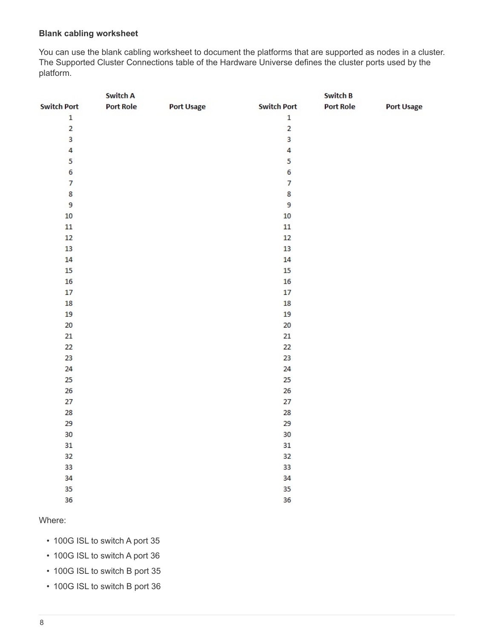#### **Blank cabling worksheet**

You can use the blank cabling worksheet to document the platforms that are supported as nodes in a cluster. The Supported Cluster Connections table of the Hardware Universe defines the cluster ports used by the platform.

|                         | <b>Switch A</b>  |                   |                         | <b>Switch B</b>  |                   |
|-------------------------|------------------|-------------------|-------------------------|------------------|-------------------|
| <b>Switch Port</b>      | <b>Port Role</b> | <b>Port Usage</b> | <b>Switch Port</b>      | <b>Port Role</b> | <b>Port Usage</b> |
| $\mathbf 1$             |                  |                   | $\mathbf 1$             |                  |                   |
| $\overline{2}$          |                  |                   | $\overline{2}$          |                  |                   |
| $\overline{\mathbf{3}}$ |                  |                   | 3                       |                  |                   |
| $\overline{a}$          |                  |                   | $\overline{\mathbf{4}}$ |                  |                   |
| 5                       |                  |                   | 5                       |                  |                   |
| $\boldsymbol{6}$        |                  |                   | 6                       |                  |                   |
| $\overline{7}$          |                  |                   | $\overline{7}$          |                  |                   |
| $\bf 8$                 |                  |                   | 8                       |                  |                   |
| 9                       |                  |                   | $\overline{9}$          |                  |                   |
| 10                      |                  |                   | 10                      |                  |                   |
| 11                      |                  |                   | 11                      |                  |                   |
| 12                      |                  |                   | 12                      |                  |                   |
| 13                      |                  |                   | 13                      |                  |                   |
| 14                      |                  |                   | 14                      |                  |                   |
| 15                      |                  |                   | 15                      |                  |                   |
| 16                      |                  |                   | 16                      |                  |                   |
| 17                      |                  |                   | 17                      |                  |                   |
| 18                      |                  |                   | 18                      |                  |                   |
| 19                      |                  |                   | 19                      |                  |                   |
| 20                      |                  |                   | 20                      |                  |                   |
| 21                      |                  |                   | 21                      |                  |                   |
| 22                      |                  |                   | 22                      |                  |                   |
| 23                      |                  |                   | 23                      |                  |                   |
| 24                      |                  |                   | 24                      |                  |                   |
| 25                      |                  |                   | 25                      |                  |                   |
| 26                      |                  |                   | 26                      |                  |                   |
| 27                      |                  |                   | 27                      |                  |                   |
| 28                      |                  |                   | 28                      |                  |                   |
| 29                      |                  |                   | 29                      |                  |                   |
| 30                      |                  |                   | 30                      |                  |                   |
| 31                      |                  |                   | 31                      |                  |                   |
| 32                      |                  |                   | 32                      |                  |                   |
| 33                      |                  |                   | 33                      |                  |                   |
| 34                      |                  |                   | 34                      |                  |                   |
| 35                      |                  |                   | 35                      |                  |                   |
| 36                      |                  |                   | 36                      |                  |                   |
|                         |                  |                   |                         |                  |                   |

#### Where:

- 100G ISL to switch A port 35
- 100G ISL to switch A port 36
- 100G ISL to switch B port 35
- 100G ISL to switch B port 36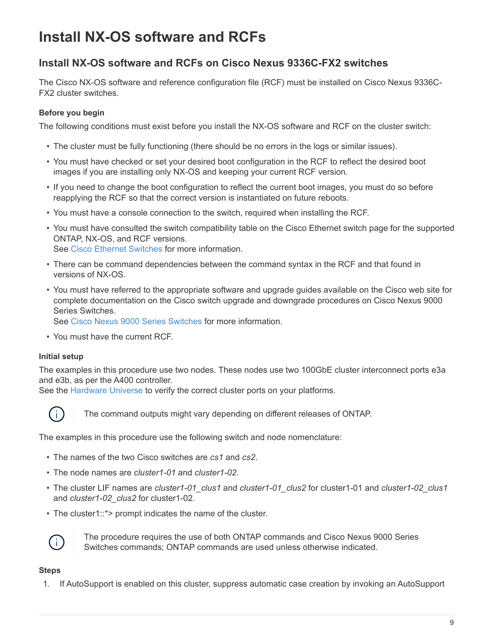# <span id="page-10-0"></span>**Install NX-OS software and RCFs**

### **Install NX-OS software and RCFs on Cisco Nexus 9336C-FX2 switches**

The Cisco NX-OS software and reference configuration file (RCF) must be installed on Cisco Nexus 9336C-FX2 cluster switches.

#### **Before you begin**

The following conditions must exist before you install the NX-OS software and RCF on the cluster switch:

- The cluster must be fully functioning (there should be no errors in the logs or similar issues).
- You must have checked or set your desired boot configuration in the RCF to reflect the desired boot images if you are installing only NX-OS and keeping your current RCF version.
- If you need to change the boot configuration to reflect the current boot images, you must do so before reapplying the RCF so that the correct version is instantiated on future reboots.
- You must have a console connection to the switch, required when installing the RCF.
- You must have consulted the switch compatibility table on the Cisco Ethernet switch page for the supported ONTAP, NX-OS, and RCF versions. See [Cisco Ethernet Switches](https://mysupport.netapp.com/site/info/cisco-ethernet-switch) for more information.
- There can be command dependencies between the command syntax in the RCF and that found in versions of NX-OS.
- You must have referred to the appropriate software and upgrade guides available on the Cisco web site for complete documentation on the Cisco switch upgrade and downgrade procedures on Cisco Nexus 9000 Series Switches.

See [Cisco Nexus 9000 Series Switches](https://www.cisco.com/c/en/us/support/switches/nexus-9336c-fx2-switch/model.html) for more information.

• You must have the current RCF.

#### **Initial setup**

The examples in this procedure use two nodes. These nodes use two 100GbE cluster interconnect ports e3a and e3b, as per the A400 controller.

See the [Hardware Universe](https://hwu.netapp.com) to verify the correct cluster ports on your platforms.



The command outputs might vary depending on different releases of ONTAP.

The examples in this procedure use the following switch and node nomenclature:

- The names of the two Cisco switches are *cs1* and *cs2*.
- The node names are *cluster1-01* and *cluster1-02*.
- The cluster LIF names are *cluster1-01\_clus1* and *cluster1-01\_clus2* for cluster1-01 and *cluster1-02\_clus1* and *cluster1-02\_clus2* for cluster1-02.
- The cluster1::\*> prompt indicates the name of the cluster.



The procedure requires the use of both ONTAP commands and Cisco Nexus 9000 Series Switches commands; ONTAP commands are used unless otherwise indicated.

#### **Steps**

1. If AutoSupport is enabled on this cluster, suppress automatic case creation by invoking an AutoSupport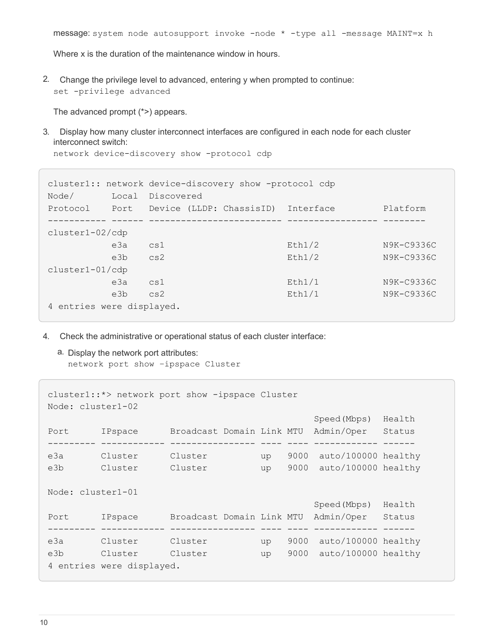Where x is the duration of the maintenance window in hours.

2. Change the privilege level to advanced, entering y when prompted to continue: set -privilege advanced

The advanced prompt (\*>) appears.

3. Display how many cluster interconnect interfaces are configured in each node for each cluster interconnect switch:

network device-discovery show -protocol cdp

```
cluster1:: network device-discovery show -protocol cdp
Node/ Local Discovered
Protocol Port Device (LLDP: ChassisID) Interface Platform
----------- ------ ------------------------- ----------------- --------
cluster1-02/cdp
        e3a cs1 Eth1/2 N9K-C9336C
        e3b cs2 Eth1/2 N9K-C9336C
cluster1-01/cdp
        e3a cs1 Eth1/1 N9K-C9336C
        e3b cs2 Eth1/1 N9K-C9336C
4 entries were displayed.
```
- 4. Check the administrative or operational status of each cluster interface:
	- a. Display the network port attributes: network port show –ipspace Cluster

```
cluster1::*> network port show -ipspace Cluster
Node: cluster1-02
                                            Speed(Mbps) Health
Port IPspace Broadcast Domain Link MTU Admin/Oper Status
--------- ------------ ---------------- ---- ---- ------------ ------
e3a Cluster Cluster up 9000 auto/100000 healthy
e3b Cluster Cluster up 9000 auto/100000 healthy
Node: cluster1-01
                                            Speed(Mbps) Health
Port IPspace Broadcast Domain Link MTU Admin/Oper Status
--------- ------------ ---------------- ---- ---- ------------ ------
e3a Cluster Cluster up 9000 auto/100000 healthy
e3b Cluster Cluster up 9000 auto/100000 healthy
4 entries were displayed.
```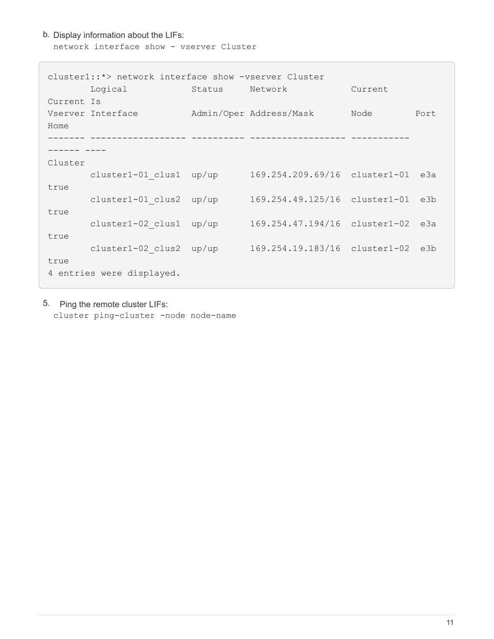#### b. Display information about the LIFs: network interface show - vserver Cluster

| cluster1::*> network interface show -vserver Cluster |                         |        |                                   |         |      |
|------------------------------------------------------|-------------------------|--------|-----------------------------------|---------|------|
|                                                      | Logical                 | Status | Network                           | Current |      |
| Current Is                                           |                         |        |                                   |         |      |
|                                                      | Vserver Interface       |        | Admin/Oper Address/Mask           | Node    | Port |
| Home                                                 |                         |        |                                   |         |      |
|                                                      |                         |        |                                   |         |      |
|                                                      |                         |        |                                   |         |      |
| Cluster                                              |                         |        |                                   |         |      |
| true                                                 | cluster1-01 clus1 up/up |        | 169.254.209.69/16 cluster1-01 e3a |         |      |
|                                                      | cluster1-01 clus2 up/up |        | 169.254.49.125/16 cluster1-01 e3b |         |      |
| true                                                 |                         |        |                                   |         |      |
|                                                      | cluster1-02 clus1 up/up |        | 169.254.47.194/16 cluster1-02 e3a |         |      |
| true                                                 |                         |        |                                   |         |      |
|                                                      | cluster1-02 clus2 up/up |        | 169.254.19.183/16 cluster1-02 e3b |         |      |
| true                                                 |                         |        |                                   |         |      |
| 4 entries were displayed.                            |                         |        |                                   |         |      |

5. Ping the remote cluster LIFs:

cluster ping-cluster -node node-name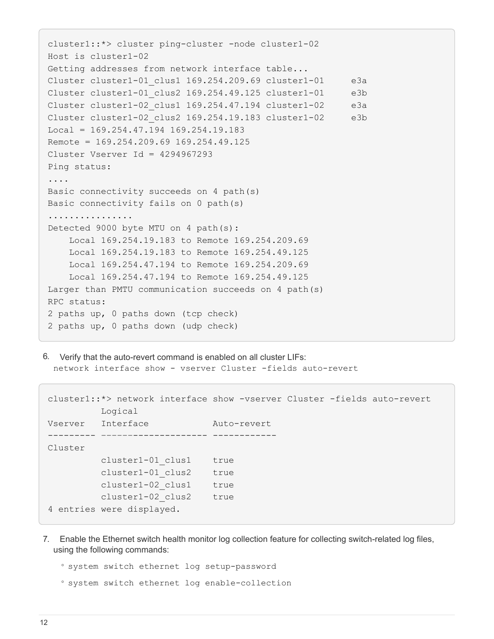```
cluster1::*> cluster ping-cluster -node cluster1-02
Host is cluster1-02
Getting addresses from network interface table...
Cluster cluster1-01_clus1 169.254.209.69 cluster1-01 e3a
Cluster cluster1-01_clus2 169.254.49.125 cluster1-01 e3b
Cluster cluster1-02_clus1 169.254.47.194 cluster1-02 e3a
Cluster cluster1-02_clus2 169.254.19.183 cluster1-02 e3b
Local = 169.254.47.194 169.254.19.183Remote = 169.254.209.69 169.254.49.125
Cluster Vserver Id = 4294967293
Ping status:
....
Basic connectivity succeeds on 4 path(s)
Basic connectivity fails on 0 path(s)
................
Detected 9000 byte MTU on 4 path(s):
     Local 169.254.19.183 to Remote 169.254.209.69
     Local 169.254.19.183 to Remote 169.254.49.125
     Local 169.254.47.194 to Remote 169.254.209.69
      Local 169.254.47.194 to Remote 169.254.49.125
Larger than PMTU communication succeeds on 4 path(s)
RPC status:
2 paths up, 0 paths down (tcp check)
2 paths up, 0 paths down (udp check)
```
6. Verify that the auto-revert command is enabled on all cluster LIFs: network interface show - vserver Cluster -fields auto-revert

```
cluster1::*> network interface show -vserver Cluster -fields auto-revert
          Logical
Vserver Interface Auto-revert
--------- ––––––-------------- ------------
Cluster
           cluster1-01_clus1 true
           cluster1-01_clus2 true
           cluster1-02_clus1 true
           cluster1-02_clus2 true
4 entries were displayed.
```
7. Enable the Ethernet switch health monitor log collection feature for collecting switch-related log files, using the following commands:

◦ system switch ethernet log setup-password

◦ system switch ethernet log enable-collection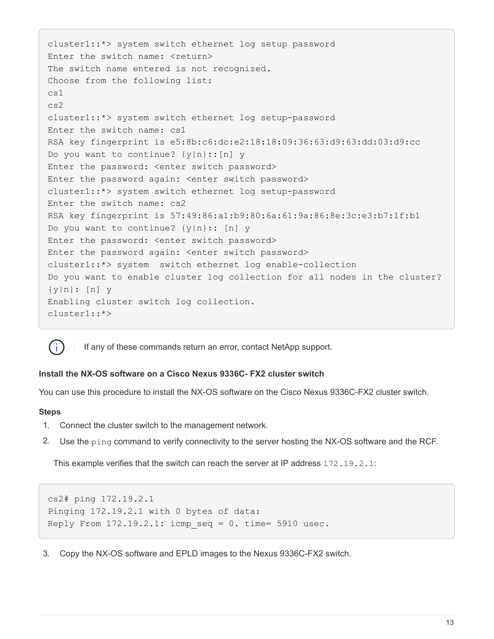```
cluster1::*> system switch ethernet log setup password
Enter the switch name: <return>
The switch name entered is not recognized.
Choose from the following list:
cs1
cs2
cluster1::*> system switch ethernet log setup-password
Enter the switch name: cs1
RSA key fingerprint is e5:8b:c6:dc:e2:18:18:09:36:63:d9:63:dd:03:d9:cc
Do you want to continue? {y|n}::[n] y
Enter the password: < enter switch password>
Enter the password again: <enter switch password>
cluster1::*> system switch ethernet log setup-password
Enter the switch name: cs2
RSA key fingerprint is 57:49:86:a1:b9:80:6a:61:9a:86:8e:3c:e3:b7:1f:b1
Do you want to continue? {y|n}:: [n] y
Enter the password: <enter switch password>
Enter the password again: <enter switch password>
cluster1::*> system switch ethernet log enable-collection
Do you want to enable cluster log collection for all nodes in the cluster?
{y|n}: [n] y
Enabling cluster switch log collection.
cluster1::*>
```


If any of these commands return an error, contact NetApp support.

#### **Install the NX-OS software on a Cisco Nexus 9336C- FX2 cluster switch**

You can use this procedure to install the NX-OS software on the Cisco Nexus 9336C-FX2 cluster switch.

#### **Steps**

- 1. Connect the cluster switch to the management network.
- 2. Use the ping command to verify connectivity to the server hosting the NX-OS software and the RCF.

This example verifies that the switch can reach the server at IP address 172.19.2.1:

```
cs2# ping 172.19.2.1
Pinging 172.19.2.1 with 0 bytes of data:
Reply From 172.19.2.1: icmp seq = 0. time= 5910 usec.
```
3. Copy the NX-OS software and EPLD images to the Nexus 9336C-FX2 switch.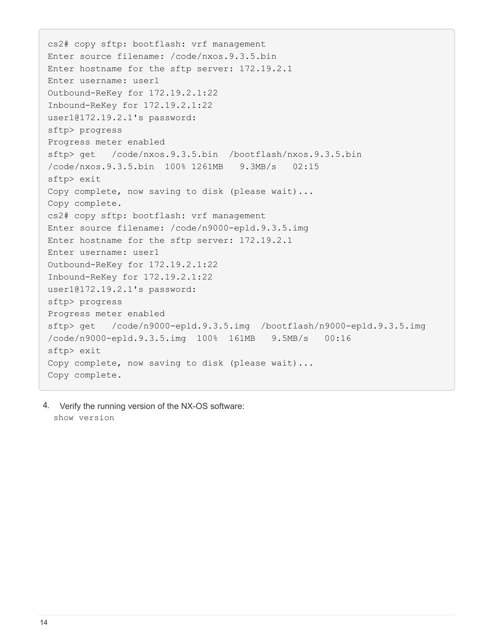cs2# copy sftp: bootflash: vrf management Enter source filename: /code/nxos.9.3.5.bin Enter hostname for the sftp server: 172.19.2.1 Enter username: user1 Outbound-ReKey for 172.19.2.1:22 Inbound-ReKey for 172.19.2.1:22 user1@172.19.2.1's password: sftp> progress Progress meter enabled sftp> get /code/nxos.9.3.5.bin /bootflash/nxos.9.3.5.bin /code/nxos.9.3.5.bin 100% 1261MB 9.3MB/s 02:15 sftp> exit Copy complete, now saving to disk (please wait)... Copy complete. cs2# copy sftp: bootflash: vrf management Enter source filename: /code/n9000-epld.9.3.5.img Enter hostname for the sftp server: 172.19.2.1 Enter username: user1 Outbound-ReKey for 172.19.2.1:22 Inbound-ReKey for 172.19.2.1:22 user1@172.19.2.1's password: sftp> progress Progress meter enabled sftp> get /code/n9000-epld.9.3.5.img /bootflash/n9000-epld.9.3.5.img /code/n9000-epld.9.3.5.img 100% 161MB 9.5MB/s 00:16 sftp> exit Copy complete, now saving to disk (please wait)... Copy complete.

4. Verify the running version of the NX-OS software: show version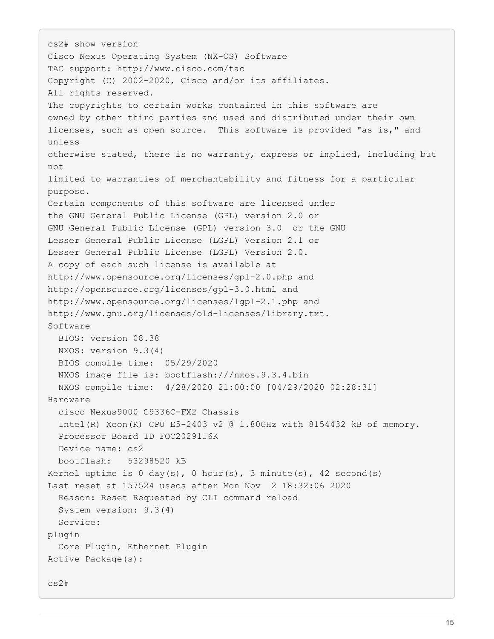```
cs2# show version
Cisco Nexus Operating System (NX-OS) Software
TAC support: http://www.cisco.com/tac
Copyright (C) 2002-2020, Cisco and/or its affiliates.
All rights reserved.
The copyrights to certain works contained in this software are
owned by other third parties and used and distributed under their own
licenses, such as open source. This software is provided "as is," and
unless
otherwise stated, there is no warranty, express or implied, including but
not
limited to warranties of merchantability and fitness for a particular
purpose.
Certain components of this software are licensed under
the GNU General Public License (GPL) version 2.0 or
GNU General Public License (GPL) version 3.0 or the GNU
Lesser General Public License (LGPL) Version 2.1 or
Lesser General Public License (LGPL) Version 2.0.
A copy of each such license is available at
http://www.opensource.org/licenses/gpl-2.0.php and
http://opensource.org/licenses/gpl-3.0.html and
http://www.opensource.org/licenses/lgpl-2.1.php and
http://www.gnu.org/licenses/old-licenses/library.txt.
Software
    BIOS: version 08.38
   NXOS: version 9.3(4)
    BIOS compile time: 05/29/2020
    NXOS image file is: bootflash:///nxos.9.3.4.bin
    NXOS compile time: 4/28/2020 21:00:00 [04/29/2020 02:28:31]
Hardware
    cisco Nexus9000 C9336C-FX2 Chassis
    Intel(R) Xeon(R) CPU E5-2403 v2 @ 1.80GHz with 8154432 kB of memory.
    Processor Board ID FOC20291J6K
    Device name: cs2
    bootflash: 53298520 kB
Kernel uptime is 0 \, \text{day}(s), 0 \, \text{hour}(s), 3 \, \text{minute}(s), 42 \, \text{second}(s)Last reset at 157524 usecs after Mon Nov 2 18:32:06 2020
    Reason: Reset Requested by CLI command reload
    System version: 9.3(4)
    Service:
plugin
    Core Plugin, Ethernet Plugin
Active Package(s):
cs2#
```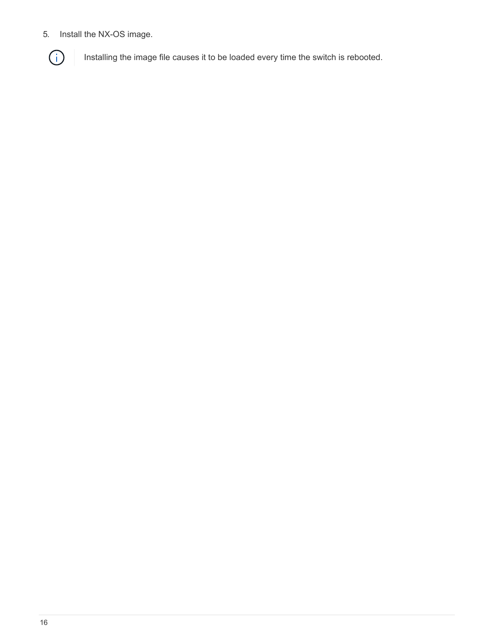5. Install the NX-OS image.



Installing the image file causes it to be loaded every time the switch is rebooted.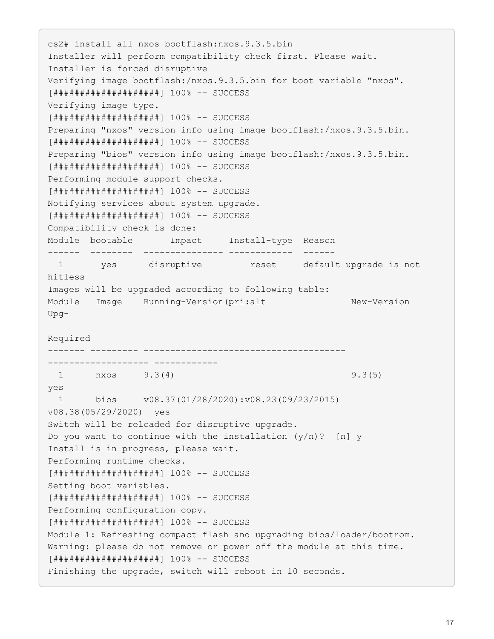cs2# install all nxos bootflash:nxos.9.3.5.bin Installer will perform compatibility check first. Please wait. Installer is forced disruptive Verifying image bootflash:/nxos.9.3.5.bin for boot variable "nxos". [####################] 100% -- SUCCESS Verifying image type. [####################] 100% -- SUCCESS Preparing "nxos" version info using image bootflash:/nxos.9.3.5.bin. [####################] 100% -- SUCCESS Preparing "bios" version info using image bootflash:/nxos.9.3.5.bin. [####################] 100% -- SUCCESS Performing module support checks. [####################] 100% -- SUCCESS Notifying services about system upgrade. [####################] 100% -- SUCCESS Compatibility check is done: Module bootable Impact Install-type Reason ------ -------- --------------- ------------ ------ 1 yes disruptive reset default upgrade is not hitless Images will be upgraded according to following table: Module Image Running-Version(pri:alt New-Version Upg-Required ------- --------- -------------------------------------- ------------------- ------------ 1 nxos 9.3(4) 9.3(5) yes 1 bios v08.37(01/28/2020):v08.23(09/23/2015) v08.38(05/29/2020) yes Switch will be reloaded for disruptive upgrade. Do you want to continue with the installation  $(y/n)$ ? [n] y Install is in progress, please wait. Performing runtime checks. [####################] 100% -- SUCCESS Setting boot variables. [####################] 100% -- SUCCESS Performing configuration copy. [####################] 100% -- SUCCESS Module 1: Refreshing compact flash and upgrading bios/loader/bootrom. Warning: please do not remove or power off the module at this time. [####################] 100% -- SUCCESS Finishing the upgrade, switch will reboot in 10 seconds.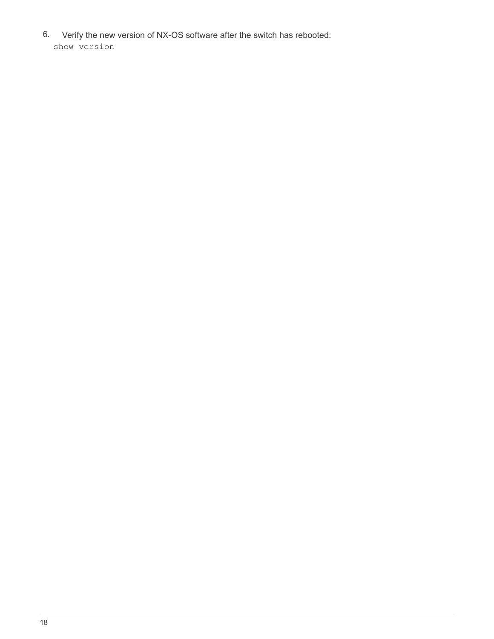6. Verify the new version of NX-OS software after the switch has rebooted: show version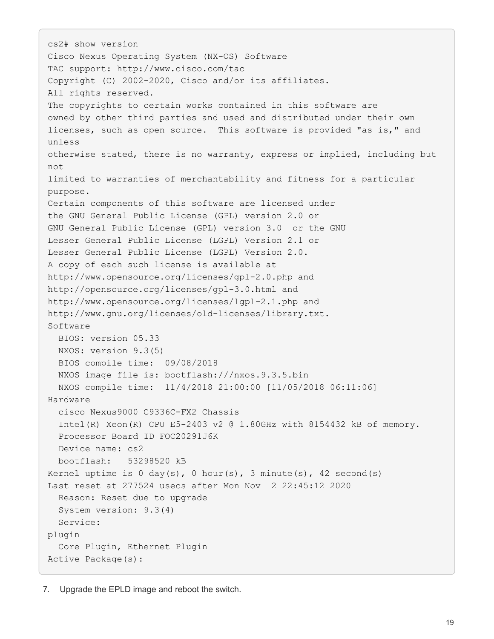```
cs2# show version
Cisco Nexus Operating System (NX-OS) Software
TAC support: http://www.cisco.com/tac
Copyright (C) 2002-2020, Cisco and/or its affiliates.
All rights reserved.
The copyrights to certain works contained in this software are
owned by other third parties and used and distributed under their own
licenses, such as open source. This software is provided "as is," and
unless
otherwise stated, there is no warranty, express or implied, including but
not
limited to warranties of merchantability and fitness for a particular
purpose.
Certain components of this software are licensed under
the GNU General Public License (GPL) version 2.0 or
GNU General Public License (GPL) version 3.0 or the GNU
Lesser General Public License (LGPL) Version 2.1 or
Lesser General Public License (LGPL) Version 2.0.
A copy of each such license is available at
http://www.opensource.org/licenses/gpl-2.0.php and
http://opensource.org/licenses/gpl-3.0.html and
http://www.opensource.org/licenses/lgpl-2.1.php and
http://www.gnu.org/licenses/old-licenses/library.txt.
Software
    BIOS: version 05.33
    NXOS: version 9.3(5)
    BIOS compile time: 09/08/2018
    NXOS image file is: bootflash:///nxos.9.3.5.bin
    NXOS compile time: 11/4/2018 21:00:00 [11/05/2018 06:11:06]
Hardware
    cisco Nexus9000 C9336C-FX2 Chassis
    Intel(R) Xeon(R) CPU E5-2403 v2 @ 1.80GHz with 8154432 kB of memory.
    Processor Board ID FOC20291J6K
    Device name: cs2
    bootflash: 53298520 kB
Kernel uptime is 0 \, \text{day}(s), 0 \, \text{hour}(s), 3 \, \text{minute}(s), 42 \, \text{second}(s)Last reset at 277524 usecs after Mon Nov 2 22:45:12 2020
    Reason: Reset due to upgrade
    System version: 9.3(4)
    Service:
plugin
    Core Plugin, Ethernet Plugin
Active Package(s):
```
7. Upgrade the EPLD image and reboot the switch.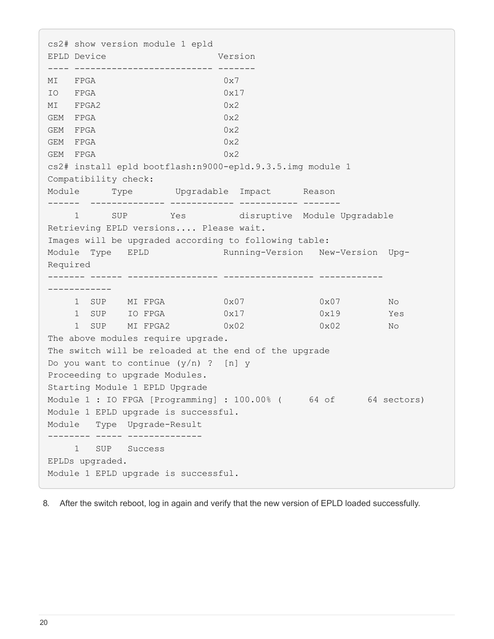cs2# show version module 1 epld EPLD Device Version ---- -------------------------- ------- MI FPGA 0x7 IO FPGA 0x17 MI FPGA2 0x2 GEM FPGA 0x2 GEM FPGA 0x2 GEM FPGA 0x2 GEM FPGA 0x2 cs2# install epld bootflash:n9000-epld.9.3.5.img module 1 Compatibility check: Module Type Upgradable Impact Reason ------ -------------- ------------ ----------- ------- 1 SUP Yes disruptive Module Upgradable Retrieving EPLD versions.... Please wait. Images will be upgraded according to following table: Module Type EPLD Running-Version New-Version Upg-Required ------- ------ ----------------- ----------------- ------------ ------------ 1 SUP MI FPGA 0x07 0x07 No 1 SUP IO FPGA  $0x17$  0x19 Yes 1 SUP MI FPGA2 0x02 0x02 0x02 The above modules require upgrade. The switch will be reloaded at the end of the upgrade Do you want to continue  $(y/n)$  ? [n] y Proceeding to upgrade Modules. Starting Module 1 EPLD Upgrade Module 1 : IO FPGA [Programming] : 100.00% (64 of 64 sectors) Module 1 EPLD upgrade is successful. Module Type Upgrade-Result -------- ----- -------------- 1 SUP Success EPLDs upgraded. Module 1 EPLD upgrade is successful.

8. After the switch reboot, log in again and verify that the new version of EPLD loaded successfully.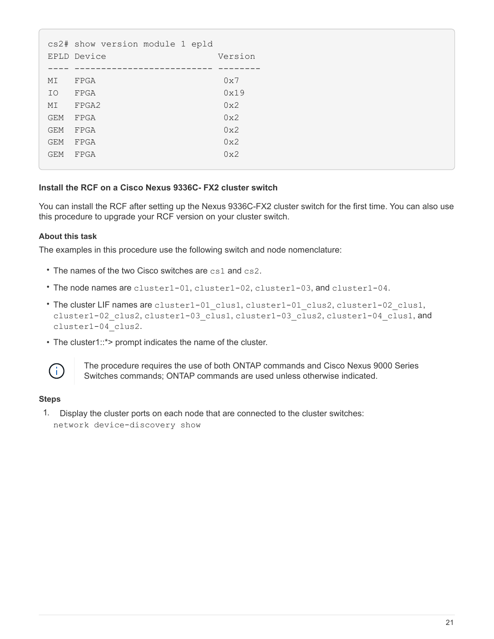|            | cs2# show version module 1 epld |         |
|------------|---------------------------------|---------|
|            | EPLD Device                     | Version |
|            |                                 |         |
| МI         | FPGA                            | 0x7     |
| IO         | FPGA                            | 0x19    |
| MI         | FPGA2                           | 0x2     |
| <b>GEM</b> | FPGA                            | 0x2     |
| <b>GEM</b> | FPGA                            | 0x2     |
| <b>GEM</b> | FPGA                            | 0x2     |
| <b>GEM</b> | FPGA                            | 0x2     |
|            |                                 |         |

#### **Install the RCF on a Cisco Nexus 9336C- FX2 cluster switch**

You can install the RCF after setting up the Nexus 9336C-FX2 cluster switch for the first time. You can also use this procedure to upgrade your RCF version on your cluster switch.

#### **About this task**

The examples in this procedure use the following switch and node nomenclature:

- The names of the two Cisco switches are cs1 and cs2.
- The node names are cluster1-01, cluster1-02, cluster1-03, and cluster1-04.
- The cluster LIF names are cluster1-01 clus1, cluster1-01 clus2, cluster1-02 clus1, cluster1-02 clus2, cluster1-03 clus1, cluster1-03 clus2, cluster1-04 clus1, and cluster1-04\_clus2.
- The cluster1::\*> prompt indicates the name of the cluster.



The procedure requires the use of both ONTAP commands and Cisco Nexus 9000 Series Switches commands; ONTAP commands are used unless otherwise indicated.

#### **Steps**

1. Display the cluster ports on each node that are connected to the cluster switches: network device-discovery show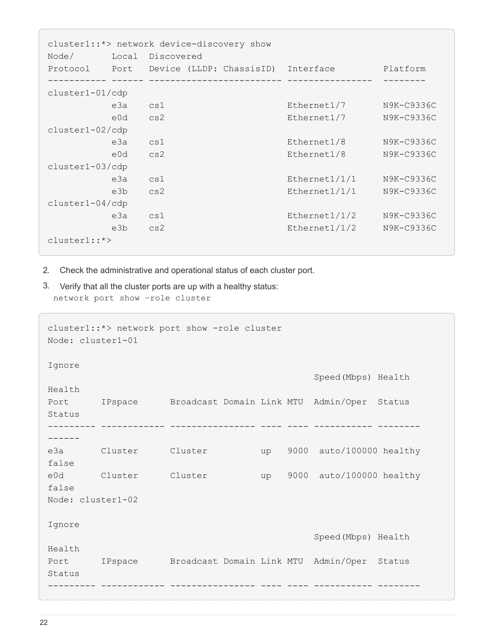| cluster1::*> network device-discovery show |       |                                         |               |            |  |  |
|--------------------------------------------|-------|-----------------------------------------|---------------|------------|--|--|
| Node/                                      | Local | Discovered                              |               |            |  |  |
| Protocol                                   |       | Port Device (LLDP: ChassisID) Interface |               | Platform   |  |  |
|                                            |       |                                         |               |            |  |  |
| $cluster1-01/cdp$                          |       |                                         |               |            |  |  |
|                                            | e3a   | cs1                                     | Ethernet1/7   | N9K-C9336C |  |  |
|                                            | e0d   | cs2                                     | Ethernet1/7   | N9K-C9336C |  |  |
| cluster1-02/cdp                            |       |                                         |               |            |  |  |
|                                            | e3a   | cs1                                     | Ethernet1/8   | N9K-C9336C |  |  |
|                                            | e0d   | cs2                                     | Ethernet1/8   | N9K-C9336C |  |  |
| cluster1-03/cdp                            |       |                                         |               |            |  |  |
|                                            | e3a   | cs1                                     | Ethernet1/1/1 | N9K-C9336C |  |  |
|                                            | e3b   | cs2                                     | Ethernet1/1/1 | N9K-C9336C |  |  |
| $cluster1-04/cdp$                          |       |                                         |               |            |  |  |
|                                            | e3a   | cs1                                     | Ethernet1/1/2 | N9K-C9336C |  |  |
|                                            | e3b   | cs2                                     | Ethernet1/1/2 | N9K-C9336C |  |  |
| $cluster1:$ *>                             |       |                                         |               |            |  |  |

- 2. Check the administrative and operational status of each cluster port.
- 3. Verify that all the cluster ports are up with a healthy status: network port show –role cluster

```
cluster1::*> network port show -role cluster
Node: cluster1-01
Ignore
                                              Speed(Mbps) Health
Health
Port IPspace Broadcast Domain Link MTU Admin/Oper Status
Status
--------- ------------ ---------------- ---- ---- ----------- --------
------
e3a Cluster Cluster up 9000 auto/100000 healthy
false
e0d Cluster Cluster up 9000 auto/100000 healthy
false
Node: cluster1-02
Ignore
                                              Speed(Mbps) Health
Health
Port IPspace Broadcast Domain Link MTU Admin/Oper Status
Status
--------- ------------ ---------------- ---- ---- ----------- --------
```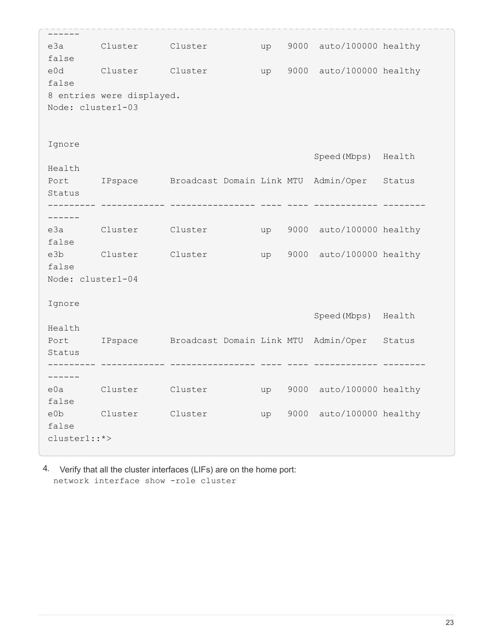```
------
e3a Cluster Cluster up 9000 auto/100000 healthy
false
e0d Cluster Cluster up 9000 auto/100000 healthy
false
8 entries were displayed.
Node: cluster1-03
Ignore
                                           Speed(Mbps) Health
Health
Port IPspace Broadcast Domain Link MTU Admin/Oper Status
Status
--------- ------------ ---------------- ---- ---- ------------ --------
------
e3a Cluster Cluster up 9000 auto/100000 healthy
false
e3b Cluster Cluster up 9000 auto/100000 healthy
false
Node: cluster1-04
Ignore
                                           Speed(Mbps) Health
Health
Port IPspace Broadcast Domain Link MTU Admin/Oper Status
Status
--------- ------------ ---------------- ---- ---- ------------ --------
------
e0a Cluster Cluster up 9000 auto/100000 healthy
false
e0b Cluster Cluster up 9000 auto/100000 healthy
false
cluster1::*>
```
4. Verify that all the cluster interfaces (LIFs) are on the home port: network interface show -role cluster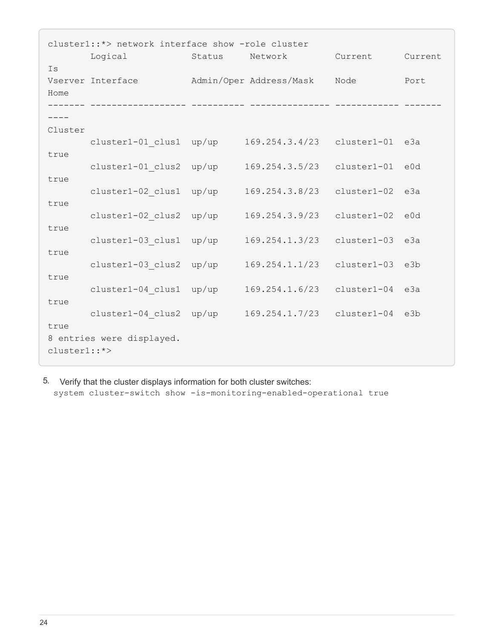| cluster1::*> network interface show -role cluster |                           |        |                         |                 |         |  |
|---------------------------------------------------|---------------------------|--------|-------------------------|-----------------|---------|--|
|                                                   | Logical                   | Status | Network                 | Current         | Current |  |
| Is<br>Home                                        | Vserver Interface         |        | Admin/Oper Address/Mask | Node            | Port    |  |
|                                                   |                           |        |                         |                 |         |  |
| Cluster                                           |                           |        |                         |                 |         |  |
|                                                   | cluster1-01 clus1 up/up   |        | 169.254.3.4/23          | cluster1-01 e3a |         |  |
| true                                              | cluster1-01 clus2 up/up   |        | 169.254.3.5/23          | cluster1-01 e0d |         |  |
| true                                              | cluster1-02 clus1         | up/up  | 169.254.3.8/23          | $cluster1-02$   | e3a     |  |
| true                                              | cluster1-02 clus2         | up/up  | 169.254.3.9/23          | cluster1-02 e0d |         |  |
| true                                              | cluster1-03 clus1         | up/up  | 169.254.1.3/23          | cluster1-03     | e3a     |  |
| true                                              | cluster1-03 clus2         | up/up  | 169.254.1.1/23          | cluster1-03     | e3b     |  |
| true                                              | cluster1-04 clus1         | up/up  | 169.254.1.6/23          | cluster1-04 e3a |         |  |
| true                                              | cluster1-04 clus2 up/up   |        | 169.254.1.7/23          | cluster1-04 e3b |         |  |
| true<br>cluster1::*>                              | 8 entries were displayed. |        |                         |                 |         |  |

5. Verify that the cluster displays information for both cluster switches: system cluster-switch show -is-monitoring-enabled-operational true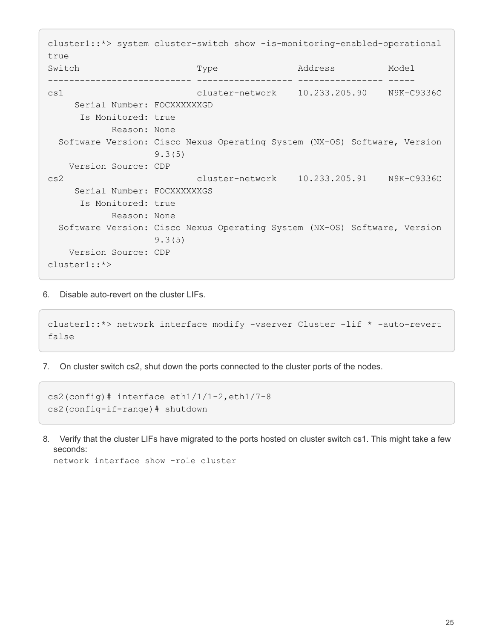cluster1::\*> system cluster-switch show -is-monitoring-enabled-operational true Switch Type Address Model --------------------------- ------------------ ---------------- ---- cs1 cluster-network 10.233.205.90 N9K-C9336C Serial Number: FOCXXXXXXGD Is Monitored: true Reason: None Software Version: Cisco Nexus Operating System (NX-OS) Software, Version 9.3(5) Version Source: CDP cs2 cluster-network 10.233.205.91 N9K-C9336C Serial Number: FOCXXXXXXGS Is Monitored: true Reason: None Software Version: Cisco Nexus Operating System (NX-OS) Software, Version 9.3(5) Version Source: CDP cluster1::\*>

6. Disable auto-revert on the cluster LIFs.

```
cluster1::*> network interface modify -vserver Cluster -lif * -auto-revert
false
```
7. On cluster switch cs2, shut down the ports connected to the cluster ports of the nodes.

```
cs2(config)# interface eth1/1/1-2,eth1/7-8
cs2(config-if-range)# shutdown
```
8. Verify that the cluster LIFs have migrated to the ports hosted on cluster switch cs1. This might take a few seconds:

network interface show -role cluster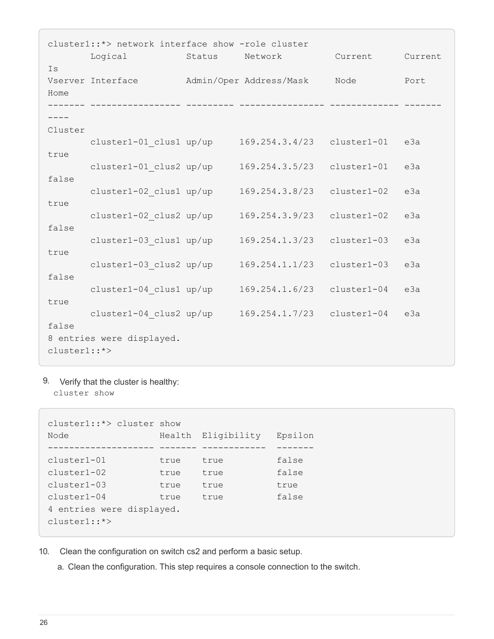| cluster1::*> network interface show -role cluster |                           |                |                         |               |         |  |  |
|---------------------------------------------------|---------------------------|----------------|-------------------------|---------------|---------|--|--|
|                                                   | Logical                   | Status Network |                         | Current       | Current |  |  |
| Is<br>Home                                        | Vserver Interface         |                | Admin/Oper Address/Mask | Node          | Port    |  |  |
|                                                   |                           |                |                         |               |         |  |  |
| Cluster                                           |                           |                |                         |               |         |  |  |
|                                                   | cluster1-01 clus1 up/up   |                | 169.254.3.4/23          | cluster1-01   | e3a     |  |  |
| true                                              | cluster1-01 clus2 up/up   |                | 169.254.3.5/23          | cluster1-01   | e3a     |  |  |
| false                                             | cluster1-02 clus1 up/up   |                | 169.254.3.8/23          | cluster1-02   | e3a     |  |  |
| true                                              | cluster1-02 clus2 up/up   |                | 169.254.3.9/23          | cluster1-02   | e3a     |  |  |
| false                                             | cluster1-03 clus1 up/up   |                | 169.254.1.3/23          | cluster1-03   | e3a     |  |  |
| true                                              | cluster1-03 clus2 up/up   |                | 169.254.1.1/23          | cluster1-03   | e3a     |  |  |
| false                                             | cluster1-04 clus1 up/up   |                | 169.254.1.6/23          | $cluster1-04$ | e3a     |  |  |
| true                                              | cluster1-04 clus2 up/up   |                | 169.254.1.7/23          | cluster1-04   | e3a     |  |  |
| false<br>cluster1::*>                             | 8 entries were displayed. |                |                         |               |         |  |  |

9. Verify that the cluster is healthy: cluster show

cluster1::\*> cluster show Node Health Eligibility Epsilon -------------------- ------- ------------ ------ cluster1-01 true true false cluster1-02 true true false cluster1-03 true true true cluster1-04 true true false 4 entries were displayed. cluster1::\*>

- 10. Clean the configuration on switch cs2 and perform a basic setup.
	- a. Clean the configuration. This step requires a console connection to the switch.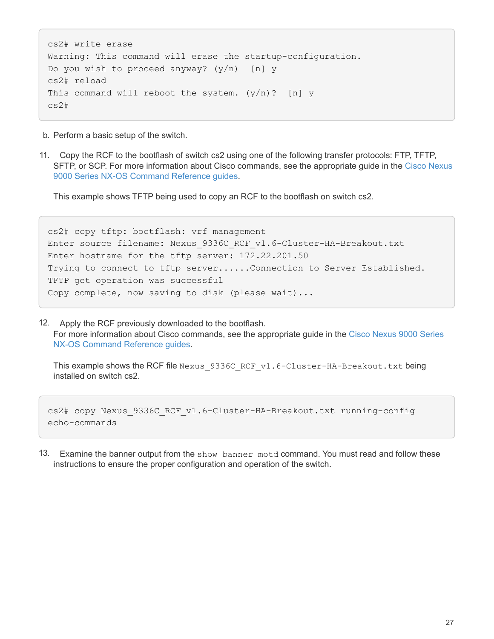```
cs2# write erase
Warning: This command will erase the startup-configuration.
Do you wish to proceed anyway? (y/n) [n] y
cs2# reload
This command will reboot the system. (y/n)? [n] y
cs2#
```
- b. Perform a basic setup of the switch.
- 11. Copy the RCF to the bootflash of switch cs2 using one of the following transfer protocols: FTP, TFTP, SFTP, or SCP. For more information about Cisco commands, see the appropriate guide in the [Cisco Nexus](https://www.cisco.com/c/en/us/support/switches/nexus-9000-series-switches/products-command-reference-list.html) [9000 Series NX-OS Command Reference guides.](https://www.cisco.com/c/en/us/support/switches/nexus-9000-series-switches/products-command-reference-list.html)

This example shows TFTP being used to copy an RCF to the bootflash on switch cs2.

cs2# copy tftp: bootflash: vrf management Enter source filename: Nexus 9336C RCF v1.6-Cluster-HA-Breakout.txt Enter hostname for the tftp server: 172.22.201.50 Trying to connect to tftp server......Connection to Server Established. TFTP get operation was successful Copy complete, now saving to disk (please wait)...

12. Apply the RCF previously downloaded to the bootflash. For more information about Cisco commands, see the appropriate guide in the [Cisco Nexus 9000 Series](https://www.cisco.com/c/en/us/support/switches/nexus-9000-series-switches/products-command-reference-list.html) [NX-OS Command Reference guides.](https://www.cisco.com/c/en/us/support/switches/nexus-9000-series-switches/products-command-reference-list.html)

This example shows the RCF file Nexus 9336C\_RCF\_v1.6-Cluster-HA-Breakout.txt being installed on switch cs2.

```
cs2# copy Nexus 9336C RCF v1.6-Cluster-HA-Breakout.txt running-config
echo-commands
```
13. Examine the banner output from the show banner motd command. You must read and follow these instructions to ensure the proper configuration and operation of the switch.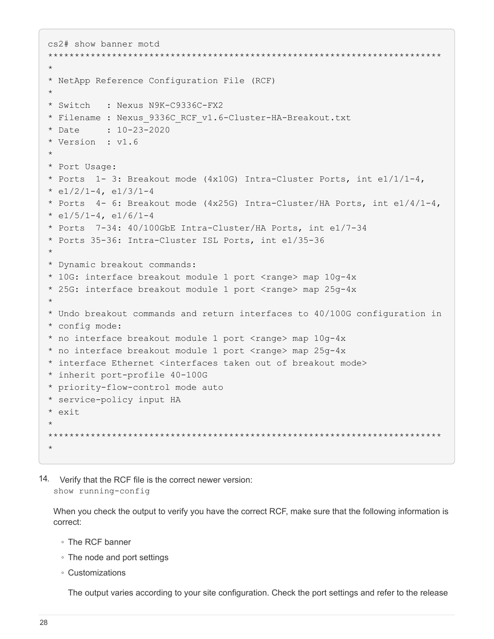```
cs2# show banner motd
**************************************************************************
*
* NetApp Reference Configuration File (RCF)
*
* Switch : Nexus N9K-C9336C-FX2
* Filename : Nexus_9336C_RCF_v1.6-Cluster-HA-Breakout.txt
* Date : 10-23-2020
* Version : v1.6
*
* Port Usage:
* Ports 1-3: Breakout mode (4x10G) Intra-Cluster Ports, int e1/1/1-4,
* e1/2/1-4, e1/3/1-4
* Ports 4- 6: Breakout mode (4x25G) Intra-Cluster/HA Ports, int e1/4/1-4,
* e1/5/1-4, e1/6/1-4
* Ports 7-34: 40/100GbE Intra-Cluster/HA Ports, int e1/7-34
* Ports 35-36: Intra-Cluster ISL Ports, int e1/35-36
*
* Dynamic breakout commands:
* 10G: interface breakout module 1 port <range> map 10g-4x
* 25G: interface breakout module 1 port <range> map 25g-4x
*
* Undo breakout commands and return interfaces to 40/100G configuration in
* config mode:
* no interface breakout module 1 port <range> map 10g-4x
* no interface breakout module 1 port <range> map 25g-4x
* interface Ethernet <interfaces taken out of breakout mode>
* inherit port-profile 40-100G
* priority-flow-control mode auto
* service-policy input HA
* exit
*
**************************************************************************
*
```
14. Verify that the RCF file is the correct newer version: show running-config

When you check the output to verify you have the correct RCF, make sure that the following information is correct:

- The RCF banner
- The node and port settings
- Customizations

The output varies according to your site configuration. Check the port settings and refer to the release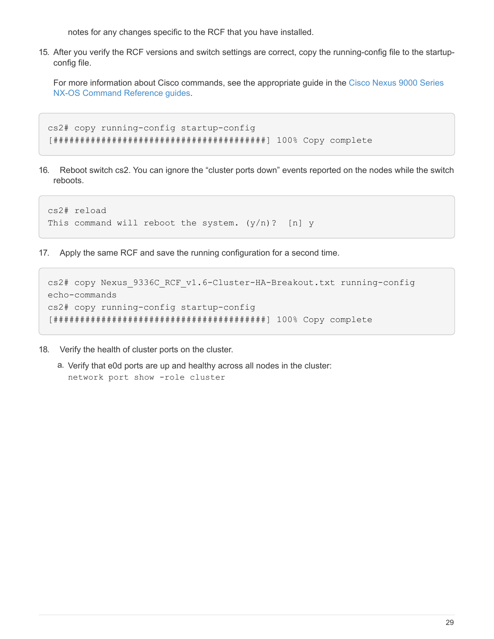notes for any changes specific to the RCF that you have installed.

15. After you verify the RCF versions and switch settings are correct, copy the running-config file to the startupconfig file.

For more information about Cisco commands, see the appropriate guide in the [Cisco Nexus 9000 Series](https://www.cisco.com/c/en/us/support/switches/nexus-9000-series-switches/products-command-reference-list.html) [NX-OS Command Reference guides.](https://www.cisco.com/c/en/us/support/switches/nexus-9000-series-switches/products-command-reference-list.html)

```
cs2# copy running-config startup-config
[########################################] 100% Copy complete
```
16. Reboot switch cs2. You can ignore the "cluster ports down" events reported on the nodes while the switch reboots.

```
cs2# reload
This command will reboot the system. (y/n)? [n] y
```
17. Apply the same RCF and save the running configuration for a second time.

```
cs2# copy Nexus_9336C_RCF_v1.6-Cluster-HA-Breakout.txt running-config
echo-commands
cs2# copy running-config startup-config
[########################################] 100% Copy complete
```
- 18. Verify the health of cluster ports on the cluster.
	- a. Verify that e0d ports are up and healthy across all nodes in the cluster: network port show -role cluster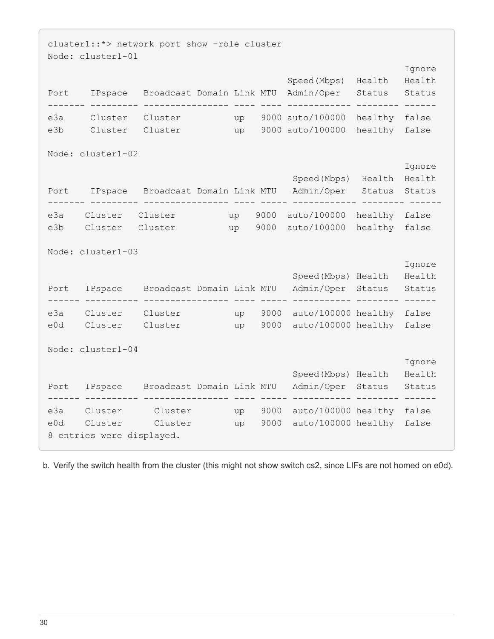```
cluster1::*> network port show -role cluster
Node: cluster1-01
e de la construcción de la construcción de la construcción de la construcción de la construcción de la constru
                                              Speed(Mbps) Health Health
Port IPspace Broadcast Domain Link MTU Admin/Oper Status Status
------- --------- ---------------- ---- ---- ------------ -------- ------
e3a Cluster Cluster up 9000 auto/100000 healthy false
e3b Cluster Cluster up 9000 auto/100000 healthy false
Node: cluster1-02
e de la construcción de la construcción de la construcción de la construcción de la construcción de la constru
                                               Speed(Mbps) Health Health
Port IPspace Broadcast Domain Link MTU Admin/Oper Status Status
------- --------- ---------------- ---- ----- ------------ -------- ------
e3a Cluster Cluster up 9000 auto/100000 healthy false
e3b Cluster Cluster up 9000 auto/100000 healthy false
Node: cluster1-03
e de la construcción de la construcción de la construcción de la construcción de la construcción de la constru
                                              Speed(Mbps) Health Health
Port IPspace Broadcast Domain Link MTU Admin/Oper Status Status
------ ---------- ---------------- ---- ----- ----------- -------- ------
e3a Cluster Cluster up 9000 auto/100000 healthy false
e0d Cluster Cluster up 9000 auto/100000 healthy false
Node: cluster1-04
e de la construcción de la construcción de la construcción de la construcción de la construcción de la constru
                                               Speed(Mbps) Health Health
Port IPspace Broadcast Domain Link MTU Admin/Oper Status Status
------ ---------- ---------------- ---- ----- ----------- -------- ------
e3a Cluster Cluster up 9000 auto/100000 healthy false
e0d Cluster Cluster up 9000 auto/100000 healthy false
8 entries were displayed.
```
b. Verify the switch health from the cluster (this might not show switch cs2, since LIFs are not homed on e0d).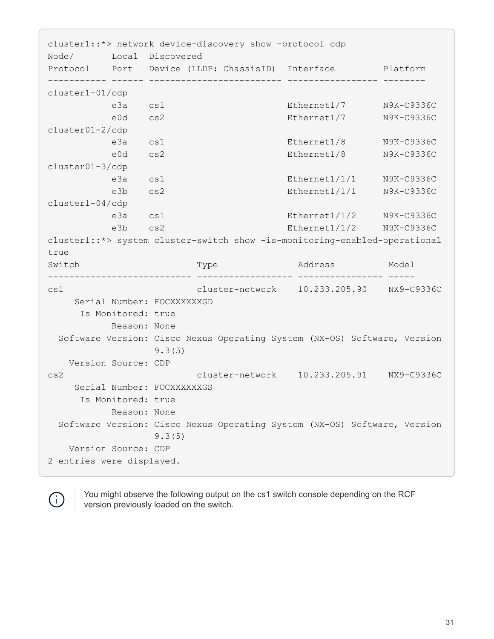cluster1::\*> network device-discovery show -protocol cdp Node/ Local Discovered Protocol Port Device (LLDP: ChassisID) Interface Platform ----------- ------ ------------------------- ----------------- ------- cluster1-01/cdp e3a cs1 Ethernet1/7 N9K-C9336C e0d cs2 Ethernet1/7 N9K-C9336C cluster01-2/cdp e3a cs1 Ethernet1/8 N9K-C9336C e0d cs2 Ethernet1/8 N9K-C9336C cluster01-3/cdp e3a cs1 Ethernet1/1/1 N9K-C9336C e3b cs2 Ethernet1/1/1 N9K-C9336C cluster1-04/cdp e3a cs1 Ethernet1/1/2 N9K-C9336C e3b cs2 Ethernet1/1/2 N9K-C9336C cluster1::\*> system cluster-switch show -is-monitoring-enabled-operational true Switch Type Address Model --------------------------- ------------------ ---------------- ---- cs1 cluster-network 10.233.205.90 NX9-C9336C Serial Number: FOCXXXXXXGD Is Monitored: true Reason: None Software Version: Cisco Nexus Operating System (NX-OS) Software, Version 9.3(5) Version Source: CDP cs2 cluster-network 10.233.205.91 NX9-C9336C Serial Number: FOCXXXXXXGS Is Monitored: true Reason: None Software Version: Cisco Nexus Operating System (NX-OS) Software, Version 9.3(5) Version Source: CDP 2 entries were displayed.



You might observe the following output on the cs1 switch console depending on the RCF version previously loaded on the switch.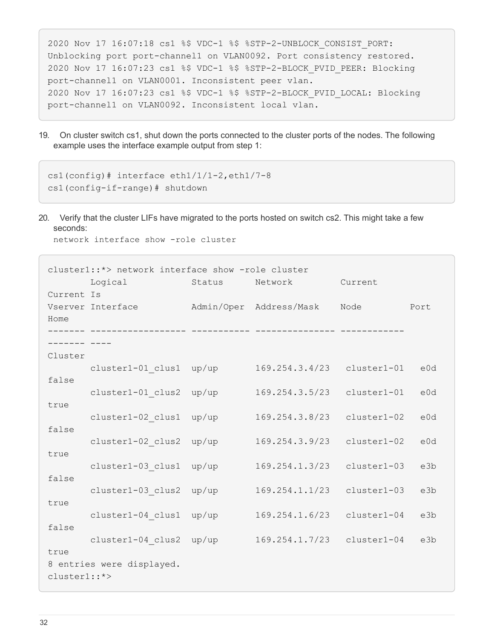```
2020 Nov 17 16:07:18 cs1 %$ VDC-1 %$ %STP-2-UNBLOCK_CONSIST_PORT:
Unblocking port port-channel1 on VLAN0092. Port consistency restored.
2020 Nov 17 16:07:23 cs1 %$ VDC-1 %$ %STP-2-BLOCK_PVID_PEER: Blocking
port-channel1 on VLAN0001. Inconsistent peer vlan.
2020 Nov 17 16:07:23 cs1 %$ VDC-1 %$ %STP-2-BLOCK_PVID_LOCAL: Blocking
port-channel1 on VLAN0092. Inconsistent local vlan.
```
19. On cluster switch cs1, shut down the ports connected to the cluster ports of the nodes. The following example uses the interface example output from step 1:

```
cs1(config)# interface eth1/1/1-2,eth1/7-8
cs1(config-if-range)# shutdown
```
20. Verify that the cluster LIFs have migrated to the ports hosted on switch cs2. This might take a few seconds:

network interface show -role cluster

|                | cluster1::*> network interface show -role cluster |                |                         |               |      |  |
|----------------|---------------------------------------------------|----------------|-------------------------|---------------|------|--|
|                | Logical                                           | Status Network |                         | Current       |      |  |
| Current Is     |                                                   |                |                         |               |      |  |
|                | Vserver Interface                                 |                | Admin/Oper Address/Mask | Node          | Port |  |
| Home           |                                                   |                |                         |               |      |  |
|                |                                                   |                |                         |               |      |  |
|                |                                                   |                |                         |               |      |  |
| Cluster        |                                                   |                |                         |               |      |  |
|                | cluster1-01 clus1 up/up                           |                | 169.254.3.4/23          | cluster1-01   | e0d  |  |
| false          |                                                   |                |                         |               |      |  |
| true           | cluster1-01 clus2 up/up                           |                | 169.254.3.5/23          | cluster1-01   | e0d  |  |
|                | cluster1-02 clus1                                 | up/up          | 169.254.3.8/23          | $cluster1-02$ | e0d  |  |
| false          |                                                   |                |                         |               |      |  |
|                | cluster1-02 clus2                                 | up/up          | 169.254.3.9/23          | cluster1-02   | e0d  |  |
| true           |                                                   |                |                         |               |      |  |
|                | cluster1-03 clus1                                 | up/up          | 169.254.1.3/23          | $cluster1-03$ | e3b  |  |
| false          |                                                   |                |                         |               |      |  |
|                | cluster1-03 clus2 up/up                           |                | 169.254.1.1/23          | cluster1-03   | e3b  |  |
| true           |                                                   |                |                         |               |      |  |
|                | cluster1-04 clus1 up/up                           |                | 169.254.1.6/23          | cluster1-04   | e3b  |  |
| false          |                                                   |                |                         |               |      |  |
|                | cluster1-04 clus2 up/up                           |                | 169.254.1.7/23          | cluster1-04   | e3b  |  |
| true           |                                                   |                |                         |               |      |  |
|                | 8 entries were displayed.                         |                |                         |               |      |  |
| $cluster1::*>$ |                                                   |                |                         |               |      |  |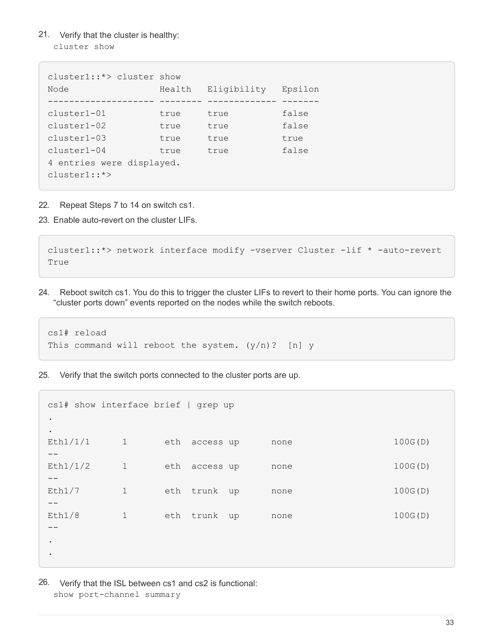21. Verify that the cluster is healthy: cluster show

```
cluster1::*> cluster show
Node Health Eligibility Epsilon
-------------------- -------- ------------- -------
cluster1-01 true true false
cluster1-02 true true false
cluster1-03 true true true
cluster1-04 true true false
4 entries were displayed.
cluster1::*>
```
- 22. Repeat Steps 7 to 14 on switch cs1.
- 23. Enable auto-revert on the cluster LIFs.

```
cluster1::*> network interface modify -vserver Cluster -lif * -auto-revert
True
```
24. Reboot switch cs1. You do this to trigger the cluster LIFs to revert to their home ports. You can ignore the "cluster ports down" events reported on the nodes while the switch reboots.

```
cs1# reload
This command will reboot the system. (y/n)? [n] y
```
25. Verify that the switch ports connected to the cluster ports are up.

```
cs1# show interface brief | grep up
.
.
Eth1/1/1 1 eth access up none 100G(D)
--
Eth1/1/2 1 eth access up none 100G(D)
--
Eth1/7 1 eth trunk up none 100G(D)
--
Eth1/8 1 eth trunk up none 100G(D)
-.
.
```
26. Verify that the ISL between cs1 and cs2 is functional: show port-channel summary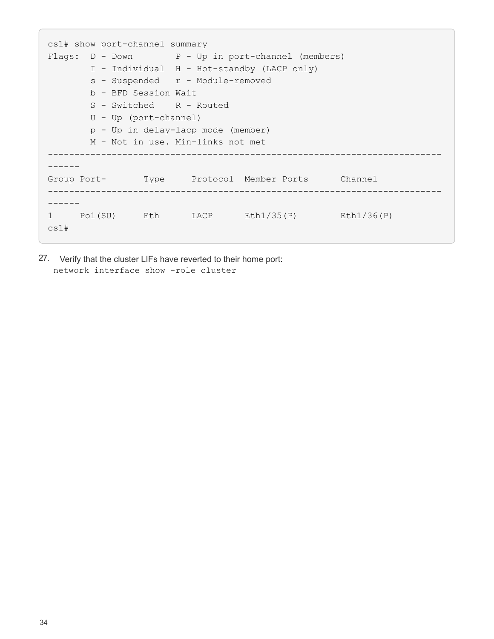```
cs1# show port-channel summary
Flags: D - Down P - Up in port-channel (members)
         I - Individual H - Hot-standby (LACP only)
       s - Suspended r - Module-removed
         b - BFD Session Wait
       S - Switched R - Routed
         U - Up (port-channel)
         p - Up in delay-lacp mode (member)
         M - Not in use. Min-links not met
--------------------------------------------------------------------------
------
Group Port- Type Protocol Member Ports Channel
--------------------------------------------------------------------------
------
1 Po1(SU) Eth LACP Eth1/35(P) Eth1/36(P)
cs1#
```
27. Verify that the cluster LIFs have reverted to their home port: network interface show -role cluster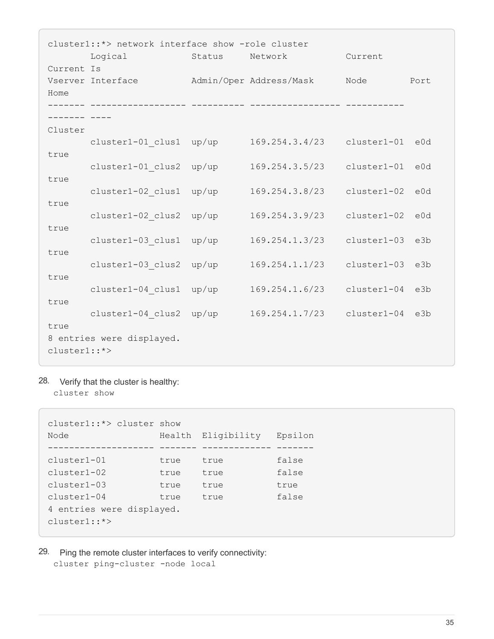|              | cluster1::*> network interface show -role cluster |        |                         |               |      |  |  |  |
|--------------|---------------------------------------------------|--------|-------------------------|---------------|------|--|--|--|
|              | Logical                                           | Status | Network                 | Current       |      |  |  |  |
| Current Is   |                                                   |        |                         |               |      |  |  |  |
| Home         | Vserver Interface                                 |        | Admin/Oper Address/Mask | Node          | Port |  |  |  |
|              |                                                   |        |                         |               |      |  |  |  |
|              |                                                   |        |                         |               |      |  |  |  |
| Cluster      |                                                   |        |                         |               |      |  |  |  |
|              | cluster1-01 clus1                                 | up/up  | 169.254.3.4/23          | cluster1-01   | e0d  |  |  |  |
| true         |                                                   |        |                         |               |      |  |  |  |
| true         | cluster1-01 clus2                                 | up/up  | 169.254.3.5/23          | cluster1-01   | e0d  |  |  |  |
|              | cluster1-02 clus1                                 | up/up  | 169.254.3.8/23          | cluster1-02   | e0d  |  |  |  |
| true         |                                                   |        |                         |               |      |  |  |  |
|              | cluster1-02 clus2                                 | up/up  | 169.254.3.9/23          | cluster1-02   | e0d  |  |  |  |
| true         |                                                   |        |                         |               |      |  |  |  |
|              | cluster1-03 clus1                                 | up/up  | 169.254.1.3/23          | cluster1-03   | e3b  |  |  |  |
| true         | cluster1-03 clus2                                 | up/up  | 169.254.1.1/23          | cluster1-03   | e3b  |  |  |  |
| true         |                                                   |        |                         |               |      |  |  |  |
|              | cluster1-04 clus1                                 | up/up  | 169.254.1.6/23          | $cluster1-04$ | e3b  |  |  |  |
| true         |                                                   |        |                         |               |      |  |  |  |
|              | cluster1-04 clus2                                 | up/up  | 169.254.1.7/23          | cluster1-04   | e3b  |  |  |  |
| true         |                                                   |        |                         |               |      |  |  |  |
| cluster1::*> | 8 entries were displayed.                         |        |                         |               |      |  |  |  |
|              |                                                   |        |                         |               |      |  |  |  |

28. Verify that the cluster is healthy: cluster show

cluster1::\*> cluster show Node Health Eligibility Epsilon -------------------- ------- ------------- ------ cluster1-01 true true false<br>cluster1-02 true true false true true false cluster1-03 true true true cluster1-04 true true false 4 entries were displayed. cluster1::\*>

29. Ping the remote cluster interfaces to verify connectivity: cluster ping-cluster -node local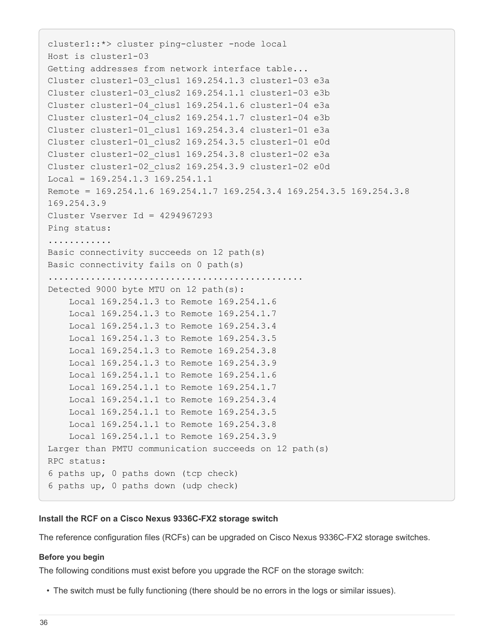```
cluster1::*> cluster ping-cluster -node local
Host is cluster1-03
Getting addresses from network interface table...
Cluster cluster1-03_clus1 169.254.1.3 cluster1-03 e3a
Cluster cluster1-03_clus2 169.254.1.1 cluster1-03 e3b
Cluster cluster1-04_clus1 169.254.1.6 cluster1-04 e3a
Cluster cluster1-04_clus2 169.254.1.7 cluster1-04 e3b
Cluster cluster1-01_clus1 169.254.3.4 cluster1-01 e3a
Cluster cluster1-01_clus2 169.254.3.5 cluster1-01 e0d
Cluster cluster1-02_clus1 169.254.3.8 cluster1-02 e3a
Cluster cluster1-02_clus2 169.254.3.9 cluster1-02 e0d
Local = 169.254.1.3 169.254.1.1Remote = 169.254.1.6 169.254.1.7 169.254.3.4 169.254.3.5 169.254.3.8
169.254.3.9
Cluster Vserver Id = 4294967293
Ping status:
............
Basic connectivity succeeds on 12 path(s)
Basic connectivity fails on 0 path(s)
................................................
Detected 9000 byte MTU on 12 path(s):
      Local 169.254.1.3 to Remote 169.254.1.6
     Local 169.254.1.3 to Remote 169.254.1.7
     Local 169.254.1.3 to Remote 169.254.3.4
     Local 169.254.1.3 to Remote 169.254.3.5
     Local 169.254.1.3 to Remote 169.254.3.8
     Local 169.254.1.3 to Remote 169.254.3.9
     Local 169.254.1.1 to Remote 169.254.1.6
      Local 169.254.1.1 to Remote 169.254.1.7
      Local 169.254.1.1 to Remote 169.254.3.4
      Local 169.254.1.1 to Remote 169.254.3.5
      Local 169.254.1.1 to Remote 169.254.3.8
      Local 169.254.1.1 to Remote 169.254.3.9
Larger than PMTU communication succeeds on 12 path(s)
RPC status:
6 paths up, 0 paths down (tcp check)
6 paths up, 0 paths down (udp check)
```
## **Install the RCF on a Cisco Nexus 9336C-FX2 storage switch**

The reference configuration files (RCFs) can be upgraded on Cisco Nexus 9336C-FX2 storage switches.

#### **Before you begin**

The following conditions must exist before you upgrade the RCF on the storage switch:

• The switch must be fully functioning (there should be no errors in the logs or similar issues).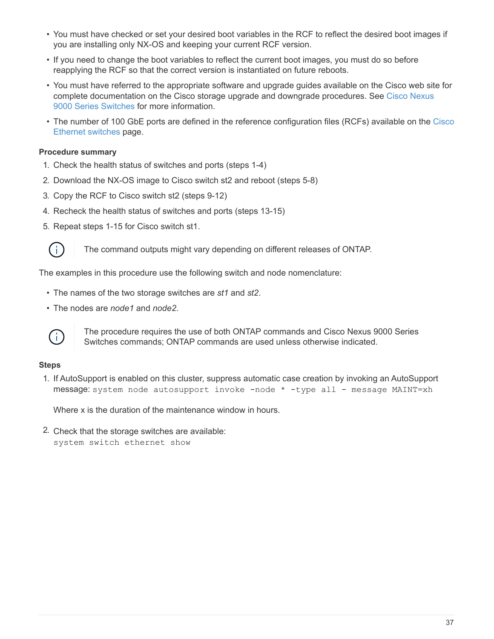- You must have checked or set your desired boot variables in the RCF to reflect the desired boot images if you are installing only NX-OS and keeping your current RCF version.
- If you need to change the boot variables to reflect the current boot images, you must do so before reapplying the RCF so that the correct version is instantiated on future reboots.
- You must have referred to the appropriate software and upgrade guides available on the Cisco web site for complete documentation on the Cisco storage upgrade and downgrade procedures. See [Cisco Nexus](https://www.cisco.com/c/en/us/support/switches/nexus-9336c-fx2-switch/model.html) [9000 Series Switches](https://www.cisco.com/c/en/us/support/switches/nexus-9336c-fx2-switch/model.html) for more information.
- The number of 100 GbE ports are defined in the reference configuration files (RCFs) available on the [Cisco](https://mysupport.netapp.com/site/info/cisco-ethernet-switch) [Ethernet switches](https://mysupport.netapp.com/site/info/cisco-ethernet-switch) page.

## **Procedure summary**

- 1. Check the health status of switches and ports (steps 1-4)
- 2. Download the NX-OS image to Cisco switch st2 and reboot (steps 5-8)
- 3. Copy the RCF to Cisco switch st2 (steps 9-12)
- 4. Recheck the health status of switches and ports (steps 13-15)
- 5. Repeat steps 1-15 for Cisco switch st1.



The command outputs might vary depending on different releases of ONTAP.

The examples in this procedure use the following switch and node nomenclature:

- The names of the two storage switches are *st1* and *st2*.
- The nodes are *node1* and *node2*.



The procedure requires the use of both ONTAP commands and Cisco Nexus 9000 Series Switches commands; ONTAP commands are used unless otherwise indicated.

### **Steps**

1. If AutoSupport is enabled on this cluster, suppress automatic case creation by invoking an AutoSupport message: system node autosupport invoke -node \* -type all - message MAINT=xh

Where x is the duration of the maintenance window in hours.

2. Check that the storage switches are available: system switch ethernet show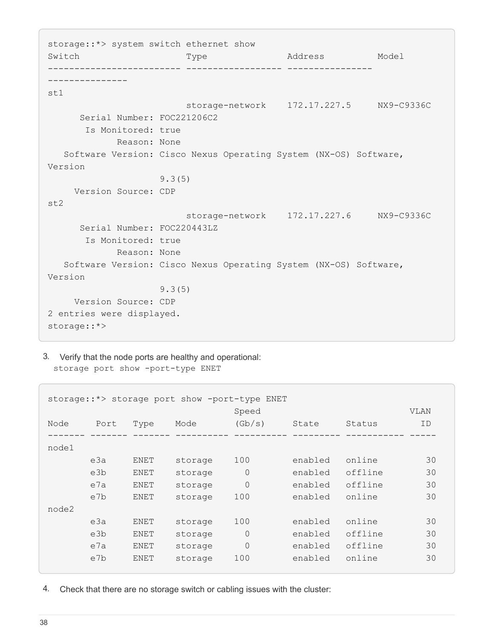storage::\*> system switch ethernet show Switch Type Address Model ------------------------- ------------------ ---------------- -------------- st1 storage-network 172.17.227.5 NX9-C9336C Serial Number: FOC221206C2 Is Monitored: true Reason: None Software Version: Cisco Nexus Operating System (NX-OS) Software, Version 9.3(5) Version Source: CDP st2 storage-network 172.17.227.6 NX9-C9336C Serial Number: FOC220443LZ Is Monitored: true Reason: None Software Version: Cisco Nexus Operating System (NX-OS) Software, Version 9.3(5) Version Source: CDP 2 entries were displayed. storage::\*>

3. Verify that the node ports are healthy and operational: storage port show -port-type ENET

|       | storage::*> storage port show -port-type ENET |             |         |          |         |         |             |  |  |
|-------|-----------------------------------------------|-------------|---------|----------|---------|---------|-------------|--|--|
|       |                                               |             |         | Speed    |         |         | <b>VLAN</b> |  |  |
| Node  | Port                                          | Type        | Mode    | (Gb/s)   | State   | Status  | ID          |  |  |
|       |                                               |             |         |          |         |         |             |  |  |
| node1 |                                               |             |         |          |         |         |             |  |  |
|       | e3a                                           | ENET        | storage | 100      | enabled | online  | 30          |  |  |
|       | e3b                                           | ENET        | storage | $\Omega$ | enabled | offline | 30          |  |  |
|       | e7a                                           | ENET        | storage | $\Omega$ | enabled | offline | 30          |  |  |
|       | e7b                                           | ENET        | storage | 100      | enabled | online  | 30          |  |  |
| node2 |                                               |             |         |          |         |         |             |  |  |
|       | e3a                                           | <b>ENET</b> | storage | 100      | enabled | online  | 30          |  |  |
|       | e3b                                           | ENET        | storage | $\Omega$ | enabled | offline | 30          |  |  |
|       | e7a                                           | ENET        | storage | $\Omega$ | enabled | offline | 30          |  |  |
|       | e7b                                           | ENET        | storage | 100      | enabled | online  | 30          |  |  |
|       |                                               |             |         |          |         |         |             |  |  |

4. Check that there are no storage switch or cabling issues with the cluster: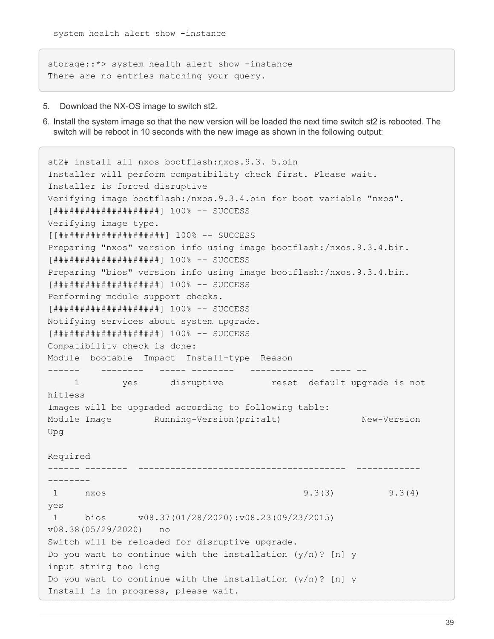storage::\*> system health alert show -instance There are no entries matching your query.

- 5. Download the NX-OS image to switch st2.
- 6. Install the system image so that the new version will be loaded the next time switch st2 is rebooted. The switch will be reboot in 10 seconds with the new image as shown in the following output:

```
st2# install all nxos bootflash:nxos.9.3. 5.bin
Installer will perform compatibility check first. Please wait.
Installer is forced disruptive
Verifying image bootflash:/nxos.9.3.4.bin for boot variable "nxos".
[####################] 100% -- SUCCESS
Verifying image type.
[[####################] 100% -- SUCCESS
Preparing "nxos" version info using image bootflash:/nxos.9.3.4.bin.
[####################] 100% -- SUCCESS
Preparing "bios" version info using image bootflash:/nxos.9.3.4.bin.
[####################] 100% -- SUCCESS
Performing module support checks.
[####################] 100% -- SUCCESS
Notifying services about system upgrade.
[####################] 100% -- SUCCESS
Compatibility check is done:
Module bootable Impact Install-type Reason
------ -------- ----- -------- ------------ ---- --
      1 yes disruptive reset default upgrade is not
hitless
Images will be upgraded according to following table:
Module Image Running-Version(pri:alt) New-Version
Upg
Required
------ -------- --------------------------------------- ------------
--------
 1 nxos 9.3(3) 9.3(4)
yes
 1 bios v08.37(01/28/2020):v08.23(09/23/2015)
v08.38(05/29/2020) no
Switch will be reloaded for disruptive upgrade.
Do you want to continue with the installation (y/n)? [n] y
input string too long
Do you want to continue with the installation (y/n)? [n] y
Install is in progress, please wait.
```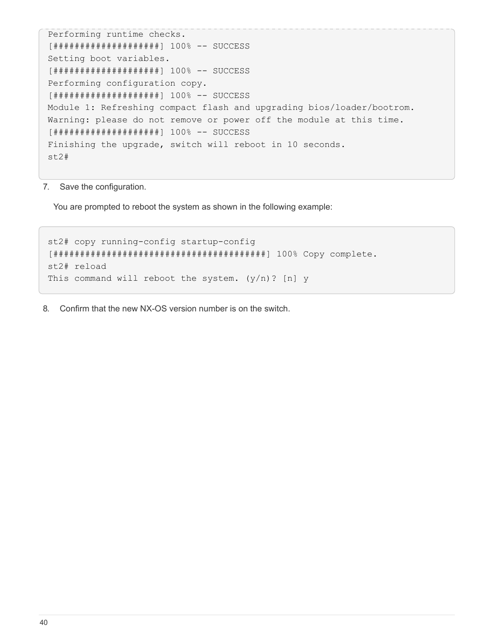```
Performing runtime checks.
[####################] 100% -- SUCCESS
Setting boot variables.
[####################] 100% -- SUCCESS
Performing configuration copy.
[####################] 100% -- SUCCESS
Module 1: Refreshing compact flash and upgrading bios/loader/bootrom.
Warning: please do not remove or power off the module at this time.
[####################] 100% -- SUCCESS
Finishing the upgrade, switch will reboot in 10 seconds.
st2#
```
7. Save the configuration.

You are prompted to reboot the system as shown in the following example:

```
st2# copy running-config startup-config
[########################################] 100% Copy complete.
st2# reload
This command will reboot the system. (y/n)? [n] y
```
8. Confirm that the new NX-OS version number is on the switch.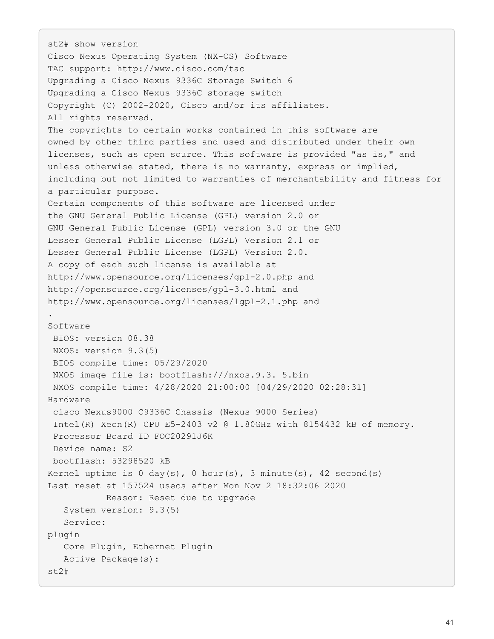```
st2# show version
Cisco Nexus Operating System (NX-OS) Software
TAC support: http://www.cisco.com/tac
Upgrading a Cisco Nexus 9336C Storage Switch 6
Upgrading a Cisco Nexus 9336C storage switch
Copyright (C) 2002-2020, Cisco and/or its affiliates.
All rights reserved.
The copyrights to certain works contained in this software are
owned by other third parties and used and distributed under their own
licenses, such as open source. This software is provided "as is," and
unless otherwise stated, there is no warranty, express or implied,
including but not limited to warranties of merchantability and fitness for
a particular purpose.
Certain components of this software are licensed under
the GNU General Public License (GPL) version 2.0 or
GNU General Public License (GPL) version 3.0 or the GNU
Lesser General Public License (LGPL) Version 2.1 or
Lesser General Public License (LGPL) Version 2.0.
A copy of each such license is available at
http://www.opensource.org/licenses/gpl-2.0.php and
http://opensource.org/licenses/gpl-3.0.html and
http://www.opensource.org/licenses/lgpl-2.1.php and
.
Software
  BIOS: version 08.38
  NXOS: version 9.3(5)
  BIOS compile time: 05/29/2020
  NXOS image file is: bootflash:///nxos.9.3. 5.bin
  NXOS compile time: 4/28/2020 21:00:00 [04/29/2020 02:28:31]
Hardware
  cisco Nexus9000 C9336C Chassis (Nexus 9000 Series)
  Intel(R) Xeon(R) CPU E5-2403 v2 @ 1.80GHz with 8154432 kB of memory.
  Processor Board ID FOC20291J6K
  Device name: S2
 bootflash: 53298520 kB
Kernel uptime is 0 \, \text{day}(s), 0 \, \text{hour}(s), 3 \, \text{minute}(s), 42 \, \text{second}(s)Last reset at 157524 usecs after Mon Nov 2 18:32:06 2020
             Reason: Reset due to upgrade
     System version: 9.3(5)
     Service:
plugin
     Core Plugin, Ethernet Plugin
     Active Package(s):
st2#
```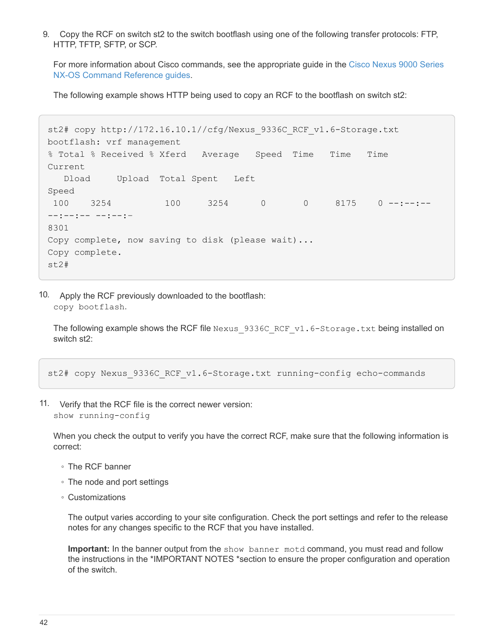9. Copy the RCF on switch st2 to the switch bootflash using one of the following transfer protocols: FTP, HTTP, TFTP, SFTP, or SCP.

For more information about Cisco commands, see the appropriate guide in the [Cisco Nexus 9000 Series](https://www.cisco.com/c/en/us/support/switches/nexus-9000-series-switches/products-command-reference-list.html) [NX-OS Command Reference guides.](https://www.cisco.com/c/en/us/support/switches/nexus-9000-series-switches/products-command-reference-list.html)

The following example shows HTTP being used to copy an RCF to the bootflash on switch st2:

```
st2# copy http://172.16.10.1//cfg/Nexus_9336C_RCF_v1.6-Storage.txt
bootflash: vrf management
% Total % Received % Xferd Average Speed Time Time Time
Current
    Dload Upload Total Spent Left
Speed
100 3254 100 3254 0 0 8175 0 --:--:--
--:--:-- --:--:–
8301
Copy complete, now saving to disk (please wait)...
Copy complete.
st2#
```
10. Apply the RCF previously downloaded to the bootflash: copy bootflash.

The following example shows the RCF file Nexus 9336C\_RCF\_v1.6-Storage.txt being installed on switch st2:

st2# copy Nexus\_9336C\_RCF\_v1.6-Storage.txt running-config echo-commands

11. Verify that the RCF file is the correct newer version: show running-config

When you check the output to verify you have the correct RCF, make sure that the following information is correct:

- The RCF banner
- The node and port settings
- Customizations

The output varies according to your site configuration. Check the port settings and refer to the release notes for any changes specific to the RCF that you have installed.

**Important:** In the banner output from the show banner motd command, you must read and follow the instructions in the \*IMPORTANT NOTES \*section to ensure the proper configuration and operation of the switch.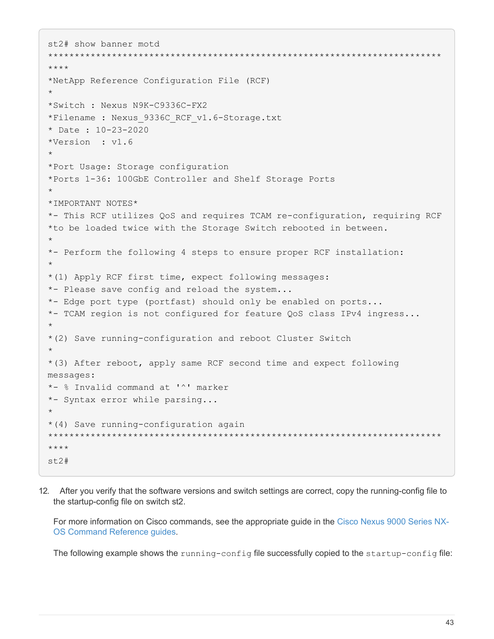```
st2# show banner motd
**************************************************************************
****
*NetApp Reference Configuration File (RCF)
*
*Switch : Nexus N9K-C9336C-FX2
*Filename : Nexus 9336C RCF v1.6-Storage.txt
* Date : 10-23-2020
*Version : v1.6
*
*Port Usage: Storage configuration
*Ports 1-36: 100GbE Controller and Shelf Storage Ports
*
*IMPORTANT NOTES*
*- This RCF utilizes QoS and requires TCAM re-configuration, requiring RCF
*to be loaded twice with the Storage Switch rebooted in between.
*
*- Perform the following 4 steps to ensure proper RCF installation:
*
*(1) Apply RCF first time, expect following messages:
*- Please save config and reload the system...
*- Edge port type (portfast) should only be enabled on ports...
*- TCAM region is not configured for feature QoS class IPv4 ingress...
*
*(2) Save running-configuration and reboot Cluster Switch
*
*(3) After reboot, apply same RCF second time and expect following
messages:
*- % Invalid command at '^' marker
*- Syntax error while parsing...
*
*(4) Save running-configuration again
**************************************************************************
****
st2#
```
12. After you verify that the software versions and switch settings are correct, copy the running-config file to the startup-config file on switch st2.

For more information on Cisco commands, see the appropriate guide in the [Cisco Nexus 9000 Series NX-](https://www.cisco.com/c/en/us/support/switches/nexus-9000-series-switches/products-command-reference-list.html)[OS Command Reference guides.](https://www.cisco.com/c/en/us/support/switches/nexus-9000-series-switches/products-command-reference-list.html)

The following example shows the running-config file successfully copied to the startup-config file: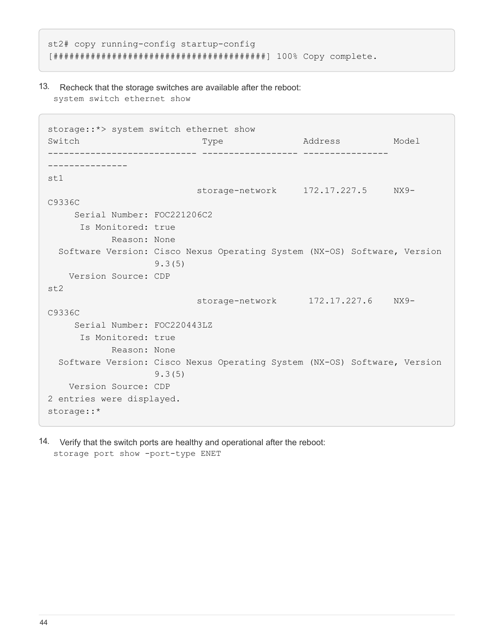```
st2# copy running-config startup-config
[########################################] 100% Copy complete.
```
13. Recheck that the storage switches are available after the reboot: system switch ethernet show

```
storage::*> system switch ethernet show
Switch Type Address Model
---------------------------- ------------------ ----------------
---------------
st1
                          storage-network 172.17.227.5 NX9-
C9336C
      Serial Number: FOC221206C2
       Is Monitored: true
             Reason: None
   Software Version: Cisco Nexus Operating System (NX-OS) Software, Version
                    9.3(5)
    Version Source: CDP
st2
                           storage-network 172.17.227.6 NX9-
C9336C
      Serial Number: FOC220443LZ
       Is Monitored: true
             Reason: None
   Software Version: Cisco Nexus Operating System (NX-OS) Software, Version
                    9.3(5)
     Version Source: CDP
2 entries were displayed.
storage::*
```
14. Verify that the switch ports are healthy and operational after the reboot: storage port show -port-type ENET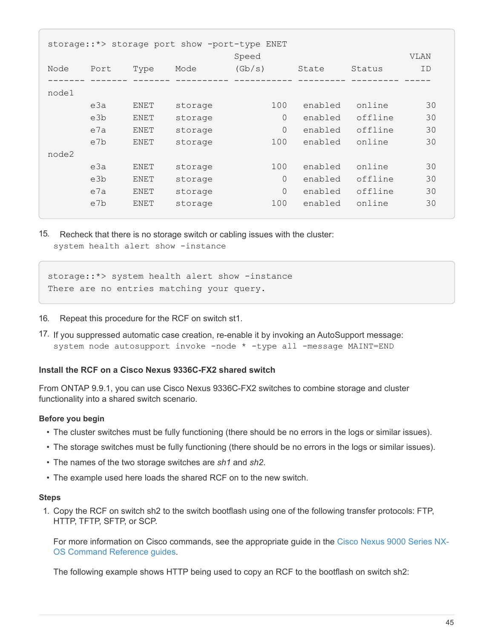|       | storage::*> storage port show -port-type ENET |      |         |                |         |         |             |  |  |
|-------|-----------------------------------------------|------|---------|----------------|---------|---------|-------------|--|--|
|       |                                               |      |         | Speed          |         |         | <b>VLAN</b> |  |  |
| Node  | Port                                          | Type | Mode    | (Gb/s)         | State   | Status  | ID          |  |  |
|       |                                               |      |         |                |         |         |             |  |  |
| node1 |                                               |      |         |                |         |         |             |  |  |
|       | e3a                                           | ENET | storage | 100            | enabled | online  | 30          |  |  |
|       | e3b                                           | ENET | storage | $\Omega$       | enabled | offline | 30          |  |  |
|       | e7a                                           | ENET | storage | $\overline{0}$ | enabled | offline | 30          |  |  |
|       | e7b                                           | ENET | storage | 100            | enabled | online  | 30          |  |  |
| node2 |                                               |      |         |                |         |         |             |  |  |
|       | e3a                                           | ENET | storage | 100            | enabled | online  | 30          |  |  |
|       | e3b                                           | ENET | storage | $\Omega$       | enabled | offline | 30          |  |  |
|       | e7a                                           | ENET | storage | $\Omega$       | enabled | offline | 30          |  |  |
|       | e7b                                           | ENET | storage | 100            | enabled | online  | 30          |  |  |
|       |                                               |      |         |                |         |         |             |  |  |

15. Recheck that there is no storage switch or cabling issues with the cluster: system health alert show -instance

```
storage:: *> system health alert show -instance
There are no entries matching your query.
```
- 16. Repeat this procedure for the RCF on switch st1.
- 17. If you suppressed automatic case creation, re-enable it by invoking an AutoSupport message: system node autosupport invoke -node \* -type all -message MAINT=END

#### **Install the RCF on a Cisco Nexus 9336C-FX2 shared switch**

From ONTAP 9.9.1, you can use Cisco Nexus 9336C-FX2 switches to combine storage and cluster functionality into a shared switch scenario.

#### **Before you begin**

- The cluster switches must be fully functioning (there should be no errors in the logs or similar issues).
- The storage switches must be fully functioning (there should be no errors in the logs or similar issues).
- The names of the two storage switches are *sh1* and *sh2*.
- The example used here loads the shared RCF on to the new switch.

#### **Steps**

1. Copy the RCF on switch sh2 to the switch bootflash using one of the following transfer protocols: FTP, HTTP, TFTP, SFTP, or SCP.

For more information on Cisco commands, see the appropriate guide in the [Cisco Nexus 9000 Series NX-](https://www.cisco.com/c/en/us/support/switches/nexus-9000-series-switches/products-command-reference-list.html)[OS Command Reference guides.](https://www.cisco.com/c/en/us/support/switches/nexus-9000-series-switches/products-command-reference-list.html)

The following example shows HTTP being used to copy an RCF to the bootflash on switch sh2: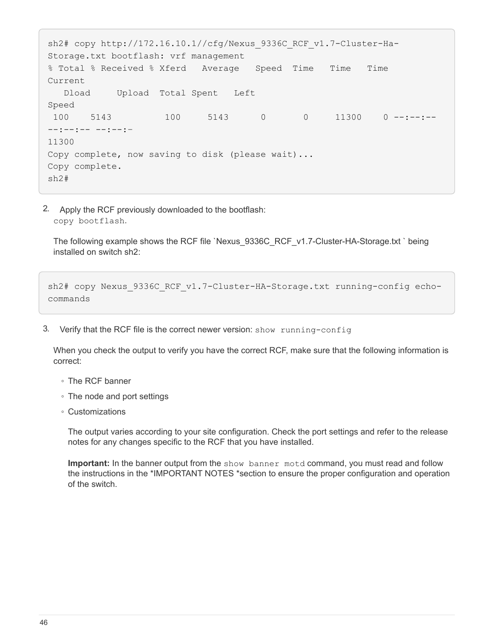```
sh2# copy http://172.16.10.1//cfg/Nexus 9336C RCF v1.7-Cluster-Ha-
Storage.txt bootflash: vrf management
% Total % Received % Xferd Average Speed Time Time Time
Current
    Dload Upload Total Spent Left
Speed
100 5143 100 5143 0 0 11300 0 -------
--:--:-- --:--:–
11300
Copy complete, now saving to disk (please wait)...
Copy complete.
sh2#
```
2. Apply the RCF previously downloaded to the bootflash: copy bootflash.

The following example shows the RCF file `Nexus\_9336C\_RCF\_v1.7-Cluster-HA-Storage.txt ` being installed on switch sh2:

```
sh2# copy Nexus 9336C RCF v1.7-Cluster-HA-Storage.txt running-config echo-
commands
```
3. Verify that the RCF file is the correct newer version: show running-config

When you check the output to verify you have the correct RCF, make sure that the following information is correct:

- The RCF banner
- The node and port settings
- Customizations

The output varies according to your site configuration. Check the port settings and refer to the release notes for any changes specific to the RCF that you have installed.

**Important:** In the banner output from the show banner motd command, you must read and follow the instructions in the \*IMPORTANT NOTES \*section to ensure the proper configuration and operation of the switch.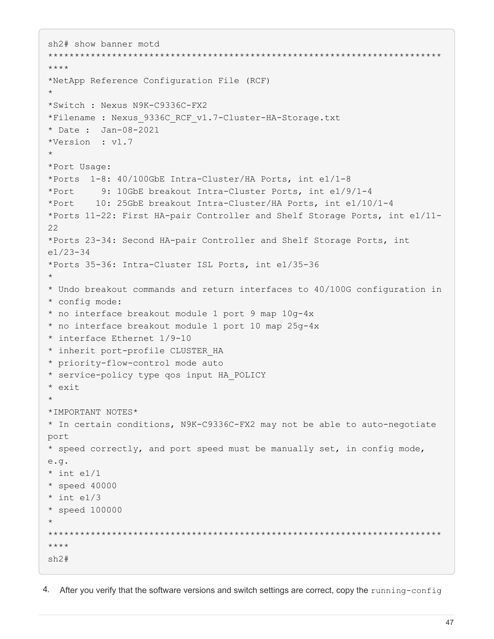```
sh2# show banner motd
**************************************************************************
****
*NetApp Reference Configuration File (RCF)
*
*Switch : Nexus N9K-C9336C-FX2
*Filename : Nexus 9336C RCF v1.7-Cluster-HA-Storage.txt
* Date : Jan-08-2021
*Version : v1.7
*
*Port Usage:
*Ports 1-8: 40/100GbE Intra-Cluster/HA Ports, int e1/1-8
*Port 9: 10GbE breakout Intra-Cluster Ports, int e1/9/1-4
*Port 10: 25GbE breakout Intra-Cluster/HA Ports, int e1/10/1-4
*Ports 11-22: First HA-pair Controller and Shelf Storage Ports, int e1/11-
22
*Ports 23-34: Second HA-pair Controller and Shelf Storage Ports, int
e1/23-34
*Ports 35-36: Intra-Cluster ISL Ports, int e1/35-36
*
* Undo breakout commands and return interfaces to 40/100G configuration in
* config mode:
* no interface breakout module 1 port 9 map 10g-4x
* no interface breakout module 1 port 10 map 25g-4x
* interface Ethernet 1/9-10
* inherit port-profile CLUSTER_HA
* priority-flow-control mode auto
* service-policy type qos input HA_POLICY
* exit
*
*IMPORTANT NOTES*
* In certain conditions, N9K-C9336C-FX2 may not be able to auto-negotiate
port
* speed correctly, and port speed must be manually set, in config mode,
e.g.
* int e1/1
* speed 40000
* int e1/3
* speed 100000
*
**************************************************************************
****
sh2#
```
4. After you verify that the software versions and switch settings are correct, copy the running-config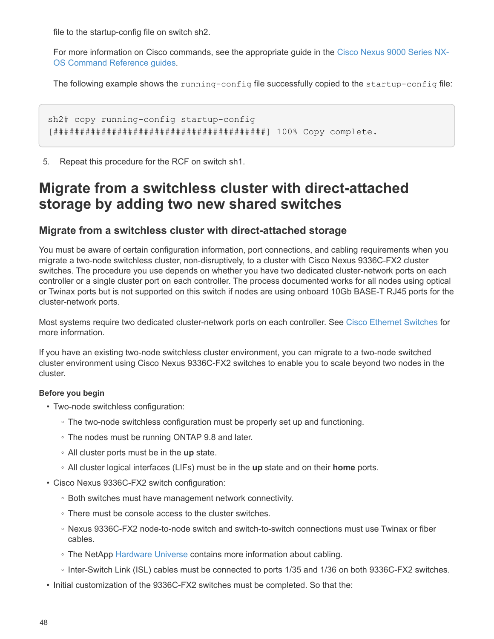file to the startup-config file on switch sh2.

For more information on Cisco commands, see the appropriate guide in the [Cisco Nexus 9000 Series NX-](https://www.cisco.com/c/en/us/support/switches/nexus-9000-series-switches/products-command-reference-list.html)[OS Command Reference guides.](https://www.cisco.com/c/en/us/support/switches/nexus-9000-series-switches/products-command-reference-list.html)

The following example shows the running-config file successfully copied to the startup-config file:

sh2# copy running-config startup-config [########################################] 100% Copy complete.

5. Repeat this procedure for the RCF on switch sh1.

# **Migrate from a switchless cluster with direct-attached storage by adding two new shared switches**

# **Migrate from a switchless cluster with direct-attached storage**

You must be aware of certain configuration information, port connections, and cabling requirements when you migrate a two-node switchless cluster, non-disruptively, to a cluster with Cisco Nexus 9336C-FX2 cluster switches. The procedure you use depends on whether you have two dedicated cluster-network ports on each controller or a single cluster port on each controller. The process documented works for all nodes using optical or Twinax ports but is not supported on this switch if nodes are using onboard 10Gb BASE-T RJ45 ports for the cluster-network ports.

Most systems require two dedicated cluster-network ports on each controller. See [Cisco Ethernet Switches](https://mysupport.netapp.com/site/info/cisco-ethernet-switch) for more information.

If you have an existing two-node switchless cluster environment, you can migrate to a two-node switched cluster environment using Cisco Nexus 9336C-FX2 switches to enable you to scale beyond two nodes in the cluster.

### **Before you begin**

- Two-node switchless configuration:
	- The two-node switchless configuration must be properly set up and functioning.
	- The nodes must be running ONTAP 9.8 and later.
	- All cluster ports must be in the **up** state.
	- All cluster logical interfaces (LIFs) must be in the **up** state and on their **home** ports.
- Cisco Nexus 9336C-FX2 switch configuration:
	- Both switches must have management network connectivity.
	- There must be console access to the cluster switches.
	- Nexus 9336C-FX2 node-to-node switch and switch-to-switch connections must use Twinax or fiber cables.
	- The NetApp [Hardware Universe](https://hwu.netapp.com) contains more information about cabling.
	- Inter-Switch Link (ISL) cables must be connected to ports 1/35 and 1/36 on both 9336C-FX2 switches.
- Initial customization of the 9336C-FX2 switches must be completed. So that the: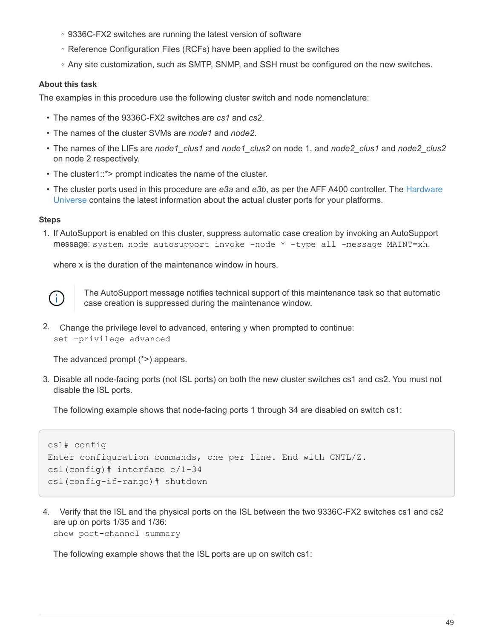- 9336C-FX2 switches are running the latest version of software
- Reference Configuration Files (RCFs) have been applied to the switches
- Any site customization, such as SMTP, SNMP, and SSH must be configured on the new switches.

#### **About this task**

The examples in this procedure use the following cluster switch and node nomenclature:

- The names of the 9336C-FX2 switches are *cs1* and *cs2*.
- The names of the cluster SVMs are *node1* and *node2*.
- The names of the LIFs are *node1\_clus1* and *node1\_clus2* on node 1, and *node2\_clus1* and *node2\_clus2* on node 2 respectively.
- The cluster1::\*> prompt indicates the name of the cluster.
- The cluster ports used in this procedure are *e3a* and *e3b*, as per the AFF A400 controller. The [Hardware](https://hwu.netapp.com) [Universe](https://hwu.netapp.com) contains the latest information about the actual cluster ports for your platforms.

#### **Steps**

1. If AutoSupport is enabled on this cluster, suppress automatic case creation by invoking an AutoSupport message: system node autosupport invoke -node \* -type all -message MAINT=xh.

where x is the duration of the maintenance window in hours.



The AutoSupport message notifies technical support of this maintenance task so that automatic case creation is suppressed during the maintenance window.

2. Change the privilege level to advanced, entering y when prompted to continue: set -privilege advanced

The advanced prompt (\*>) appears.

3. Disable all node-facing ports (not ISL ports) on both the new cluster switches cs1 and cs2. You must not disable the ISL ports.

The following example shows that node-facing ports 1 through 34 are disabled on switch cs1:

```
cs1# config
Enter configuration commands, one per line. End with CNTL/Z.
cs1(config)# interface e/1-34
cs1(config-if-range)# shutdown
```
4. Verify that the ISL and the physical ports on the ISL between the two 9336C-FX2 switches cs1 and cs2 are up on ports 1/35 and 1/36:

show port-channel summary

The following example shows that the ISL ports are up on switch cs1: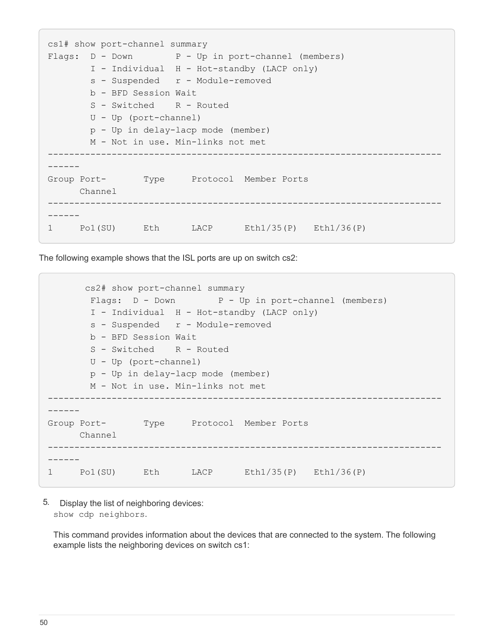```
cs1# show port-channel summary
Flags: D - Down P - Up in port-channel (members)
         I - Individual H - Hot-standby (LACP only)
       s - Suspended r - Module-removed
         b - BFD Session Wait
       S - Switched R - Routed
         U - Up (port-channel)
         p - Up in delay-lacp mode (member)
         M - Not in use. Min-links not met
--------------------------------------------------------------------------
------
Group Port- Type Protocol Member Ports
       Channel
  --------------------------------------------------------------------------
------
1 Po1(SU) Eth LACP Eth1/35(P) Eth1/36(P)
```
The following example shows that the ISL ports are up on switch cs2:

```
  cs2# show port-channel summary
        Flags: D - Down P - Up in port-channel (members)
          I - Individual H - Hot-standby (LACP only)
        s - Suspended r - Module-removed
          b - BFD Session Wait
        S - Switched R - Routed
          U - Up (port-channel)
          p - Up in delay-lacp mode (member)
          M - Not in use. Min-links not met
                                           --------------------------------------------------------------------------
------
Group Port- Type Protocol Member Ports
       Channel
             --------------------------------------------------------------------------
------
1 Po1(SU) Eth LACP Eth1/35(P) Eth1/36(P)
```
5. Display the list of neighboring devices: show cdp neighbors.

This command provides information about the devices that are connected to the system. The following example lists the neighboring devices on switch cs1: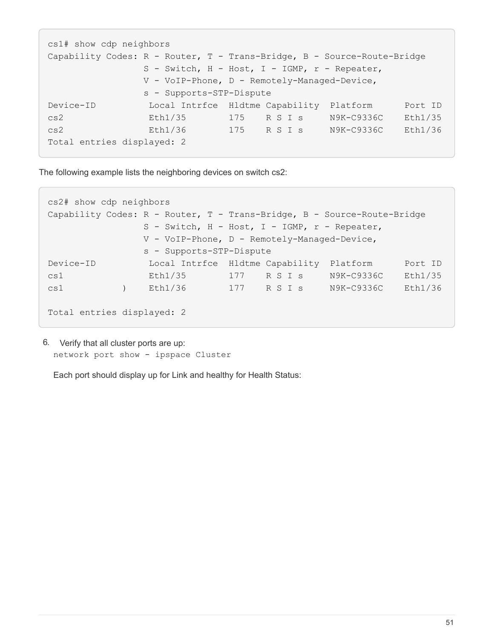```
cs1# show cdp neighbors
Capability Codes: R - Router, T - Trans-Bridge, B - Source-Route-Bridge
                 S - Switch, H - Host, I - IGMP, r - Repeater,
                 V - VoIP-Phone, D - Remotely-Managed-Device,
                 s - Supports-STP-Dispute
Device-ID Local Intrfce Hldtme Capability Platform Port ID
cs2 Eth1/35 175 R S I s N9K-C9336C Eth1/35
cs2 Eth1/36 175 R S I s N9K-C9336C Eth1/36
Total entries displayed: 2
```
The following example lists the neighboring devices on switch cs2:

```
cs2# show cdp neighbors
Capability Codes: R - Router, T - Trans-Bridge, B - Source-Route-Bridge
                 S - Switch, H - Host, I - IGMP, r - Repeater,
                 V - VoIP-Phone, D - Remotely-Managed-Device,
                 s - Supports-STP-Dispute
Device-ID Local Intrfce Hldtme Capability Platform Port ID
cs1 Eth1/35 177 R S I s N9K-C9336C Eth1/35
cs1 ) Eth1/36 177 R S I s N9K-C9336C Eth1/36
Total entries displayed: 2
```
6. Verify that all cluster ports are up: network port show - ipspace Cluster

Each port should display up for Link and healthy for Health Status: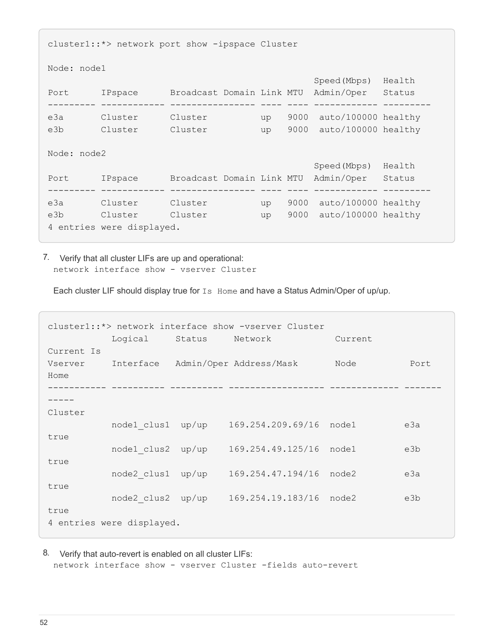```
cluster1::*> network port show -ipspace Cluster
Node: node1
                                            Speed(Mbps) Health
Port IPspace Broadcast Domain Link MTU Admin/Oper Status
--------- ------------ ---------------- ---- ---- ------------ ---------
e3a Cluster Cluster up 9000 auto/100000 healthy
e3b Cluster Cluster up 9000 auto/100000 healthy
Node: node2
                                            Speed(Mbps) Health
Port IPspace Broadcast Domain Link MTU Admin/Oper Status
--------- ------------ ---------------- ---- ---- ------------ ---------
e3a Cluster Cluster up 9000 auto/100000 healthy
e3b Cluster Cluster up 9000 auto/100000 healthy
4 entries were displayed.
```
7. Verify that all cluster LIFs are up and operational: network interface show - vserver Cluster

Each cluster LIF should display true for Is Home and have a Status Admin/Oper of up/up.

| cluster1::*> network interface show -vserver Cluster |                           |                |                                   |         |      |  |  |
|------------------------------------------------------|---------------------------|----------------|-----------------------------------|---------|------|--|--|
| Current Is                                           | Logical                   | Status Network |                                   | Current |      |  |  |
| Vserver                                              |                           |                | Interface Admin/Oper Address/Mask | Node    | Port |  |  |
| Home                                                 |                           |                |                                   |         |      |  |  |
|                                                      |                           |                |                                   |         |      |  |  |
| Cluster                                              |                           |                |                                   |         |      |  |  |
|                                                      | node1 clus1 up/up         |                | 169.254.209.69/16                 | node1   | e3a  |  |  |
| true                                                 | node1 clus2 up/up         |                | 169.254.49.125/16                 | node1   | e3b  |  |  |
| true                                                 |                           |                |                                   |         |      |  |  |
| true                                                 | node2 clus1 up/up         |                | 169.254.47.194/16                 | node2   | e3a  |  |  |
|                                                      | node2 clus2 up/up         |                | 169.254.19.183/16                 | node2   | e3b  |  |  |
| true                                                 | 4 entries were displayed. |                |                                   |         |      |  |  |

8. Verify that auto-revert is enabled on all cluster LIFs:

network interface show - vserver Cluster -fields auto-revert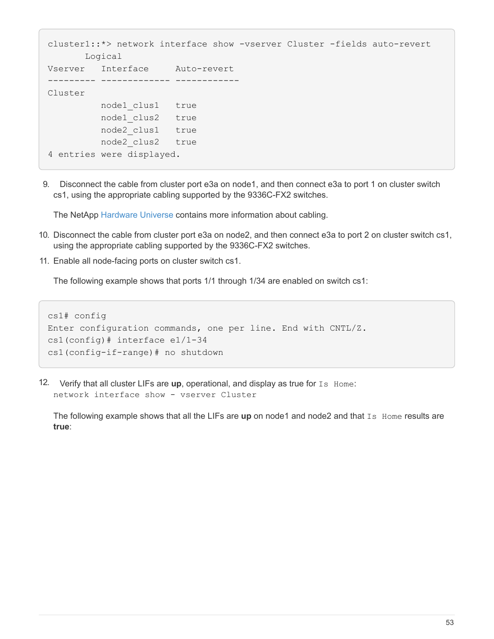```
cluster1::*> network interface show -vserver Cluster -fields auto-revert
        Logical
Vserver Interface Auto-revert
--------- ------------- ------------
Cluster
           node1_clus1 true
           node1_clus2 true
            node2_clus1 true
            node2_clus2 true
4 entries were displayed.
```
9. Disconnect the cable from cluster port e3a on node1, and then connect e3a to port 1 on cluster switch cs1, using the appropriate cabling supported by the 9336C-FX2 switches.

The NetApp [Hardware Universe](https://hwu.netapp.com) contains more information about cabling.

- 10. Disconnect the cable from cluster port e3a on node2, and then connect e3a to port 2 on cluster switch cs1, using the appropriate cabling supported by the 9336C-FX2 switches.
- 11. Enable all node-facing ports on cluster switch cs1.

The following example shows that ports 1/1 through 1/34 are enabled on switch cs1:

```
cs1# config
Enter configuration commands, one per line. End with CNTL/Z.
cs1(config)# interface e1/1-34
cs1(config-if-range)# no shutdown
```
12. Verify that all cluster LIFs are **up**, operational, and display as true for Is Home: network interface show - vserver Cluster

The following example shows that all the LIFs are **up** on node1 and node2 and that Is Home results are **true**: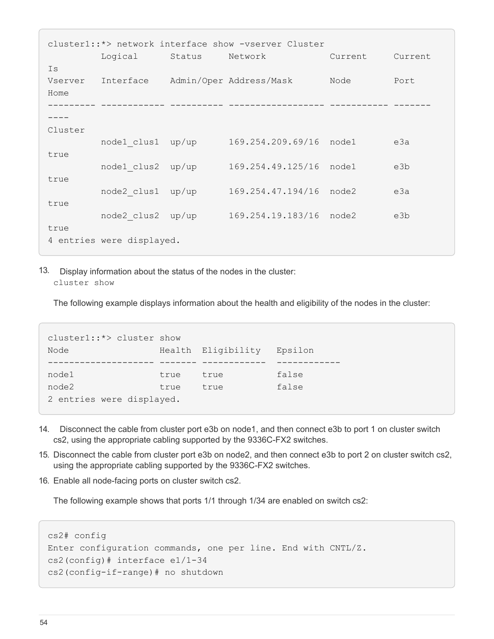cluster1::\*> network interface show -vserver Cluster Logical Status Network Current Current Is Vserver Interface Admin/Oper Address/Mask Node Port Home --------- ------------ ---------- ------------------ ----------- ------- ---- Cluster node1 clus1 up/up 169.254.209.69/16 node1 e3a true node1 clus2 up/up 169.254.49.125/16 node1 e3b true node2\_clus1 up/up 169.254.47.194/16 node2 e3a true node2\_clus2 up/up 169.254.19.183/16 node2 e3b true 4 entries were displayed.

13. Display information about the status of the nodes in the cluster: cluster show

The following example displays information about the health and eligibility of the nodes in the cluster:

```
cluster1::*> cluster show
Node Health Eligibility Epsilon
-------------------- ------- ------------ ------------
node1 true true false
node2 true true false
2 entries were displayed.
```
- 14. Disconnect the cable from cluster port e3b on node1, and then connect e3b to port 1 on cluster switch cs2, using the appropriate cabling supported by the 9336C-FX2 switches.
- 15. Disconnect the cable from cluster port e3b on node2, and then connect e3b to port 2 on cluster switch cs2, using the appropriate cabling supported by the 9336C-FX2 switches.
- 16. Enable all node-facing ports on cluster switch cs2.

The following example shows that ports 1/1 through 1/34 are enabled on switch cs2:

```
cs2# config
Enter configuration commands, one per line. End with CNTL/Z.
cs2(config)# interface e1/1-34
cs2(config-if-range)# no shutdown
```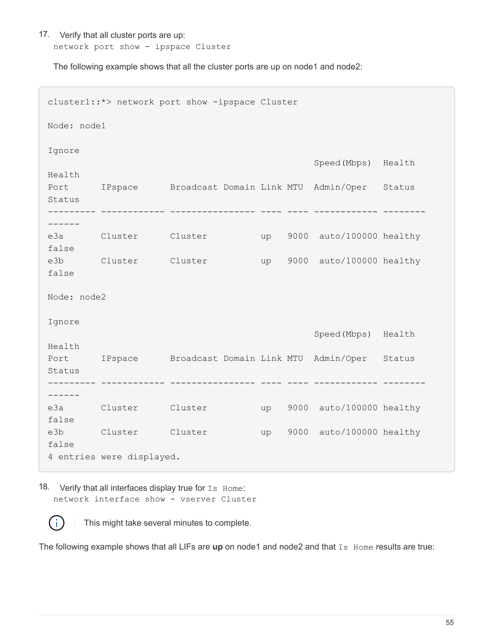17. Verify that all cluster ports are up: network port show - ipspace Cluster

The following example shows that all the cluster ports are up on node1 and node2:

```
cluster1::*> network port show -ipspace Cluster
Node: node1
Ignore
                                            Speed(Mbps) Health
Health
Port IPspace Broadcast Domain Link MTU Admin/Oper Status
Status
--------- ------------ ---------------- ---- ---- ------------ --------
------
e3a Cluster Cluster up 9000 auto/100000 healthy
false
e3b Cluster Cluster up 9000 auto/100000 healthy
false
Node: node2
Ignore
                                            Speed(Mbps) Health
Health
Port IPspace Broadcast Domain Link MTU Admin/Oper Status
Status
--------- ------------ ---------------- ---- ---- ------------ --------
------
e3a Cluster Cluster up 9000 auto/100000 healthy
false
e3b Cluster Cluster up 9000 auto/100000 healthy
false
4 entries were displayed.
```
18. Verify that all interfaces display true for Is Home: network interface show - vserver Cluster



This might take several minutes to complete.

The following example shows that all LIFs are up on node1 and node2 and that Is Home results are true: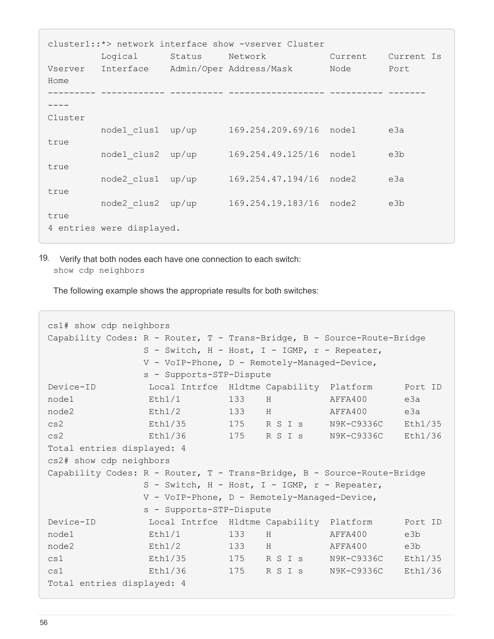| cluster1::*> network interface show -vserver Cluster |                           |        |                                   |         |            |  |  |
|------------------------------------------------------|---------------------------|--------|-----------------------------------|---------|------------|--|--|
|                                                      | Logical                   | Status | Network                           | Current | Current Is |  |  |
| Vserver                                              |                           |        | Interface Admin/Oper Address/Mask | Node    | Port       |  |  |
| Home                                                 |                           |        |                                   |         |            |  |  |
|                                                      |                           |        |                                   |         |            |  |  |
|                                                      |                           |        |                                   |         |            |  |  |
| Cluster                                              |                           |        |                                   |         |            |  |  |
|                                                      | node1 clus1               | up/up  | 169.254.209.69/16 node1           |         | e3a        |  |  |
| true                                                 |                           |        |                                   |         |            |  |  |
|                                                      | node1 clus2               | up/up  | 169.254.49.125/16                 | node1   | e3b        |  |  |
| true                                                 |                           |        |                                   |         |            |  |  |
|                                                      | node2 clus1               | up/up  | 169.254.47.194/16                 | node2   | e3a        |  |  |
| true                                                 |                           |        |                                   |         |            |  |  |
|                                                      | node2 clus2 up/up         |        | 169.254.19.183/16                 | node2   | e3b        |  |  |
| true                                                 |                           |        |                                   |         |            |  |  |
|                                                      | 4 entries were displayed. |        |                                   |         |            |  |  |
|                                                      |                           |        |                                   |         |            |  |  |

19. Verify that both nodes each have one connection to each switch: show cdp neighbors

The following example shows the appropriate results for both switches:

```
cs1# show cdp neighbors
Capability Codes: R - Router, T - Trans-Bridge, B - Source-Route-Bridge
               S - Switch, H - Host, I - IGMP, r - Repeater,
               V - VoIP-Phone, D - Remotely-Managed-Device,
               s - Supports-STP-Dispute
Device-ID Local Intrfce Hldtme Capability Platform Port ID
node1 Eth1/1 133 H AFFA400 e3a
node2 Eth1/2 133 H AFFA400 e3a
cs2 Eth1/35 175 R S I s N9K-C9336C Eth1/35
cs2 Eth1/36 175 R S I s N9K-C9336C Eth1/36
Total entries displayed: 4
cs2# show cdp neighbors
Capability Codes: R - Router, T - Trans-Bridge, B - Source-Route-Bridge
               S - Switch, H - Host, I - IGMP, r - Repeater,
               V - VoIP-Phone, D - Remotely-Managed-Device,
               s - Supports-STP-Dispute
Device-ID Local Intrfce Hldtme Capability Platform Port ID
node1 Eth1/1 133 H AFFA400 e3b
node2 Eth1/2 133 H AFFA400 e3b
cs1 Eth1/35 175 R S I s N9K-C9336C Eth1/35
cs1 Eth1/36 175 R S I s N9K-C9336C Eth1/36
Total entries displayed: 4
```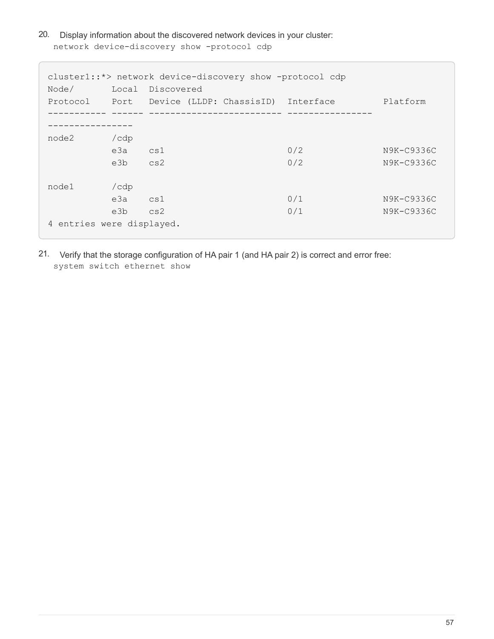20. Display information about the discovered network devices in your cluster: network device-discovery show -protocol cdp

```
cluster1::*> network device-discovery show -protocol cdp
Node/ Local Discovered
Protocol Port Device (LLDP: ChassisID) Interface Platform
----------- ------ ------------------------- ----------------
----------------
node2 /cdp
       e3a cs1 0/2 N9K-C9336C
       e3b cs2 0/2 N9K-C9336C
node1 /cdp
       e3a cs1 0/1 N9K-C9336C
         e3b cs2 0/1 N9K-C9336C
4 entries were displayed.
```
21. Verify that the storage configuration of HA pair 1 (and HA pair 2) is correct and error free: system switch ethernet show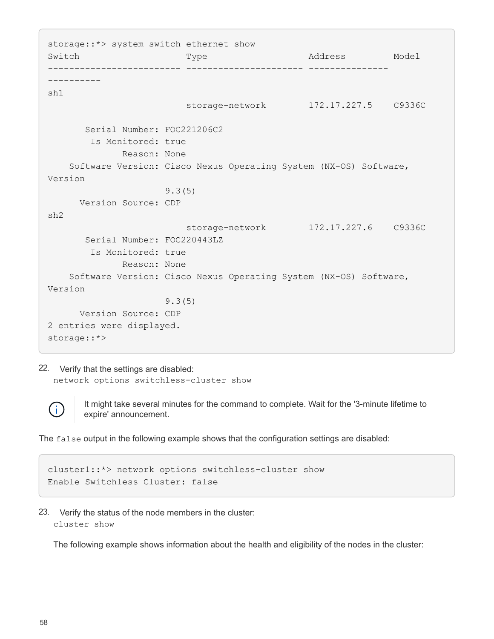storage::\*> system switch ethernet show Switch Type Address Model ------------------------- ---------------------- --------------- --------- sh1 storage-network 172.17.227.5 C9336C Serial Number: FOC221206C2 Is Monitored: true Reason: None Software Version: Cisco Nexus Operating System (NX-OS) Software, Version 9.3(5) Version Source: CDP sh2 storage-network 172.17.227.6 C9336C Serial Number: FOC220443LZ Is Monitored: true Reason: None Software Version: Cisco Nexus Operating System (NX-OS) Software, Version 9.3(5) Version Source: CDP 2 entries were displayed. storage::\*>

22. Verify that the settings are disabled: network options switchless-cluster show



It might take several minutes for the command to complete. Wait for the '3-minute lifetime to expire' announcement.

The false output in the following example shows that the configuration settings are disabled:

```
cluster1::*> network options switchless-cluster show
Enable Switchless Cluster: false
```
23. Verify the status of the node members in the cluster: cluster show

The following example shows information about the health and eligibility of the nodes in the cluster: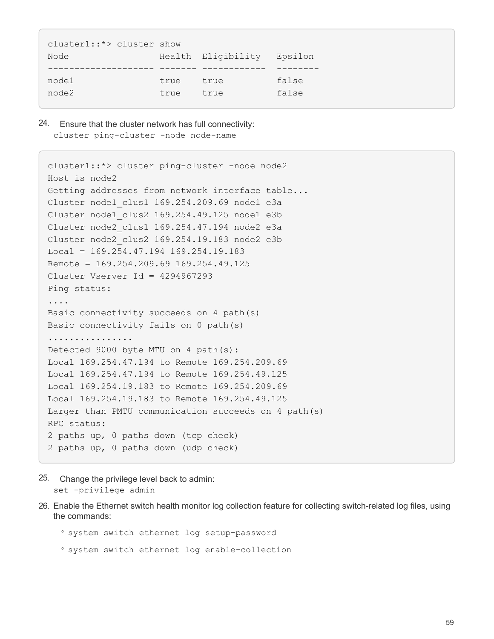| cluster1::*> cluster show |      |                    |         |
|---------------------------|------|--------------------|---------|
| Node                      |      | Health Eligibility | Epsilon |
|                           |      |                    |         |
| node1                     | true | true               | false   |
| node2                     | true | true               | false   |
|                           |      |                    |         |

24. Ensure that the cluster network has full connectivity: cluster ping-cluster -node node-name

```
cluster1::*> cluster ping-cluster -node node2
Host is node2
Getting addresses from network interface table...
Cluster node1_clus1 169.254.209.69 node1 e3a
Cluster node1_clus2 169.254.49.125 node1 e3b
Cluster node2_clus1 169.254.47.194 node2 e3a
Cluster node2_clus2 169.254.19.183 node2 e3b
Local = 169.254.47.194 169.254.19.183Remote = 169.254.209.69 169.254.49.125
Cluster Vserver Id = 4294967293
Ping status:
....
Basic connectivity succeeds on 4 path(s)
Basic connectivity fails on 0 path(s)
................
Detected 9000 byte MTU on 4 path(s):
Local 169.254.47.194 to Remote 169.254.209.69
Local 169.254.47.194 to Remote 169.254.49.125
Local 169.254.19.183 to Remote 169.254.209.69
Local 169.254.19.183 to Remote 169.254.49.125
Larger than PMTU communication succeeds on 4 path(s)
RPC status:
2 paths up, 0 paths down (tcp check)
2 paths up, 0 paths down (udp check)
```
- 25. Change the privilege level back to admin: set -privilege admin
- 26. Enable the Ethernet switch health monitor log collection feature for collecting switch-related log files, using the commands:

◦ system switch ethernet log setup-password

◦ system switch ethernet log enable-collection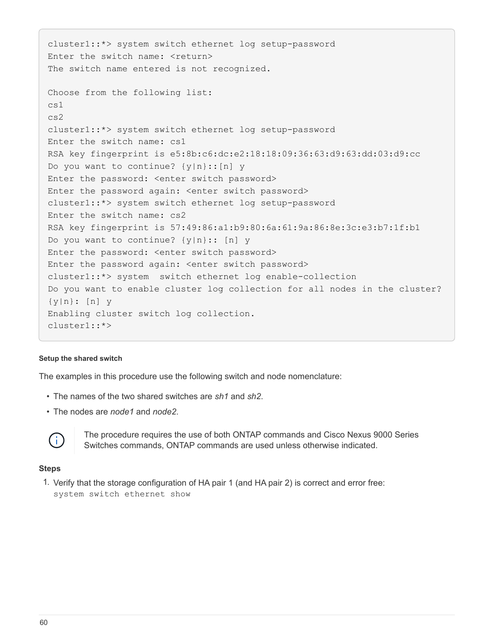```
cluster1::*> system switch ethernet log setup-password
Enter the switch name: <return>
The switch name entered is not recognized.
Choose from the following list:
cs1
cs2
cluster1::*> system switch ethernet log setup-password
Enter the switch name: cs1
RSA key fingerprint is e5:8b:c6:dc:e2:18:18:09:36:63:d9:63:dd:03:d9:cc
Do you want to continue? {y|n}::[n] y
Enter the password: < enter switch password>
Enter the password again: <enter switch password>
cluster1::*> system switch ethernet log setup-password
Enter the switch name: cs2
RSA key fingerprint is 57:49:86:a1:b9:80:6a:61:9a:86:8e:3c:e3:b7:1f:b1
Do you want to continue? {y|n}:: [n] y
Enter the password: < enter switch password>
Enter the password again: <enter switch password>
cluster1::*> system switch ethernet log enable-collection
Do you want to enable cluster log collection for all nodes in the cluster?
{y|n}: [n] y
Enabling cluster switch log collection.
cluster1::*>
```
#### **Setup the shared switch**

The examples in this procedure use the following switch and node nomenclature:

- The names of the two shared switches are *sh1* and *sh2*.
- The nodes are *node1* and *node2*.



The procedure requires the use of both ONTAP commands and Cisco Nexus 9000 Series Switches commands, ONTAP commands are used unless otherwise indicated.

#### **Steps**

1. Verify that the storage configuration of HA pair 1 (and HA pair 2) is correct and error free: system switch ethernet show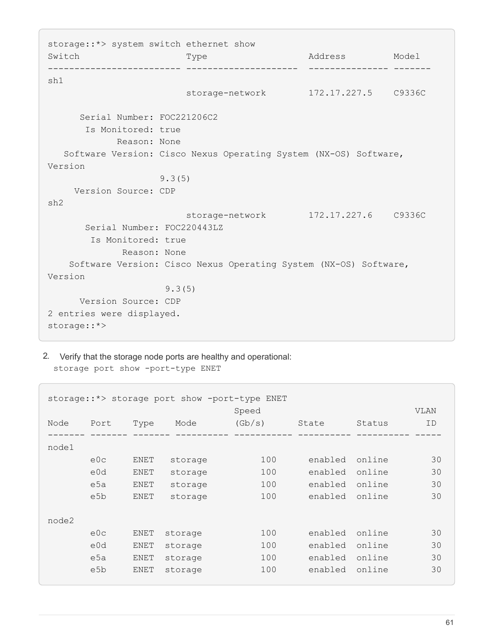storage::\*> system switch ethernet show Switch Type Address Model ------------------------- --------------------- --------------- ------ sh1 storage-network 172.17.227.5 C9336C Serial Number: FOC221206C2 Is Monitored: true Reason: None Software Version: Cisco Nexus Operating System (NX-OS) Software, Version 9.3(5) Version Source: CDP sh2 storage-network 172.17.227.6 C9336C Serial Number: FOC220443LZ Is Monitored: true Reason: None Software Version: Cisco Nexus Operating System (NX-OS) Software, Version 9.3(5) Version Source: CDP 2 entries were displayed. storage::\*>

2. Verify that the storage node ports are healthy and operational: storage port show -port-type ENET

|       | storage::*> storage port show -port-type ENET |      |         |        |         |        |             |  |  |
|-------|-----------------------------------------------|------|---------|--------|---------|--------|-------------|--|--|
|       |                                               |      |         | Speed  |         |        | <b>VLAN</b> |  |  |
| Node  | Port                                          | Type | Mode    | (Gb/s) | State   | Status | ID          |  |  |
|       |                                               |      |         |        |         |        |             |  |  |
| node1 |                                               |      |         |        |         |        |             |  |  |
|       | e0c                                           | ENET | storage | 100    | enabled | online | 30          |  |  |
|       | e0d                                           | ENET | storage | 100    | enabled | online | 30          |  |  |
|       | e5a                                           | ENET | storage | 100    | enabled | online | 30          |  |  |
|       | e5b                                           | ENET | storage | 100    | enabled | online | 30          |  |  |
|       |                                               |      |         |        |         |        |             |  |  |
| node2 |                                               |      |         |        |         |        |             |  |  |
|       | e0c                                           | ENET | storage | 100    | enabled | online | 30          |  |  |
|       | e0d                                           | ENET | storage | 100    | enabled | online | 30          |  |  |
|       | e5a                                           | ENET | storage | 100    | enabled | online | 30          |  |  |
|       | e5b                                           | ENET | storage | 100    | enabled | online | 30          |  |  |
|       |                                               |      |         |        |         |        |             |  |  |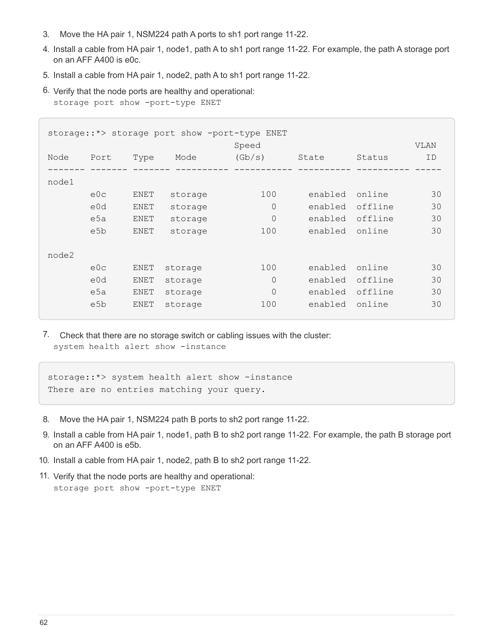- 3. Move the HA pair 1, NSM224 path A ports to sh1 port range 11-22.
- 4. Install a cable from HA pair 1, node1, path A to sh1 port range 11-22. For example, the path A storage port on an AFF A400 is e0c.
- 5. Install a cable from HA pair 1, node2, path A to sh1 port range 11-22.
- 6. Verify that the node ports are healthy and operational: storage port show -port-type ENET

|       | storage::*> storage port show -port-type ENET |      |         |                |         |         |             |  |  |
|-------|-----------------------------------------------|------|---------|----------------|---------|---------|-------------|--|--|
|       |                                               |      |         | Speed          |         |         | <b>VLAN</b> |  |  |
| Node  | Port                                          | Type | Mode    | (Gb/s)         | State   | Status  | ID          |  |  |
|       |                                               |      |         |                |         |         |             |  |  |
| node1 |                                               |      |         |                |         |         |             |  |  |
|       | e0c                                           | ENET | storage | 100            | enabled | online  | 30          |  |  |
|       | e0d                                           | ENET | storage | $\overline{0}$ | enabled | offline | 30          |  |  |
|       | e5a                                           | ENET | storage | $\overline{0}$ | enabled | offline | 30          |  |  |
|       | e5b                                           | ENET | storage | 100            | enabled | online  | 30          |  |  |
|       |                                               |      |         |                |         |         |             |  |  |
| node2 |                                               |      |         |                |         |         |             |  |  |
|       | e0c                                           | ENET | storage | 100            | enabled | online  | 30          |  |  |
|       | e0d                                           | ENET | storage | $\Omega$       | enabled | offline | 30          |  |  |
|       | e5a                                           | ENET | storage | $\overline{0}$ | enabled | offline | 30          |  |  |
|       | e5b                                           | ENET | storage | 100            | enabled | online  | 30          |  |  |
|       |                                               |      |         |                |         |         |             |  |  |

7. Check that there are no storage switch or cabling issues with the cluster: system health alert show -instance

storage::\*> system health alert show -instance There are no entries matching your query.

- 8. Move the HA pair 1, NSM224 path B ports to sh2 port range 11-22.
- 9. Install a cable from HA pair 1, node1, path B to sh2 port range 11-22. For example, the path B storage port on an AFF A400 is e5b.
- 10. Install a cable from HA pair 1, node2, path B to sh2 port range 11-22.
- 11. Verify that the node ports are healthy and operational: storage port show -port-type ENET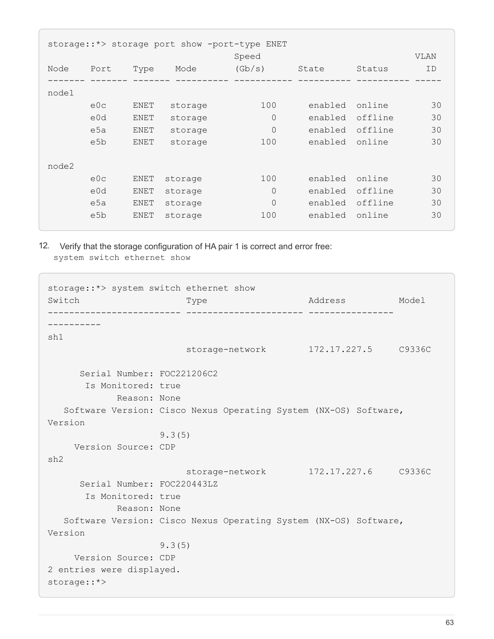| storage::*> storage port show -port-type ENET |                  |      |         |                |         |         |             |  |
|-----------------------------------------------|------------------|------|---------|----------------|---------|---------|-------------|--|
|                                               |                  |      |         | Speed          |         |         | <b>VLAN</b> |  |
| Node                                          | Port             | Type | Mode    | (Gb/s)         | State   | Status  | ID          |  |
|                                               |                  |      |         |                |         |         |             |  |
| node1                                         |                  |      |         |                |         |         |             |  |
|                                               | e0c              | ENET | storage | 100            | enabled | online  | 30          |  |
|                                               | e0d              | ENET | storage | $\Omega$       | enabled | offline | 30          |  |
|                                               | e5a              | ENET | storage | $\Omega$       | enabled | offline | 30          |  |
|                                               | e <sub>5</sub> b | ENET | storage | 100            | enabled | online  | 30          |  |
|                                               |                  |      |         |                |         |         |             |  |
| node2                                         |                  |      |         |                |         |         |             |  |
|                                               | e0c              | ENET | storage | 100            | enabled | online  | 30          |  |
|                                               | e0d              | ENET | storage | 0              | enabled | offline | 30          |  |
|                                               | e5a              | ENET | storage | $\overline{0}$ | enabled | offline | 30          |  |
|                                               | e5b              | ENET | storage | 100            | enabled | online  | 30          |  |
|                                               |                  |      |         |                |         |         |             |  |

12. Verify that the storage configuration of HA pair 1 is correct and error free: system switch ethernet show

```
storage::*> system switch ethernet show
Switch Type Rddress Model
------------------------- ---------------------- ----------------
----------
sh1
                          storage-network 172.17.227.5 C9336C
       Serial Number: FOC221206C2
        Is Monitored: true
            Reason: None
    Software Version: Cisco Nexus Operating System (NX-OS) Software,
Version
                     9.3(5)
      Version Source: CDP
sh2
                          storage-network 172.17.227.6 C9336C
       Serial Number: FOC220443LZ
        Is Monitored: true
              Reason: None
    Software Version: Cisco Nexus Operating System (NX-OS) Software,
Version
                     9.3(5)
      Version Source: CDP
2 entries were displayed.
storage::*>
```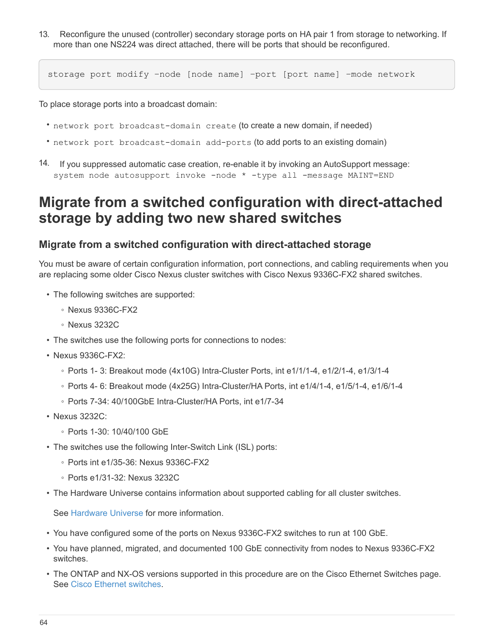13. Reconfigure the unused (controller) secondary storage ports on HA pair 1 from storage to networking. If more than one NS224 was direct attached, there will be ports that should be reconfigured.

storage port modify –node [node name] –port [port name] –mode network

To place storage ports into a broadcast domain:

- network port broadcast-domain create (to create a new domain, if needed)
- network port broadcast-domain add-ports (to add ports to an existing domain)
- 14. If you suppressed automatic case creation, re-enable it by invoking an AutoSupport message: system node autosupport invoke -node \* -type all -message MAINT=END

# **Migrate from a switched configuration with direct-attached storage by adding two new shared switches**

# **Migrate from a switched configuration with direct-attached storage**

You must be aware of certain configuration information, port connections, and cabling requirements when you are replacing some older Cisco Nexus cluster switches with Cisco Nexus 9336C-FX2 shared switches.

- The following switches are supported:
	- Nexus 9336C-FX2
	- Nexus 3232C
- The switches use the following ports for connections to nodes:
- Nexus 9336C-FX2:
	- Ports 1- 3: Breakout mode (4x10G) Intra-Cluster Ports, int e1/1/1-4, e1/2/1-4, e1/3/1-4
	- Ports 4- 6: Breakout mode (4x25G) Intra-Cluster/HA Ports, int e1/4/1-4, e1/5/1-4, e1/6/1-4
	- Ports 7-34: 40/100GbE Intra-Cluster/HA Ports, int e1/7-34
- Nexus 3232C:
	- Ports 1-30: 10/40/100 GbE
- The switches use the following Inter-Switch Link (ISL) ports:
	- Ports int e1/35-36: Nexus 9336C-FX2
	- Ports e1/31-32: Nexus 3232C
- The Hardware Universe contains information about supported cabling for all cluster switches.

See [Hardware Universe](https://hwu.netapp.com) for more information.

- You have configured some of the ports on Nexus 9336C-FX2 switches to run at 100 GbE.
- You have planned, migrated, and documented 100 GbE connectivity from nodes to Nexus 9336C-FX2 switches.
- The ONTAP and NX-OS versions supported in this procedure are on the Cisco Ethernet Switches page. See [Cisco Ethernet switches.](https://mysupport.netapp.com/site/info/cisco-ethernet-switch)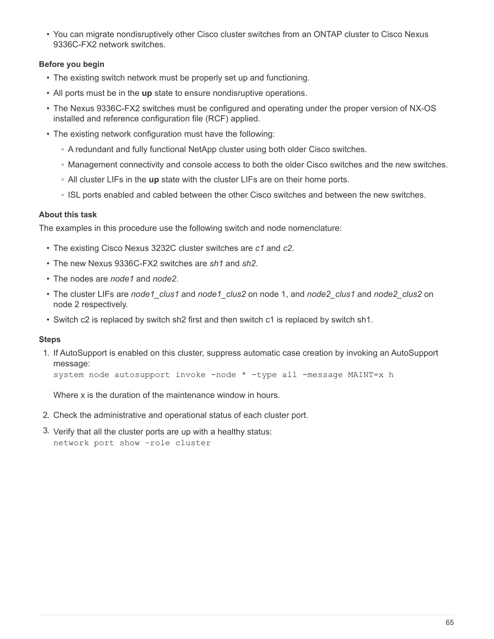• You can migrate nondisruptively other Cisco cluster switches from an ONTAP cluster to Cisco Nexus 9336C-FX2 network switches.

# **Before you begin**

- The existing switch network must be properly set up and functioning.
- All ports must be in the **up** state to ensure nondisruptive operations.
- The Nexus 9336C-FX2 switches must be configured and operating under the proper version of NX-OS installed and reference configuration file (RCF) applied.
- The existing network configuration must have the following:
	- A redundant and fully functional NetApp cluster using both older Cisco switches.
	- Management connectivity and console access to both the older Cisco switches and the new switches.
	- All cluster LIFs in the **up** state with the cluster LIFs are on their home ports.
	- ISL ports enabled and cabled between the other Cisco switches and between the new switches.

## **About this task**

The examples in this procedure use the following switch and node nomenclature:

- The existing Cisco Nexus 3232C cluster switches are *c1* and *c2*.
- The new Nexus 9336C-FX2 switches are *sh1* and *sh2*.
- The nodes are *node1* and *node2*.
- The cluster LIFs are *node1\_clus1* and *node1\_clus2* on node 1, and *node2\_clus1* and *node2\_clus2* on node 2 respectively.
- Switch c2 is replaced by switch sh2 first and then switch c1 is replaced by switch sh1.

### **Steps**

1. If AutoSupport is enabled on this cluster, suppress automatic case creation by invoking an AutoSupport message:

system node autosupport invoke -node \* -type all -message MAINT=x h

Where x is the duration of the maintenance window in hours.

- 2. Check the administrative and operational status of each cluster port.
- 3. Verify that all the cluster ports are up with a healthy status: network port show –role cluster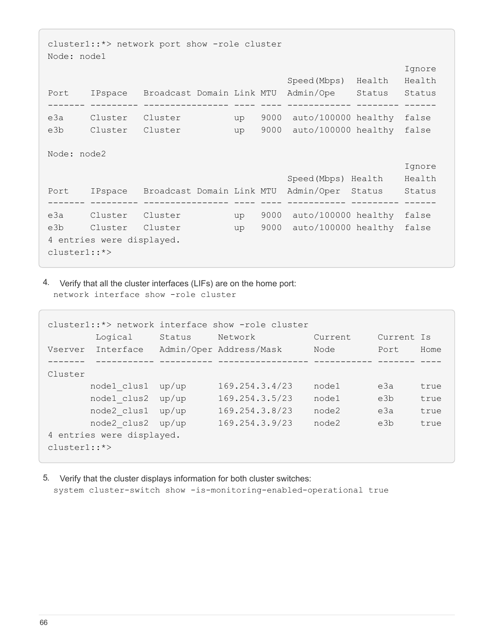```
cluster1::*> network port show -role cluster
Node: node1
e de la construcción de la construcción de la construcción de la construcción de la construcción de la constru
                                              Speed(Mbps) Health Health
Port IPspace Broadcast Domain Link MTU Admin/Ope Status Status
------- --------- ---------------- ---- ---- ------------ -------- ------
e3a Cluster Cluster up 9000 auto/100000 healthy false
e3b Cluster Cluster up 9000 auto/100000 healthy false
Node: node2
e de la construcción de la construcción de la construcción de la construcción de la construcción de la constru
                                            Speed(Mbps) Health Health
Port IPspace Broadcast Domain Link MTU Admin/Oper Status Status
------- --------- ---------------- ---- ---- ----------- --------- ------
e3a Cluster Cluster up 9000 auto/100000 healthy false
e3b Cluster Cluster up 9000 auto/100000 healthy false
4 entries were displayed.
cluster1::*>
```
4. Verify that all the cluster interfaces (LIFs) are on the home port: network interface show -role cluster

|                | cluster1::*> network interface show -role cluster |        |                         |         |            |      |  |  |  |  |
|----------------|---------------------------------------------------|--------|-------------------------|---------|------------|------|--|--|--|--|
|                | Logical                                           | Status | Network                 | Current | Current Is |      |  |  |  |  |
| Vserver        | Interface                                         |        | Admin/Oper Address/Mask | Node    | Port       | Home |  |  |  |  |
|                |                                                   |        |                         |         |            |      |  |  |  |  |
| Cluster        |                                                   |        |                         |         |            |      |  |  |  |  |
|                | node1 clus1                                       | up/up  | 169.254.3.4/23          | node1   | e3a        | true |  |  |  |  |
|                | node1 clus2                                       | up/up  | 169.254.3.5/23          | node1   | e3b        | true |  |  |  |  |
|                | node2 clus1                                       | up/up  | 169.254.3.8/23          | node2   | e3a        | true |  |  |  |  |
|                | node2 clus2 up/up                                 |        | 169.254.3.9/23          | node2   | e3b        | true |  |  |  |  |
|                | 4 entries were displayed.                         |        |                         |         |            |      |  |  |  |  |
| $cluster1::*>$ |                                                   |        |                         |         |            |      |  |  |  |  |

5. Verify that the cluster displays information for both cluster switches: system cluster-switch show -is-monitoring-enabled-operational true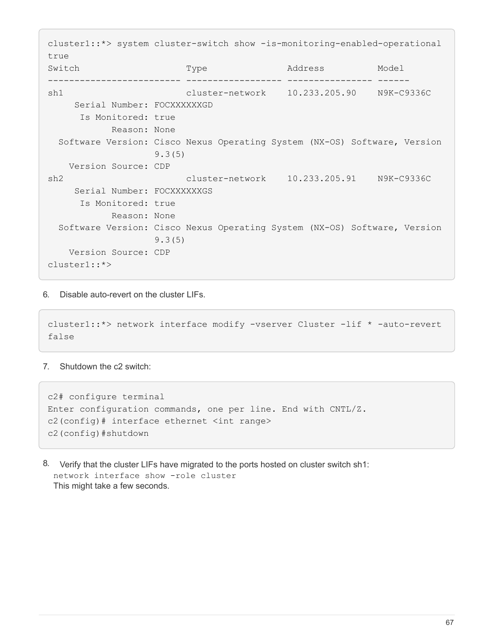cluster1::\*> system cluster-switch show -is-monitoring-enabled-operational true Switch Type Address Model ------------------------- ------------------ ---------------- ----- sh1 cluster-network 10.233.205.90 N9K-C9336C Serial Number: FOCXXXXXXGD Is Monitored: true Reason: None Software Version: Cisco Nexus Operating System (NX-OS) Software, Version 9.3(5) Version Source: CDP sh2 cluster-network 10.233.205.91 N9K-C9336C Serial Number: FOCXXXXXXGS Is Monitored: true Reason: None Software Version: Cisco Nexus Operating System (NX-OS) Software, Version 9.3(5) Version Source: CDP cluster1::\*>

6. Disable auto-revert on the cluster LIFs.

```
cluster1::*> network interface modify -vserver Cluster -lif * -auto-revert
false
```
7. Shutdown the c2 switch:

c2# configure terminal Enter configuration commands, one per line. End with CNTL/Z. c2(config)# interface ethernet <int range> c2(config)#shutdown

8. Verify that the cluster LIFs have migrated to the ports hosted on cluster switch sh1: network interface show -role cluster This might take a few seconds.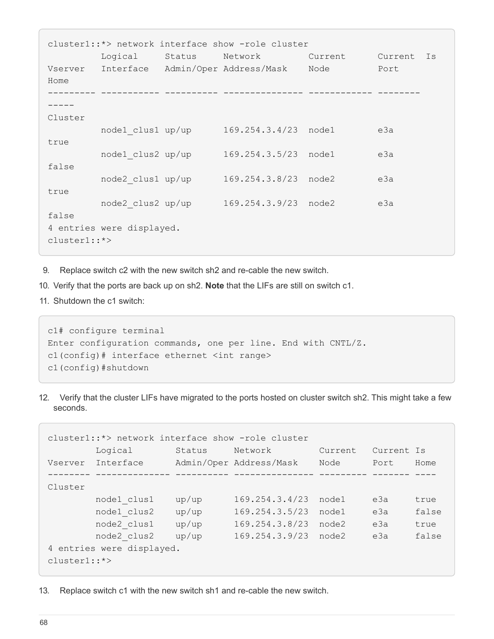| cluster1::*> network interface show -role cluster |                           |        |                                                |         |            |  |  |  |
|---------------------------------------------------|---------------------------|--------|------------------------------------------------|---------|------------|--|--|--|
|                                                   | Logical                   | Status | Network                                        | Current | Current Is |  |  |  |
|                                                   |                           |        | Vserver Interface Admin/Oper Address/Mask Node |         | Port       |  |  |  |
| Home                                              |                           |        |                                                |         |            |  |  |  |
|                                                   |                           |        |                                                |         |            |  |  |  |
|                                                   |                           |        |                                                |         |            |  |  |  |
| Cluster                                           |                           |        |                                                |         |            |  |  |  |
|                                                   |                           |        | node1 clus1 up/up 169.254.3.4/23 node1         |         | e3a        |  |  |  |
| true                                              |                           |        |                                                |         |            |  |  |  |
|                                                   | node1 clus2 up/up         |        | 169.254.3.5/23 node1                           |         | e3a        |  |  |  |
| false                                             |                           |        |                                                |         |            |  |  |  |
|                                                   | node2 clus1 up/up         |        | 169.254.3.8/23 node2                           |         | e3a        |  |  |  |
| true                                              |                           |        |                                                |         |            |  |  |  |
|                                                   | node2 clus2 up/up         |        | 169.254.3.9/23 node2                           |         | e3a        |  |  |  |
| false                                             |                           |        |                                                |         |            |  |  |  |
|                                                   | 4 entries were displayed. |        |                                                |         |            |  |  |  |
| $cluster1:$ *>                                    |                           |        |                                                |         |            |  |  |  |

- 9. Replace switch c2 with the new switch sh2 and re-cable the new switch.
- 10. Verify that the ports are back up on sh2. **Note** that the LIFs are still on switch c1.
- 11. Shutdown the c1 switch:

```
c1# configure terminal
Enter configuration commands, one per line. End with CNTL/Z.
c1(config)# interface ethernet <int range>
c1(config)#shutdown
```
12. Verify that the cluster LIFs have migrated to the ports hosted on cluster switch sh2. This might take a few seconds.

|                           | cluster1::*> network interface show -role cluster |        |                         |         |            |       |  |  |  |
|---------------------------|---------------------------------------------------|--------|-------------------------|---------|------------|-------|--|--|--|
|                           | Logical                                           | Status | Network                 | Current | Current Is |       |  |  |  |
| Vserver                   | Interface                                         |        | Admin/Oper Address/Mask | Node    | Port       | Home  |  |  |  |
|                           |                                                   |        |                         |         |            |       |  |  |  |
| Cluster                   |                                                   |        |                         |         |            |       |  |  |  |
|                           | node1 clus1                                       | up/up  | 169.254.3.4/23          | node1   | e3a        | true  |  |  |  |
|                           | node1 clus2                                       | up/up  | 169.254.3.5/23          | node1   | e3a        | false |  |  |  |
|                           | node2 clus1                                       | up/up  | 169.254.3.8/23          | node2   | e3a        | true  |  |  |  |
|                           | node2 clus2                                       | up/up  | 169.254.3.9/23          | node2   | e3a        | false |  |  |  |
| 4 entries were displayed. |                                                   |        |                         |         |            |       |  |  |  |
| $cluster1:**$             |                                                   |        |                         |         |            |       |  |  |  |

13. Replace switch c1 with the new switch sh1 and re-cable the new switch.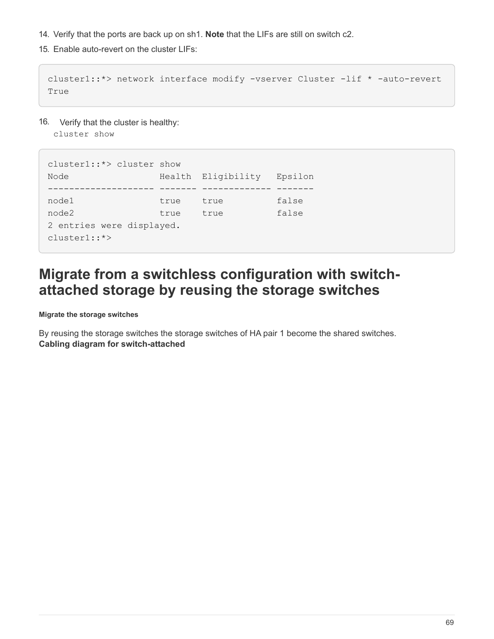- 14. Verify that the ports are back up on sh1. **Note** that the LIFs are still on switch c2.
- 15. Enable auto-revert on the cluster LIFs:

cluster1::\*> network interface modify -vserver Cluster -lif \* -auto-revert True

16. Verify that the cluster is healthy:

cluster show

```
cluster1::*> cluster show
Node Health Eligibility Epsilon
-------------------- ------- ------------- -------
node1 true true false
node2 true true false
2 entries were displayed.
cluster1::*>
```
# **Migrate from a switchless configuration with switchattached storage by reusing the storage switches**

**Migrate the storage switches**

By reusing the storage switches the storage switches of HA pair 1 become the shared switches. **Cabling diagram for switch-attached**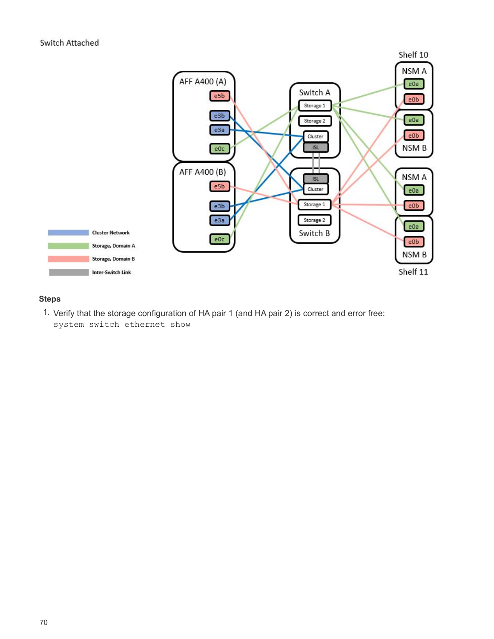

# **Steps**

1. Verify that the storage configuration of HA pair 1 (and HA pair 2) is correct and error free: system switch ethernet show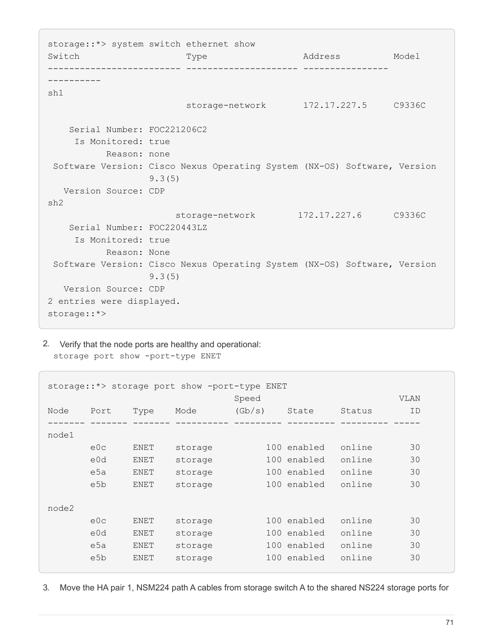storage::\*> system switch ethernet show Switch Type Address Model ------------------------- --------------------- ---------------- --------- sh1 storage-network 172.17.227.5 C9336C Serial Number: FOC221206C2 Is Monitored: true Reason: none Software Version: Cisco Nexus Operating System (NX-OS) Software, Version 9.3(5) Version Source: CDP sh2 storage-network 172.17.227.6 C9336C Serial Number: FOC220443LZ Is Monitored: true Reason: None Software Version: Cisco Nexus Operating System (NX-OS) Software, Version 9.3(5) Version Source: CDP 2 entries were displayed. storage::\*>

2. Verify that the node ports are healthy and operational: storage port show -port-type ENET

```
storage::*> storage port show -port-type ENET
  Speed VLAN
Node Port Type Mode (Gb/s) State Status ID
------- ------- ------- ---------- --------- --------- --------- -----
node1
     e0c ENET storage 100 enabled online 30
     e0d ENET storage 100 enabled online 30
       e5a ENET storage 100 enabled online 30
       e5b ENET storage 100 enabled online 30
node2
     e0c ENET storage 100 enabled online 30
     e0d ENET storage 100 enabled online 30
       e5a ENET storage 100 enabled online 30
     e5b ENET storage 100 enabled online 30
```
3. Move the HA pair 1, NSM224 path A cables from storage switch A to the shared NS224 storage ports for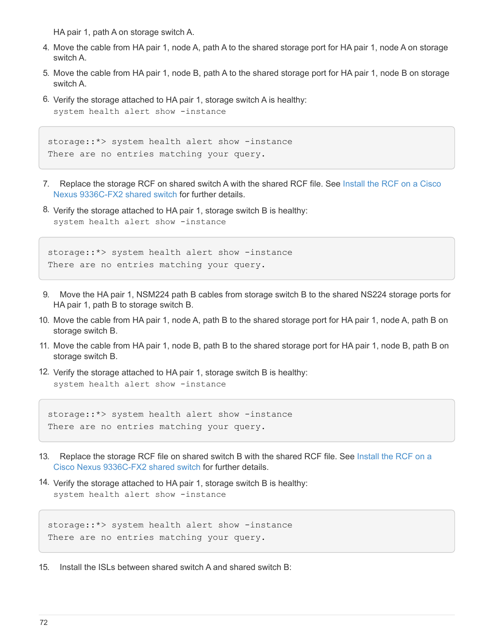HA pair 1, path A on storage switch A.

- 4. Move the cable from HA pair 1, node A, path A to the shared storage port for HA pair 1, node A on storage switch A.
- 5. Move the cable from HA pair 1, node B, path A to the shared storage port for HA pair 1, node B on storage switch A.
- 6. Verify the storage attached to HA pair 1, storage switch A is healthy: system health alert show -instance

```
storage::*> system health alert show -instance
There are no entries matching your query.
```
- 7. Replace the storage RCF on shared switch A with the shared RCF file. See [Install the RCF on a Cisco](#page-10-0) [Nexus 9336C-FX2 shared switch](#page-10-0) for further details.
- 8. Verify the storage attached to HA pair 1, storage switch B is healthy: system health alert show -instance

storage::\*> system health alert show -instance There are no entries matching your query.

- 9. Move the HA pair 1, NSM224 path B cables from storage switch B to the shared NS224 storage ports for HA pair 1, path B to storage switch B.
- 10. Move the cable from HA pair 1, node A, path B to the shared storage port for HA pair 1, node A, path B on storage switch B.
- 11. Move the cable from HA pair 1, node B, path B to the shared storage port for HA pair 1, node B, path B on storage switch B.
- 12. Verify the storage attached to HA pair 1, storage switch B is healthy: system health alert show -instance

storage::\*> system health alert show -instance There are no entries matching your query.

- 13. Replace the storage RCF file on shared switch B with the shared RCF file. See [Install the RCF on a](#page-10-0) [Cisco Nexus 9336C-FX2 shared switch](#page-10-0) for further details.
- 14. Verify the storage attached to HA pair 1, storage switch B is healthy: system health alert show -instance

storage::\*> system health alert show -instance There are no entries matching your query.

15. Install the ISLs between shared switch A and shared switch  $B<sup>2</sup>$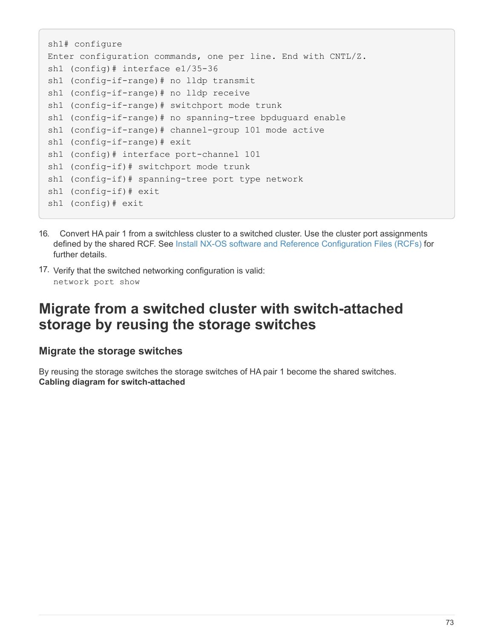```
sh1# configure
Enter configuration commands, one per line. End with CNTL/Z.
sh1 (config)# interface e1/35-36
sh1 (config-if-range)# no lldp transmit
sh1 (config-if-range)# no lldp receive
sh1 (config-if-range)# switchport mode trunk
sh1 (config-if-range)# no spanning-tree bpduguard enable
sh1 (config-if-range)# channel-group 101 mode active
sh1 (config-if-range)# exit
sh1 (config)# interface port-channel 101
sh1 (config-if)# switchport mode trunk
sh1 (config-if)# spanning-tree port type network
sh1 (config-if)# exit
sh1 (config)# exit
```
- 16. Convert HA pair 1 from a switchless cluster to a switched cluster. Use the cluster port assignments defined by the shared RCF. See [Install NX-OS software and Reference Configuration Files \(RCFs\)](#page-10-0) for further details.
- 17. Verify that the switched networking configuration is valid: network port show

# **Migrate from a switched cluster with switch-attached storage by reusing the storage switches**

## **Migrate the storage switches**

By reusing the storage switches the storage switches of HA pair 1 become the shared switches. **Cabling diagram for switch-attached**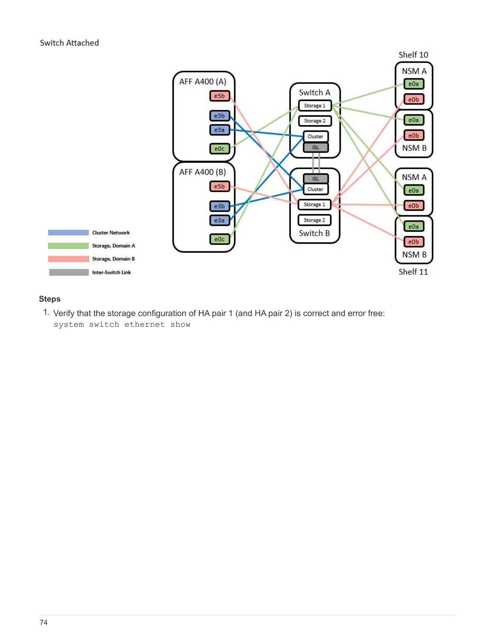

## **Steps**

1. Verify that the storage configuration of HA pair 1 (and HA pair 2) is correct and error free: system switch ethernet show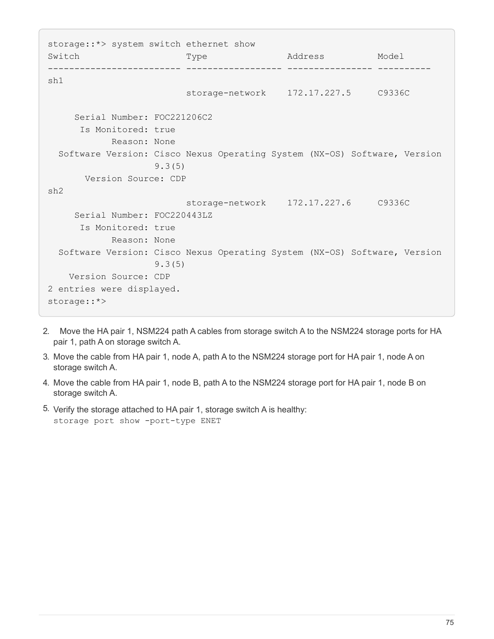storage::\*> system switch ethernet show Switch Type Address Model ------------------------- ------------------ ---------------- --------- sh1 storage-network 172.17.227.5 C9336C Serial Number: FOC221206C2 Is Monitored: true Reason: None Software Version: Cisco Nexus Operating System (NX-OS) Software, Version 9.3(5) Version Source: CDP sh2 storage-network 172.17.227.6 C9336C Serial Number: FOC220443LZ Is Monitored: true Reason: None Software Version: Cisco Nexus Operating System (NX-OS) Software, Version 9.3(5) Version Source: CDP 2 entries were displayed. storage::\*>

- 2. Move the HA pair 1, NSM224 path A cables from storage switch A to the NSM224 storage ports for HA pair 1, path A on storage switch A.
- 3. Move the cable from HA pair 1, node A, path A to the NSM224 storage port for HA pair 1, node A on storage switch A.
- 4. Move the cable from HA pair 1, node B, path A to the NSM224 storage port for HA pair 1, node B on storage switch A.
- 5. Verify the storage attached to HA pair 1, storage switch A is healthy: storage port show -port-type ENET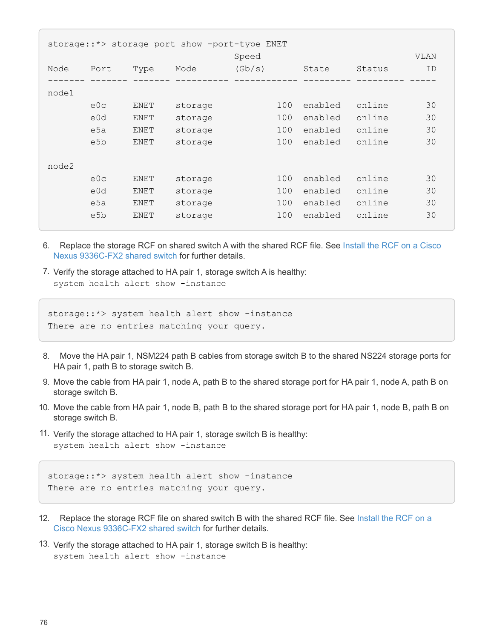| storage::*> storage port show -port-type ENET<br>Speed |                  |      |         |        |     |         |        | <b>VLAN</b> |
|--------------------------------------------------------|------------------|------|---------|--------|-----|---------|--------|-------------|
| Node                                                   | Port             | Type | Mode    | (Gb/s) |     | State   | Status | ID          |
| node1                                                  |                  |      |         |        |     |         |        |             |
|                                                        | e0c              | ENET | storage |        | 100 | enabled | online | 30          |
|                                                        | e0d              | ENET | storage |        | 100 | enabled | online | 30          |
|                                                        | e5a              | ENET | storage |        | 100 | enabled | online | 30          |
|                                                        | e5b              | ENET | storage |        | 100 | enabled | online | 30          |
| node2                                                  |                  |      |         |        |     |         |        |             |
|                                                        | e0c              | ENET | storage |        | 100 | enabled | online | 30          |
|                                                        | e0d              | ENET | storage |        | 100 | enabled | online | 30          |
|                                                        | e5a              | ENET | storage |        | 100 | enabled | online | 30          |
|                                                        | e <sub>5</sub> b | ENET | storage |        | 100 | enabled | online | 30          |

- 6. Replace the storage RCF on shared switch A with the shared RCF file. See [Install the RCF on a Cisco](#page-10-0) [Nexus 9336C-FX2 shared switch](#page-10-0) for further details.
- 7. Verify the storage attached to HA pair 1, storage switch A is healthy: system health alert show -instance

```
storage::*> system health alert show -instance
There are no entries matching your query.
```
- 8. Move the HA pair 1, NSM224 path B cables from storage switch B to the shared NS224 storage ports for HA pair 1, path B to storage switch B.
- 9. Move the cable from HA pair 1, node A, path B to the shared storage port for HA pair 1, node A, path B on storage switch B.
- 10. Move the cable from HA pair 1, node B, path B to the shared storage port for HA pair 1, node B, path B on storage switch B.
- 11. Verify the storage attached to HA pair 1, storage switch B is healthy: system health alert show -instance

```
storage::*> system health alert show -instance
There are no entries matching your query.
```
- 12. Replace the storage RCF file on shared switch B with the shared RCF file. See [Install the RCF on a](#page-10-0) [Cisco Nexus 9336C-FX2 shared switch](#page-10-0) for further details.
- 13. Verify the storage attached to HA pair 1, storage switch B is healthy: system health alert show -instance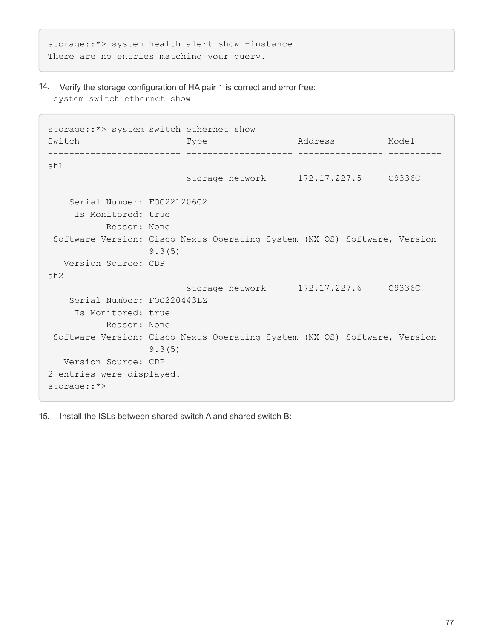storage::\*> system health alert show -instance There are no entries matching your query.

14. Verify the storage configuration of HA pair 1 is correct and error free: system switch ethernet show

```
storage::*> system switch ethernet show
Switch Type Address Model
------------------------- -------------------- ---------------- ----------
sh1
                          storage-network 172.17.227.5 C9336C
     Serial Number: FOC221206C2
      Is Monitored: true
            Reason: None
 Software Version: Cisco Nexus Operating System (NX-OS) Software, Version
                    9.3(5)
    Version Source: CDP
sh2
                          storage-network 172.17.227.6 C9336C
     Serial Number: FOC220443LZ
      Is Monitored: true
            Reason: None
 Software Version: Cisco Nexus Operating System (NX-OS) Software, Version
                   9.3(5)
   Version Source: CDP
2 entries were displayed.
storage::*>
```
15. Install the ISLs between shared switch A and shared switch B: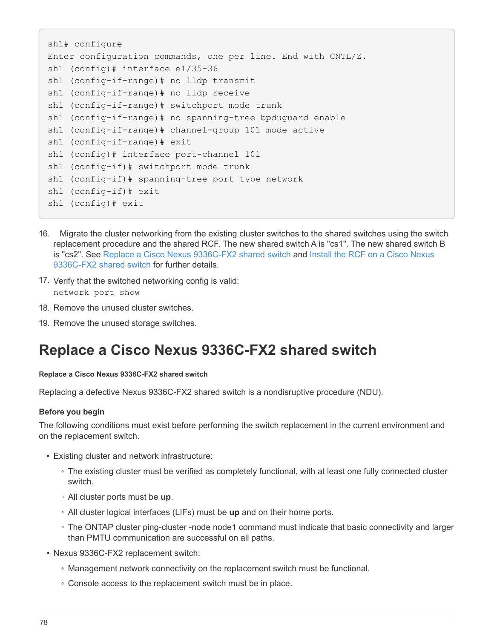```
sh1# configure
Enter configuration commands, one per line. End with CNTL/Z.
sh1 (config)# interface e1/35-36
sh1 (config-if-range)# no lldp transmit
sh1 (config-if-range)# no lldp receive
sh1 (config-if-range)# switchport mode trunk
sh1 (config-if-range)# no spanning-tree bpduguard enable
sh1 (config-if-range)# channel-group 101 mode active
sh1 (config-if-range)# exit
sh1 (config)# interface port-channel 101
sh1 (config-if)# switchport mode trunk
sh1 (config-if)# spanning-tree port type network
sh1 (config-if)# exit
sh1 (config)# exit
```
- 16. Migrate the cluster networking from the existing cluster switches to the shared switches using the switch replacement procedure and the shared RCF. The new shared switch A is "cs1". The new shared switch B is "cs2". See [Replace a Cisco Nexus 9336C-FX2 shared switch](#page-79-0) and [Install the RCF on a Cisco Nexus](#page-10-0) [9336C-FX2 shared switch](#page-10-0) for further details.
- 17. Verify that the switched networking config is valid: network port show
- 18. Remove the unused cluster switches.
- 19. Remove the unused storage switches.

# <span id="page-79-0"></span>**Replace a Cisco Nexus 9336C-FX2 shared switch**

#### **Replace a Cisco Nexus 9336C-FX2 shared switch**

Replacing a defective Nexus 9336C-FX2 shared switch is a nondisruptive procedure (NDU).

### **Before you begin**

The following conditions must exist before performing the switch replacement in the current environment and on the replacement switch.

- Existing cluster and network infrastructure:
	- The existing cluster must be verified as completely functional, with at least one fully connected cluster switch.
	- All cluster ports must be **up**.
	- All cluster logical interfaces (LIFs) must be **up** and on their home ports.
	- The ONTAP cluster ping-cluster -node node1 command must indicate that basic connectivity and larger than PMTU communication are successful on all paths.
- Nexus 9336C-FX2 replacement switch:
	- Management network connectivity on the replacement switch must be functional.
	- Console access to the replacement switch must be in place.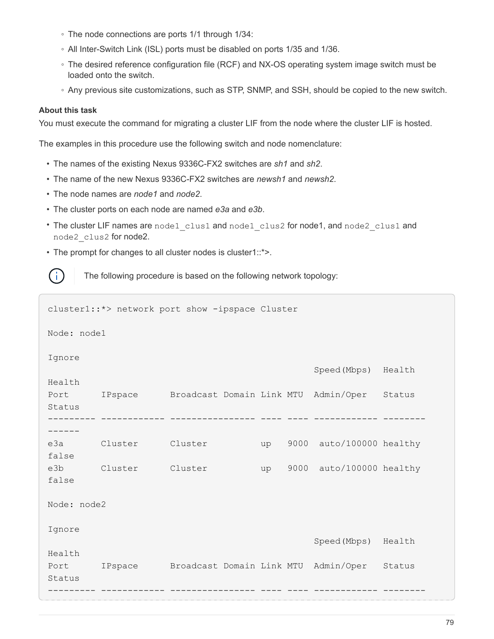- The node connections are ports 1/1 through 1/34:
- All Inter-Switch Link (ISL) ports must be disabled on ports 1/35 and 1/36.
- The desired reference configuration file (RCF) and NX-OS operating system image switch must be loaded onto the switch.
- Any previous site customizations, such as STP, SNMP, and SSH, should be copied to the new switch.

#### **About this task**

You must execute the command for migrating a cluster LIF from the node where the cluster LIF is hosted.

The examples in this procedure use the following switch and node nomenclature:

- The names of the existing Nexus 9336C-FX2 switches are *sh1* and *sh2*.
- The name of the new Nexus 9336C-FX2 switches are *newsh1* and *newsh2*.
- The node names are *node1* and *node2*.
- The cluster ports on each node are named *e3a* and *e3b*.
- The cluster LIF names are node1 clus1 and node1 clus2 for node1, and node2 clus1 and node2\_clus2 for node2.
- The prompt for changes to all cluster nodes is cluster1::\*>.

The following procedure is based on the following network topology:

```
cluster1::*> network port show -ipspace Cluster
Node: node1
Ignore
                                               Speed(Mbps) Health
Health
Port IPspace Broadcast Domain Link MTU Admin/Oper Status
Status
--------- ------------ ---------------- ---- ---- ------------ --------
------
e3a Cluster Cluster up 9000 auto/100000 healthy
false
e3b Cluster Cluster up 9000 auto/100000 healthy
false
Node: node2
Ignore
                                               Speed(Mbps) Health
Health
Port IPspace Broadcast Domain Link MTU Admin/Oper Status
Status
--------- ------------ ---------------- ---- ---- ------------ --------
```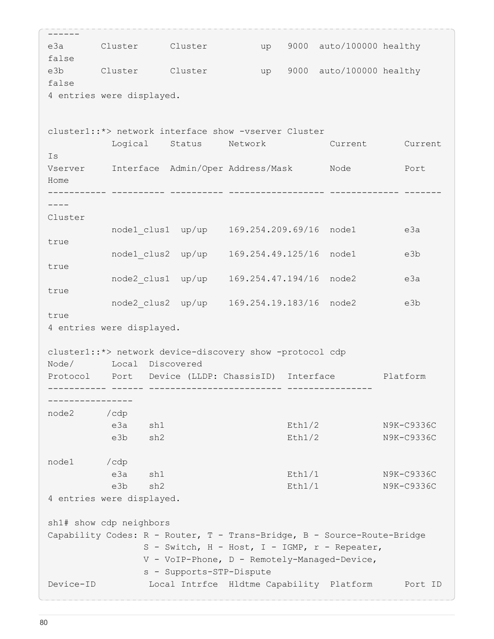```
------
e3a Cluster Cluster up 9000 auto/100000 healthy
false
e3b Cluster Cluster up 9000 auto/100000 healthy
false
4 entries were displayed.
cluster1::*> network interface show -vserver Cluster
           Logical Status Network Current Current
Is
Vserver Interface Admin/Oper Address/Mask Node Port
Home
----------- ---------- ---------- ------------------ ------------- -------
----
Cluster
          node1_clus1 up/up 169.254.209.69/16 node1 e3a
true
        node1 clus2 up/up 169.254.49.125/16 node1 e3b
true
          node2_clus1 up/up 169.254.47.194/16 node2 e3a
true
        node2 clus2 up/up 169.254.19.183/16 node2 e3b
true
4 entries were displayed.
cluster1::*> network device-discovery show -protocol cdp
Node/ Local Discovered
Protocol Port Device (LLDP: ChassisID) Interface Platform
----------- ------ ------------------------- ----------------
----------------
node2 /cdp
           e3a sh1 Eth1/2 N9K-C9336C
          e3b sh2 Eth1/2 N9K-C9336C
node1 /cdp
           e3a sh1 Eth1/1 N9K-C9336C
         e3b sh2 Eth1/1 N9K-C9336C
4 entries were displayed.
sh1# show cdp neighbors
Capability Codes: R - Router, T - Trans-Bridge, B - Source-Route-Bridge
                S - Switch, H - Host, I - IGMP, r - Repeater,
                V - VoIP-Phone, D - Remotely-Managed-Device,
                s - Supports-STP-Dispute
Device-ID Local Intrfce Hldtme Capability Platform Port ID
```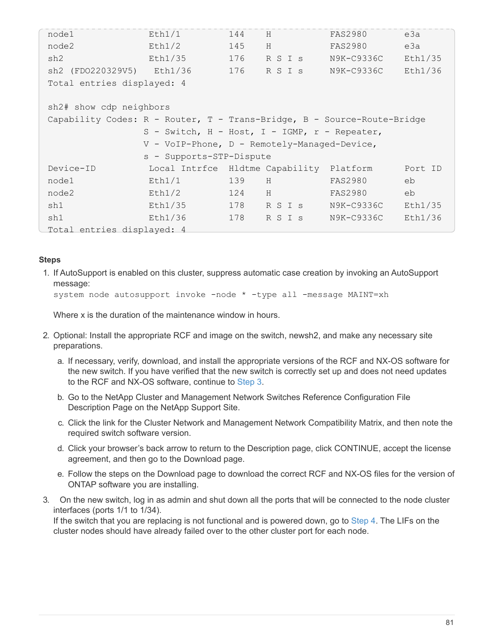| node1                                                                   | Eth1/1                                        | 144 | H       | <b>FAS2980</b> | e3a     |  |  |  |
|-------------------------------------------------------------------------|-----------------------------------------------|-----|---------|----------------|---------|--|--|--|
| node2                                                                   | Eth1/2                                        | 145 | H       | <b>FAS2980</b> | e3a     |  |  |  |
| sh2                                                                     | Eth1/35                                       | 176 | R S I s | N9K-C9336C     | Eth1/35 |  |  |  |
| sh2 (FD0220329V5) Eth1/36                                               |                                               | 176 | R S I s | N9K-C9336C     | Eth1/36 |  |  |  |
| Total entries displayed: 4                                              |                                               |     |         |                |         |  |  |  |
|                                                                         |                                               |     |         |                |         |  |  |  |
| sh2# show cdp neighbors                                                 |                                               |     |         |                |         |  |  |  |
| Capability Codes: R - Router, T - Trans-Bridge, B - Source-Route-Bridge |                                               |     |         |                |         |  |  |  |
|                                                                         | S - Switch, H - Host, I - IGMP, r - Repeater, |     |         |                |         |  |  |  |
| V - VoIP-Phone, D - Remotely-Managed-Device,                            |                                               |     |         |                |         |  |  |  |
| s - Supports-STP-Dispute                                                |                                               |     |         |                |         |  |  |  |
| Device-ID                                                               | Local Intrfce Hldtme Capability Platform      |     |         |                | Port ID |  |  |  |
| node1                                                                   | Eth1/1                                        | 139 | H       | FAS2980        | eb      |  |  |  |
| node2                                                                   | Eth1/2                                        | 124 | H       | FAS2980        | eb      |  |  |  |
| sh1                                                                     | Eth1/35                                       | 178 | R S I s | N9K-C9336C     | Eth1/35 |  |  |  |
| sh1                                                                     | Eth1/36                                       | 178 | R S I s | N9K-C9336C     | Eth1/36 |  |  |  |
| Total entries displayed: 4                                              |                                               |     |         |                |         |  |  |  |

### **Steps**

1. If AutoSupport is enabled on this cluster, suppress automatic case creation by invoking an AutoSupport message:

```
system node autosupport invoke -node * -type all -message MAINT=xh
```
Where x is the duration of the maintenance window in hours.

- 2. Optional: Install the appropriate RCF and image on the switch, newsh2, and make any necessary site preparations.
	- a. If necessary, verify, download, and install the appropriate versions of the RCF and NX-OS software for the new switch. If you have verified that the new switch is correctly set up and does not need updates to the RCF and NX-OS software, continue to [Step 3](#page-3-0).
	- b. Go to the NetApp Cluster and Management Network Switches Reference Configuration File Description Page on the NetApp Support Site.
	- c. Click the link for the Cluster Network and Management Network Compatibility Matrix, and then note the required switch software version.
	- d. Click your browser's back arrow to return to the Description page, click CONTINUE, accept the license agreement, and then go to the Download page.
	- e. Follow the steps on the Download page to download the correct RCF and NX-OS files for the version of ONTAP software you are installing.
- 3. On the new switch, log in as admin and shut down all the ports that will be connected to the node cluster interfaces (ports 1/1 to 1/34).

If the switch that you are replacing is not functional and is powered down, go to [Step 4.](#page-11-0) The LIFs on the cluster nodes should have already failed over to the other cluster port for each node.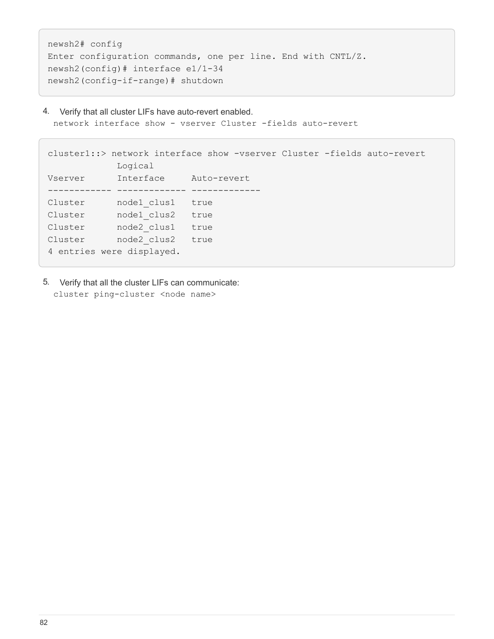```
newsh2# config
Enter configuration commands, one per line. End with CNTL/Z.
newsh2(config)# interface e1/1-34
newsh2(config-if-range)# shutdown
```
4. Verify that all cluster LIFs have auto-revert enabled. network interface show - vserver Cluster -fields auto-revert

```
cluster1::> network interface show -vserver Cluster -fields auto-revert
             Logical
Vserver Interface Auto-revert
------------ ------------- -------------
Cluster node1_clus1 true
Cluster node1_clus2 true
Cluster node2_clus1 true
Cluster    node2 clus2 true
4 entries were displayed.
```
5. Verify that all the cluster LIFs can communicate: cluster ping-cluster <node name>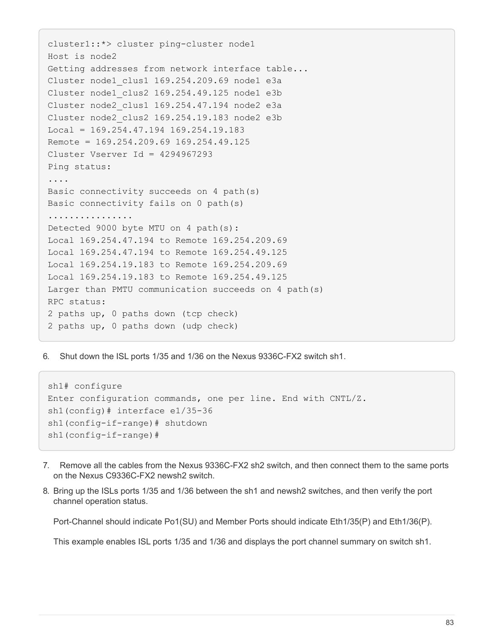```
cluster1::*> cluster ping-cluster node1
Host is node2
Getting addresses from network interface table...
Cluster node1_clus1 169.254.209.69 node1 e3a
Cluster node1_clus2 169.254.49.125 node1 e3b
Cluster node2_clus1 169.254.47.194 node2 e3a
Cluster node2_clus2 169.254.19.183 node2 e3b
Local = 169.254.47.194 169.254.19.183Remote = 169.254.209.69 169.254.49.125
Cluster Vserver Id = 4294967293
Ping status:
....
Basic connectivity succeeds on 4 path(s)
Basic connectivity fails on 0 path(s)
................
Detected 9000 byte MTU on 4 path(s):
Local 169.254.47.194 to Remote 169.254.209.69
Local 169.254.47.194 to Remote 169.254.49.125
Local 169.254.19.183 to Remote 169.254.209.69
Local 169.254.19.183 to Remote 169.254.49.125
Larger than PMTU communication succeeds on 4 path(s)
RPC status:
2 paths up, 0 paths down (tcp check)
2 paths up, 0 paths down (udp check)
```
6. Shut down the ISL ports 1/35 and 1/36 on the Nexus 9336C-FX2 switch sh1.

```
sh1# configure
Enter configuration commands, one per line. End with CNTL/Z.
sh1(config)# interface e1/35-36
sh1(config-if-range)# shutdown
sh1(config-if-range)#
```
- 7. Remove all the cables from the Nexus 9336C-FX2 sh2 switch, and then connect them to the same ports on the Nexus C9336C-FX2 newsh2 switch.
- 8. Bring up the ISLs ports 1/35 and 1/36 between the sh1 and newsh2 switches, and then verify the port channel operation status.

Port-Channel should indicate Po1(SU) and Member Ports should indicate Eth1/35(P) and Eth1/36(P).

This example enables ISL ports 1/35 and 1/36 and displays the port channel summary on switch sh1.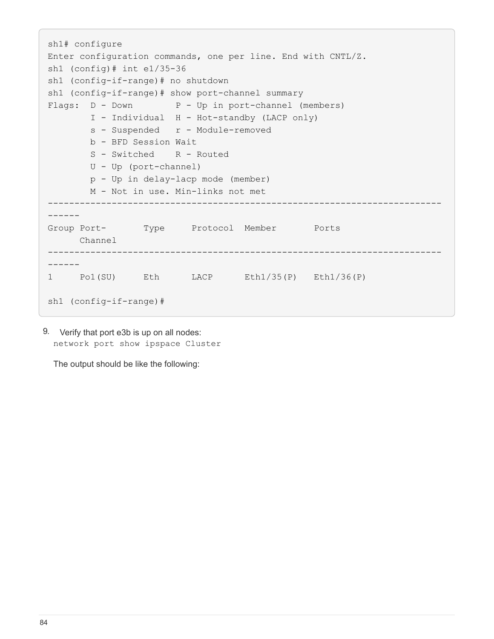```
sh1# configure
Enter configuration commands, one per line. End with CNTL/Z.
sh1 (config)# int e1/35-36
sh1 (config-if-range)# no shutdown
sh1 (config-if-range)# show port-channel summary
Flags: D - Down P - Up in port-channel (members)
          I - Individual H - Hot-standby (LACP only)
        s - Suspended r - Module-removed
          b - BFD Session Wait
        S - Switched R - Routed
          U - Up (port-channel)
          p - Up in delay-lacp mode (member)
          M - Not in use. Min-links not met
 --------------------------------------------------------------------------
------
Group Port- Type Protocol Member Ports
       Channel
--------------------------------------------------------------------------
------
1 Po1(SU) Eth LACP Eth1/35(P) Eth1/36(P)
sh1 (config-if-range)#
```
9. Verify that port e3b is up on all nodes: network port show ipspace Cluster

The output should be like the following: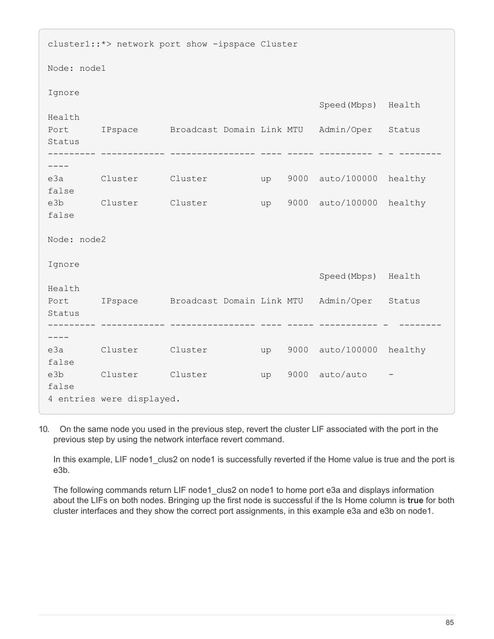| cluster1::*> network port show -ipspace Cluster |                                                          |  |  |    |  |                             |  |
|-------------------------------------------------|----------------------------------------------------------|--|--|----|--|-----------------------------|--|
| Node: node1                                     |                                                          |  |  |    |  |                             |  |
| Ignore                                          |                                                          |  |  |    |  | Speed (Mbps) Health         |  |
| Health                                          |                                                          |  |  |    |  |                             |  |
| Status                                          | Port IPspace Broadcast Domain Link MTU Admin/Oper Status |  |  |    |  |                             |  |
|                                                 |                                                          |  |  |    |  |                             |  |
| false                                           | e3a Cluster Cluster                                      |  |  |    |  | up 9000 auto/100000 healthy |  |
| false                                           | e3b Cluster Cluster                                      |  |  |    |  | up 9000 auto/100000 healthy |  |
| Node: node2                                     |                                                          |  |  |    |  |                             |  |
| Ignore                                          |                                                          |  |  |    |  |                             |  |
|                                                 |                                                          |  |  |    |  | Speed (Mbps) Health         |  |
| Health                                          | Port IPspace Broadcast Domain Link MTU Admin/Oper Status |  |  |    |  |                             |  |
| Status                                          |                                                          |  |  |    |  |                             |  |
| ----                                            |                                                          |  |  |    |  |                             |  |
| false                                           | e3a Cluster Cluster                                      |  |  | up |  | 9000 auto/100000 healthy    |  |
| false                                           | e3b Cluster Cluster                                      |  |  |    |  | up 9000 auto/auto           |  |
| 4 entries were displayed.                       |                                                          |  |  |    |  |                             |  |

10. On the same node you used in the previous step, revert the cluster LIF associated with the port in the previous step by using the network interface revert command.

In this example, LIF node1 clus2 on node1 is successfully reverted if the Home value is true and the port is e3b.

The following commands return LIF node1\_clus2 on node1 to home port e3a and displays information about the LIFs on both nodes. Bringing up the first node is successful if the Is Home column is **true** for both cluster interfaces and they show the correct port assignments, in this example e3a and e3b on node1.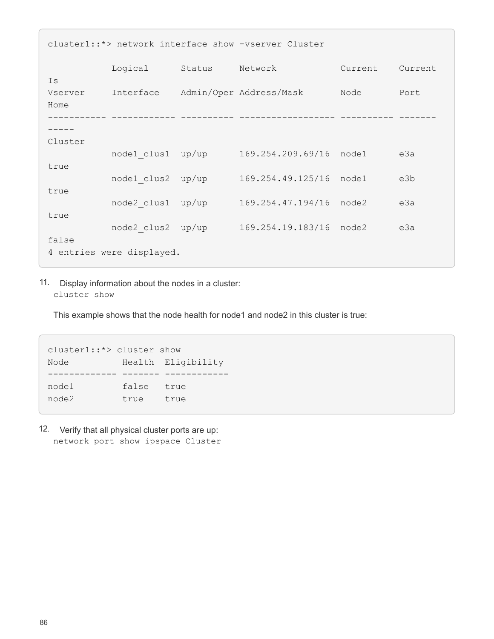| cluster1::*> network interface show -vserver Cluster |                   |        |                                   |         |         |  |  |
|------------------------------------------------------|-------------------|--------|-----------------------------------|---------|---------|--|--|
|                                                      | Logical           | Status | Network                           | Current | Current |  |  |
| Is<br>Vserver<br>Home                                |                   |        | Interface Admin/Oper Address/Mask | Node    | Port    |  |  |
|                                                      |                   |        |                                   |         |         |  |  |
| Cluster                                              |                   |        |                                   |         |         |  |  |
|                                                      | node1 clus1 up/up |        | 169.254.209.69/16 node1           |         | e3a     |  |  |
| true<br>true                                         | node1 clus2 up/up |        | 169.254.49.125/16 node1           |         | e3b     |  |  |
|                                                      | node2 clus1 up/up |        | 169.254.47.194/16 node2           |         | e3a     |  |  |
| true                                                 | node2 clus2 up/up |        | 169.254.19.183/16 node2           |         | e3a     |  |  |
| false<br>4 entries were displayed.                   |                   |        |                                   |         |         |  |  |

11. Display information about the nodes in a cluster: cluster show

This example shows that the node health for node1 and node2 in this cluster is true:

cluster1::\*> cluster show Node Health Eligibility ------------- ------- ----------- false true node2 true true

12. Verify that all physical cluster ports are up: network port show ipspace Cluster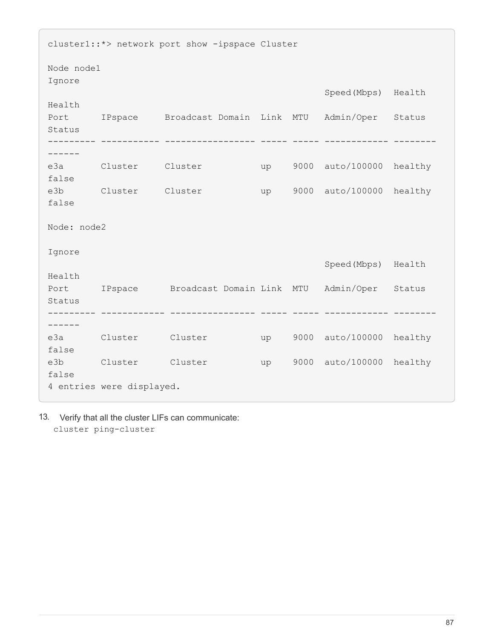cluster1::\*> network port show -ipspace Cluster Node node1 Ignore Speed(Mbps) Health Health Port IPspace Broadcast Domain Link MTU Admin/Oper Status Status --------- ----------- ----------------- ----- ----- ------------ -------- ----- e3a Cluster Cluster up 9000 auto/100000 healthy false e3b Cluster Cluster up 9000 auto/100000 healthy false Node: node2 Ignore Speed(Mbps) Health Health Port IPspace Broadcast Domain Link MTU Admin/Oper Status Status --------- ------------ ---------------- ----- ----- ------------ -------- ----- e3a Cluster Cluster up 9000 auto/100000 healthy false e3b Cluster Cluster up 9000 auto/100000 healthy false 4 entries were displayed.

13. Verify that all the cluster LIFs can communicate: cluster ping-cluster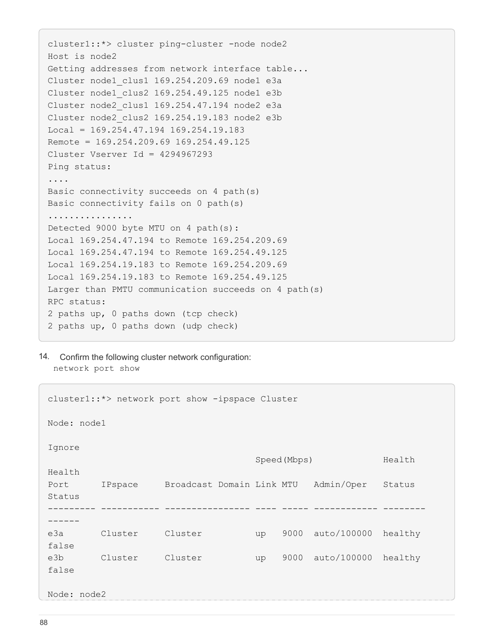```
cluster1::*> cluster ping-cluster -node node2
Host is node2
Getting addresses from network interface table...
Cluster node1_clus1 169.254.209.69 node1 e3a
Cluster node1 clus2 169.254.49.125 node1 e3b
Cluster node2_clus1 169.254.47.194 node2 e3a
Cluster node2_clus2 169.254.19.183 node2 e3b
Local = 169.254.47.194 169.254.19.183Remote = 169.254.209.69 169.254.49.125
Cluster Vserver Id = 4294967293
Ping status:
....
Basic connectivity succeeds on 4 path(s)
Basic connectivity fails on 0 path(s)
................
Detected 9000 byte MTU on 4 path(s):
Local 169.254.47.194 to Remote 169.254.209.69
Local 169.254.47.194 to Remote 169.254.49.125
Local 169.254.19.183 to Remote 169.254.209.69
Local 169.254.19.183 to Remote 169.254.49.125
Larger than PMTU communication succeeds on 4 path(s)
RPC status:
2 paths up, 0 paths down (tcp check)
2 paths up, 0 paths down (udp check)
```
14. Confirm the following cluster network configuration: network port show

```
cluster1::*> network port show -ipspace Cluster
Node: node1
Ignore
                                 Speed(Mbps) Health
Health
Port IPspace Broadcast Domain Link MTU Admin/Oper Status
Status
--------- ----------- ---------------- ---- ----- ------------ --------
------
e3a Cluster Cluster up 9000 auto/100000 healthy
false
e3b Cluster Cluster up 9000 auto/100000 healthy
false
Node: node2
```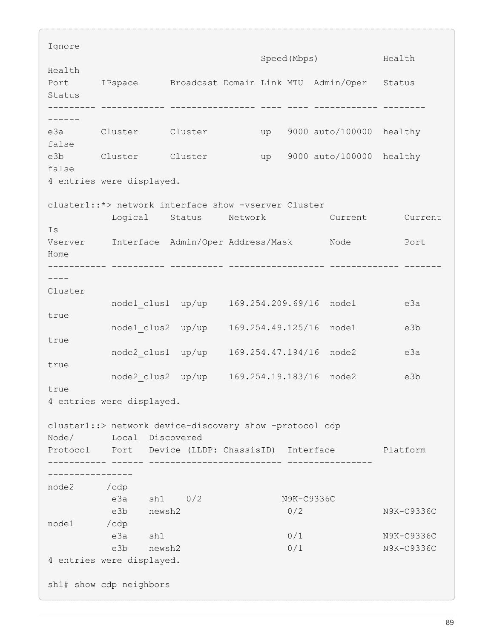Ignore Speed(Mbps) Health Health Port IPspace Broadcast Domain Link MTU Admin/Oper Status Status --------- ------------ ---------------- ---- ---- ------------ -------- ----- e3a Cluster Cluster up 9000 auto/100000 healthy false e3b Cluster Cluster up 9000 auto/100000 healthy false 4 entries were displayed. cluster1::\*> network interface show -vserver Cluster Logical Status Network Current Current Is Vserver Interface Admin/Oper Address/Mask Node Port Home ----------- ---------- ---------- ------------------ ------------- -------  $---$ Cluster node1 clus1 up/up 169.254.209.69/16 node1 e3a true node1 clus2 up/up 169.254.49.125/16 node1 e3b true node2\_clus1 up/up 169.254.47.194/16 node2 e3a true node2 clus2 up/up 169.254.19.183/16 node2 e3b true 4 entries were displayed. cluster1::> network device-discovery show -protocol cdp Node/ Local Discovered Protocol Port Device (LLDP: ChassisID) Interface Platform ----------- ------ ------------------------- ---------------- --------------- node2 /cdp e3a sh1 0/2 N9K-C9336C e3b newsh2 0/2 N9K-C9336C node1 /cdp e3a sh1 0/1 N9K-C9336C e3b newsh2 0/1 N9K-C9336C 4 entries were displayed. sh1# show cdp neighbors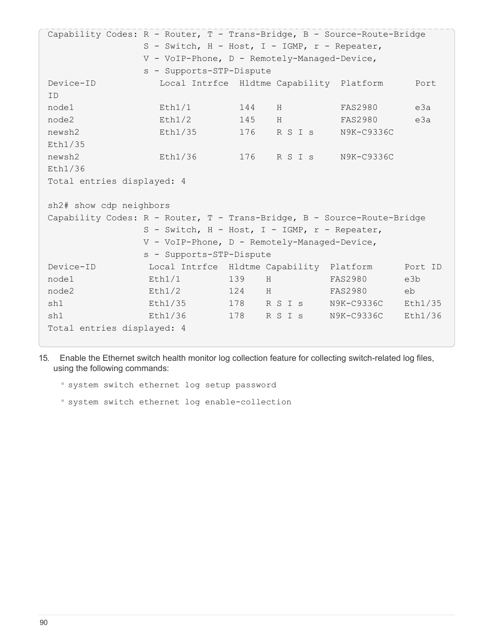Capability Codes: R - Router, T - Trans-Bridge, B - Source-Route-Bridge S - Switch, H - Host, I - IGMP, r - Repeater, V - VoIP-Phone, D - Remotely-Managed-Device, s - Supports-STP-Dispute Device-ID Local Intrfce Hldtme Capability Platform Port ID node1 Eth1/1 144 H FAS2980 e3a node2 Eth1/2 145 H FAS2980 e3a newsh2 Eth1/35 176 R S I s N9K-C9336C Eth1/35 newsh2 Eth1/36 176 R S I s N9K-C9336C Eth1/36 Total entries displayed: 4 sh2# show cdp neighbors Capability Codes: R - Router, T - Trans-Bridge, B - Source-Route-Bridge S - Switch, H - Host, I - IGMP, r - Repeater, V - VoIP-Phone, D - Remotely-Managed-Device, s - Supports-STP-Dispute Device-ID Local Intrfce Hldtme Capability Platform Port ID node1 Eth1/1 139 H FAS2980 e3b node2 Eth1/2 124 H FAS2980 eb sh1 Eth1/35 178 R S I s N9K-C9336C Eth1/35 sh1 Eth1/36 178 R S I s N9K-C9336C Eth1/36 Total entries displayed: 4

15. Enable the Ethernet switch health monitor log collection feature for collecting switch-related log files, using the following commands:

◦ system switch ethernet log setup password

◦ system switch ethernet log enable-collection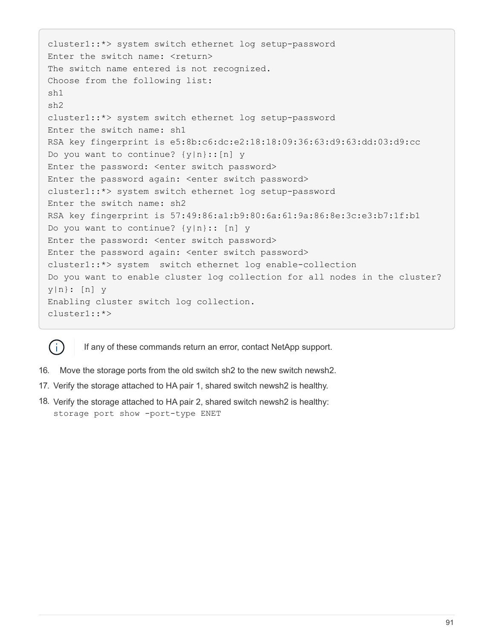```
cluster1::*> system switch ethernet log setup-password
Enter the switch name: <return>
The switch name entered is not recognized.
Choose from the following list:
sh1
sh2
cluster1::*> system switch ethernet log setup-password
Enter the switch name: sh1
RSA key fingerprint is e5:8b:c6:dc:e2:18:18:09:36:63:d9:63:dd:03:d9:cc
Do you want to continue? {y|n}::[n] y
Enter the password: < enter switch password>
Enter the password again: <enter switch password>
cluster1::*> system switch ethernet log setup-password
Enter the switch name: sh2
RSA key fingerprint is 57:49:86:a1:b9:80:6a:61:9a:86:8e:3c:e3:b7:1f:b1
Do you want to continue? {y|n}:: [n] y
Enter the password: <enter switch password>
Enter the password again: <enter switch password>
cluster1::*> system switch ethernet log enable-collection
Do you want to enable cluster log collection for all nodes in the cluster?
y|n}: [n] y
Enabling cluster switch log collection.
cluster1::*>
```


If any of these commands return an error, contact NetApp support.

- 16. Move the storage ports from the old switch sh2 to the new switch newsh2.
- 17. Verify the storage attached to HA pair 1, shared switch newsh2 is healthy.
- 18. Verify the storage attached to HA pair 2, shared switch newsh2 is healthy: storage port show -port-type ENET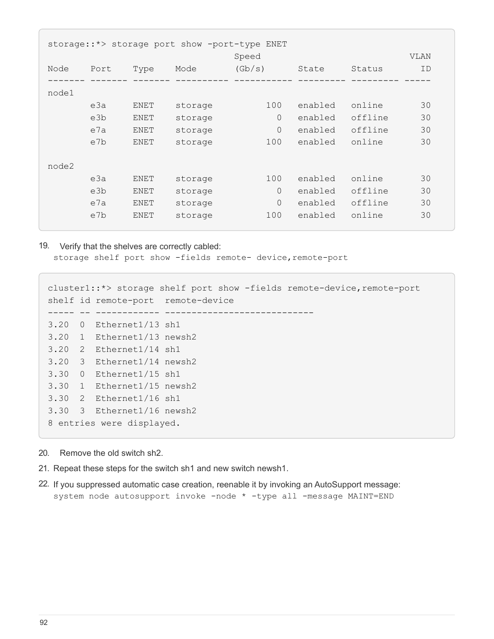| storage::*> storage port show -port-type ENET |      |         |          |         |         |             |  |  |
|-----------------------------------------------|------|---------|----------|---------|---------|-------------|--|--|
|                                               |      |         | Speed    |         |         | <b>VLAN</b> |  |  |
| Port                                          | Type | Mode    | (Gb/s)   | State   | Status  | ID          |  |  |
|                                               |      |         |          |         |         |             |  |  |
|                                               |      |         |          |         |         |             |  |  |
| e3a                                           | ENET | storage | 100      | enabled | online  | 30          |  |  |
| e3b                                           | ENET | storage | $\Omega$ | enabled | offline | 30          |  |  |
| e7a                                           | ENET | storage | $\Omega$ | enabled | offline | 30          |  |  |
| e7b                                           | ENET | storage | 100      | enabled | online  | 30          |  |  |
|                                               |      |         |          |         |         |             |  |  |
|                                               |      |         |          |         |         |             |  |  |
| e3a                                           | ENET | storage | 100      | enabled | online  | 30          |  |  |
| e3b                                           | ENET | storage | $\Omega$ | enabled | offline | 30          |  |  |
| e7a                                           | ENET | storage | $\Omega$ | enabled | offline | 30          |  |  |
| e7b                                           | ENET | storage | 100      | enabled | online  | 30          |  |  |
|                                               |      |         |          |         |         |             |  |  |

19. Verify that the shelves are correctly cabled: storage shelf port show -fields remote- device, remote-port

```
cluster1::*> storage shelf port show -fields remote-device, remote-port
shelf id remote-port remote-device
   ----- -- ------------ ----------------------------
3.20 0 Ethernet1/13 sh1
3.20 1 Ethernet1/13 newsh2
3.20 2 Ethernet1/14 sh1
3.20 3 Ethernet1/14 newsh2
3.30 0 Ethernet1/15 sh1
3.30 1 Ethernet1/15 newsh2
3.30 2 Ethernet1/16 sh1
3.30 3 Ethernet1/16 newsh2
8 entries were displayed.
```
- 20. Remove the old switch sh2.
- 21. Repeat these steps for the switch sh1 and new switch newsh1.
- 22. If you suppressed automatic case creation, reenable it by invoking an AutoSupport message: system node autosupport invoke -node \* -type all -message MAINT=END